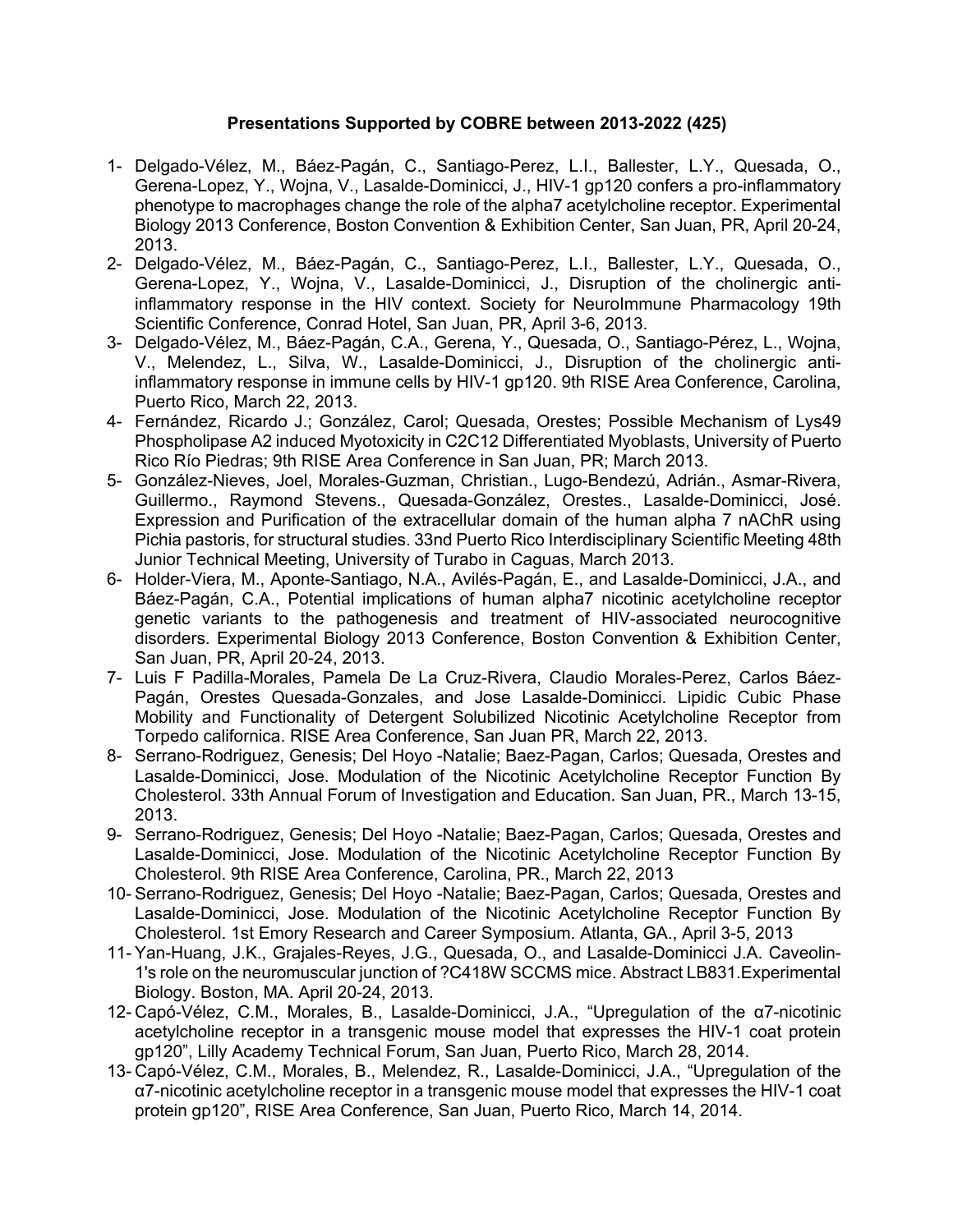## **Presentations Supported by COBRE between 2013-2022 (425)**

- 1- Delgado-Vélez, M., Báez-Pagán, C., Santiago-Perez, L.I., Ballester, L.Y., Quesada, O., Gerena-Lopez, Y., Wojna, V., Lasalde-Dominicci, J., HIV-1 gp120 confers a pro-inflammatory phenotype to macrophages change the role of the alpha7 acetylcholine receptor. Experimental Biology 2013 Conference, Boston Convention & Exhibition Center, San Juan, PR, April 20-24, 2013.
- 2- Delgado-Vélez, M., Báez-Pagán, C., Santiago-Perez, L.I., Ballester, L.Y., Quesada, O., Gerena-Lopez, Y., Wojna, V., Lasalde-Dominicci, J., Disruption of the cholinergic antiinflammatory response in the HIV context. Society for NeuroImmune Pharmacology 19th Scientific Conference, Conrad Hotel, San Juan, PR, April 3-6, 2013.
- 3- Delgado-Vélez, M., Báez-Pagán, C.A., Gerena, Y., Quesada, O., Santiago-Pérez, L., Wojna, V., Melendez, L., Silva, W., Lasalde-Dominicci, J., Disruption of the cholinergic antiinflammatory response in immune cells by HIV-1 gp120. 9th RISE Area Conference, Carolina, Puerto Rico, March 22, 2013.
- 4- Fernández, Ricardo J.; González, Carol; Quesada, Orestes; Possible Mechanism of Lys49 Phospholipase A2 induced Myotoxicity in C2C12 Differentiated Myoblasts, University of Puerto Rico Río Piedras; 9th RISE Area Conference in San Juan, PR; March 2013.
- 5- González-Nieves, Joel, Morales-Guzman, Christian., Lugo-Bendezú, Adrián., Asmar-Rivera, Guillermo., Raymond Stevens., Quesada-González, Orestes., Lasalde-Dominicci, José. Expression and Purification of the extracellular domain of the human alpha 7 nAChR using Pichia pastoris, for structural studies. 33nd Puerto Rico Interdisciplinary Scientific Meeting 48th Junior Technical Meeting, University of Turabo in Caguas, March 2013.
- 6- Holder-Viera, M., Aponte-Santiago, N.A., Avilés-Pagán, E., and Lasalde-Dominicci, J.A., and Báez-Pagán, C.A., Potential implications of human alpha7 nicotinic acetylcholine receptor genetic variants to the pathogenesis and treatment of HIV-associated neurocognitive disorders. Experimental Biology 2013 Conference, Boston Convention & Exhibition Center, San Juan, PR, April 20-24, 2013.
- 7- Luis F Padilla-Morales, Pamela De La Cruz-Rivera, Claudio Morales-Perez, Carlos Báez-Pagán, Orestes Quesada-Gonzales, and Jose Lasalde-Dominicci. Lipidic Cubic Phase Mobility and Functionality of Detergent Solubilized Nicotinic Acetylcholine Receptor from Torpedo californica. RISE Area Conference, San Juan PR, March 22, 2013.
- 8- Serrano-Rodriguez, Genesis; Del Hoyo -Natalie; Baez-Pagan, Carlos; Quesada, Orestes and Lasalde-Dominicci, Jose. Modulation of the Nicotinic Acetylcholine Receptor Function By Cholesterol. 33th Annual Forum of Investigation and Education. San Juan, PR., March 13-15, 2013.
- 9- Serrano-Rodriguez, Genesis; Del Hoyo -Natalie; Baez-Pagan, Carlos; Quesada, Orestes and Lasalde-Dominicci, Jose. Modulation of the Nicotinic Acetylcholine Receptor Function By Cholesterol. 9th RISE Area Conference, Carolina, PR., March 22, 2013
- 10- Serrano-Rodriguez, Genesis; Del Hoyo -Natalie; Baez-Pagan, Carlos; Quesada, Orestes and Lasalde-Dominicci, Jose. Modulation of the Nicotinic Acetylcholine Receptor Function By Cholesterol. 1st Emory Research and Career Symposium. Atlanta, GA., April 3-5, 2013
- 11- Yan-Huang, J.K., Grajales-Reyes, J.G., Quesada, O., and Lasalde-Dominicci J.A. Caveolin-1's role on the neuromuscular junction of ?C418W SCCMS mice. Abstract LB831.Experimental Biology. Boston, MA. April 20-24, 2013.
- 12- Capó-Vélez, C.M., Morales, B., Lasalde-Dominicci, J.A., "Upregulation of the α7-nicotinic acetylcholine receptor in a transgenic mouse model that expresses the HIV-1 coat protein gp120", Lilly Academy Technical Forum, San Juan, Puerto Rico, March 28, 2014.
- 13- Capó-Vélez, C.M., Morales, B., Melendez, R., Lasalde-Dominicci, J.A., "Upregulation of the α7-nicotinic acetylcholine receptor in a transgenic mouse model that expresses the HIV-1 coat protein gp120", RISE Area Conference, San Juan, Puerto Rico, March 14, 2014.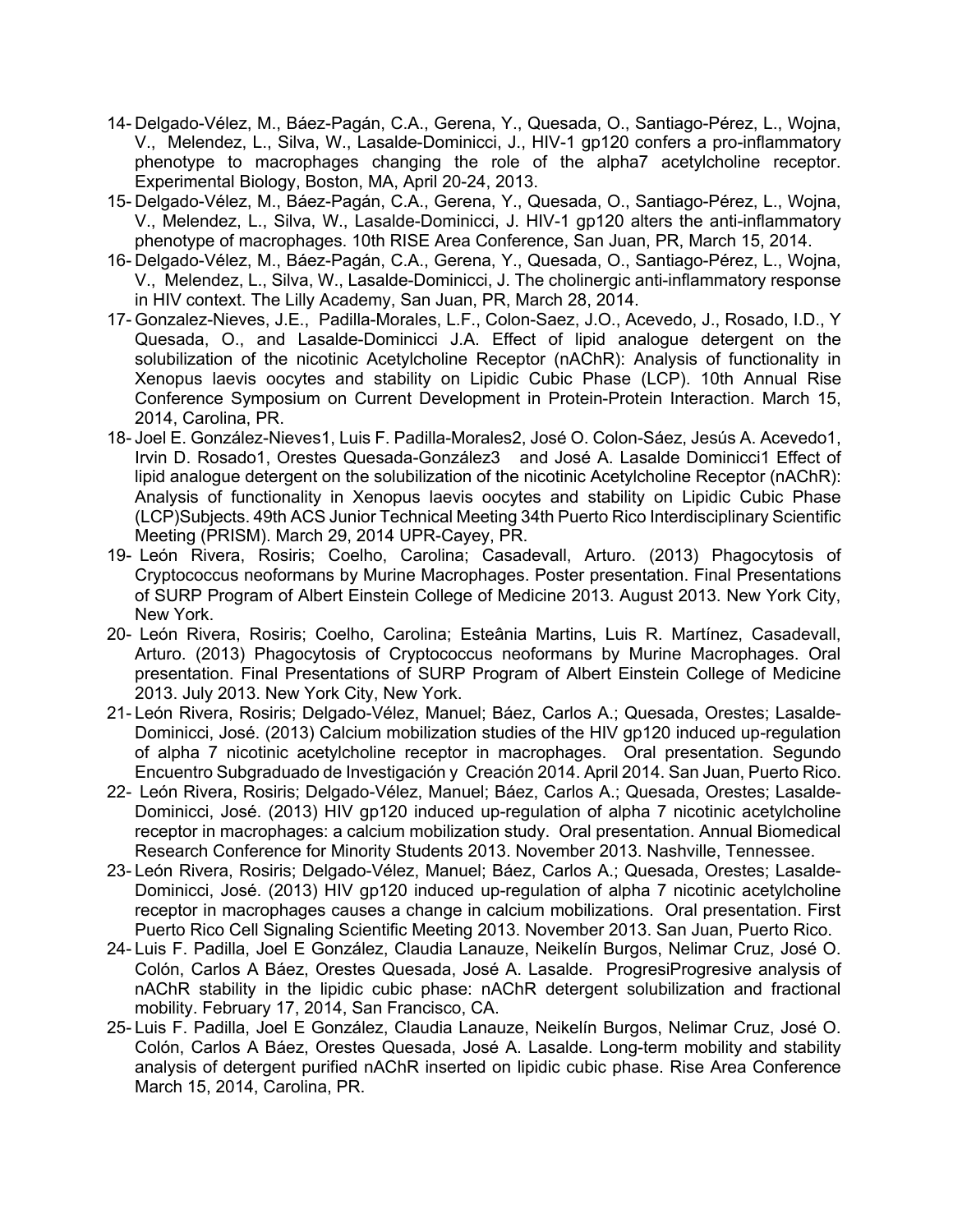- 14- Delgado-Vélez, M., Báez-Pagán, C.A., Gerena, Y., Quesada, O., Santiago-Pérez, L., Wojna, V., Melendez, L., Silva, W., Lasalde-Dominicci, J., HIV-1 gp120 confers a pro-inflammatory phenotype to macrophages changing the role of the alpha7 acetylcholine receptor. Experimental Biology, Boston, MA, April 20-24, 2013.
- 15- Delgado-Vélez, M., Báez-Pagán, C.A., Gerena, Y., Quesada, O., Santiago-Pérez, L., Wojna, V., Melendez, L., Silva, W., Lasalde-Dominicci, J. HIV-1 gp120 alters the anti-inflammatory phenotype of macrophages. 10th RISE Area Conference, San Juan, PR, March 15, 2014.
- 16- Delgado-Vélez, M., Báez-Pagán, C.A., Gerena, Y., Quesada, O., Santiago-Pérez, L., Wojna, V., Melendez, L., Silva, W., Lasalde-Dominicci, J. The cholinergic anti-inflammatory response in HIV context. The Lilly Academy, San Juan, PR, March 28, 2014.
- 17- Gonzalez-Nieves, J.E., Padilla-Morales, L.F., Colon-Saez, J.O., Acevedo, J., Rosado, I.D., Y Quesada, O., and Lasalde-Dominicci J.A. Effect of lipid analogue detergent on the solubilization of the nicotinic Acetylcholine Receptor (nAChR): Analysis of functionality in Xenopus laevis oocytes and stability on Lipidic Cubic Phase (LCP). 10th Annual Rise Conference Symposium on Current Development in Protein-Protein Interaction. March 15, 2014, Carolina, PR.
- 18- Joel E. González-Nieves1, Luis F. Padilla-Morales2, José O. Colon-Sáez, Jesús A. Acevedo1, Irvin D. Rosado1, Orestes Quesada-González3 and José A. Lasalde Dominicci1 Effect of lipid analogue detergent on the solubilization of the nicotinic Acetylcholine Receptor (nAChR): Analysis of functionality in Xenopus laevis oocytes and stability on Lipidic Cubic Phase (LCP)Subjects. 49th ACS Junior Technical Meeting 34th Puerto Rico Interdisciplinary Scientific Meeting (PRISM). March 29, 2014 UPR-Cayey, PR.
- 19- León Rivera, Rosiris; Coelho, Carolina; Casadevall, Arturo. (2013) Phagocytosis of Cryptococcus neoformans by Murine Macrophages. Poster presentation. Final Presentations of SURP Program of Albert Einstein College of Medicine 2013. August 2013. New York City, New York.
- 20- León Rivera, Rosiris; Coelho, Carolina; Esteânia Martins, Luis R. Martínez, Casadevall, Arturo. (2013) Phagocytosis of Cryptococcus neoformans by Murine Macrophages. Oral presentation. Final Presentations of SURP Program of Albert Einstein College of Medicine 2013. July 2013. New York City, New York.
- 21- León Rivera, Rosiris; Delgado-Vélez, Manuel; Báez, Carlos A.; Quesada, Orestes; Lasalde-Dominicci, José. (2013) Calcium mobilization studies of the HIV gp120 induced up-regulation of alpha 7 nicotinic acetylcholine receptor in macrophages. Oral presentation. Segundo Encuentro Subgraduado de Investigación y Creación 2014. April 2014. San Juan, Puerto Rico.
- 22- León Rivera, Rosiris; Delgado-Vélez, Manuel; Báez, Carlos A.; Quesada, Orestes; Lasalde-Dominicci, José. (2013) HIV gp120 induced up-regulation of alpha 7 nicotinic acetylcholine receptor in macrophages: a calcium mobilization study. Oral presentation. Annual Biomedical Research Conference for Minority Students 2013. November 2013. Nashville, Tennessee.
- 23- León Rivera, Rosiris; Delgado-Vélez, Manuel; Báez, Carlos A.; Quesada, Orestes; Lasalde-Dominicci, José. (2013) HIV gp120 induced up-regulation of alpha 7 nicotinic acetylcholine receptor in macrophages causes a change in calcium mobilizations. Oral presentation. First Puerto Rico Cell Signaling Scientific Meeting 2013. November 2013. San Juan, Puerto Rico.
- 24- Luis F. Padilla, Joel E González, Claudia Lanauze, Neikelín Burgos, Nelimar Cruz, José O. Colón, Carlos A Báez, Orestes Quesada, José A. Lasalde. ProgresiProgresive analysis of nAChR stability in the lipidic cubic phase: nAChR detergent solubilization and fractional mobility. February 17, 2014, San Francisco, CA.
- 25- Luis F. Padilla, Joel E González, Claudia Lanauze, Neikelín Burgos, Nelimar Cruz, José O. Colón, Carlos A Báez, Orestes Quesada, José A. Lasalde. Long-term mobility and stability analysis of detergent purified nAChR inserted on lipidic cubic phase. Rise Area Conference March 15, 2014, Carolina, PR.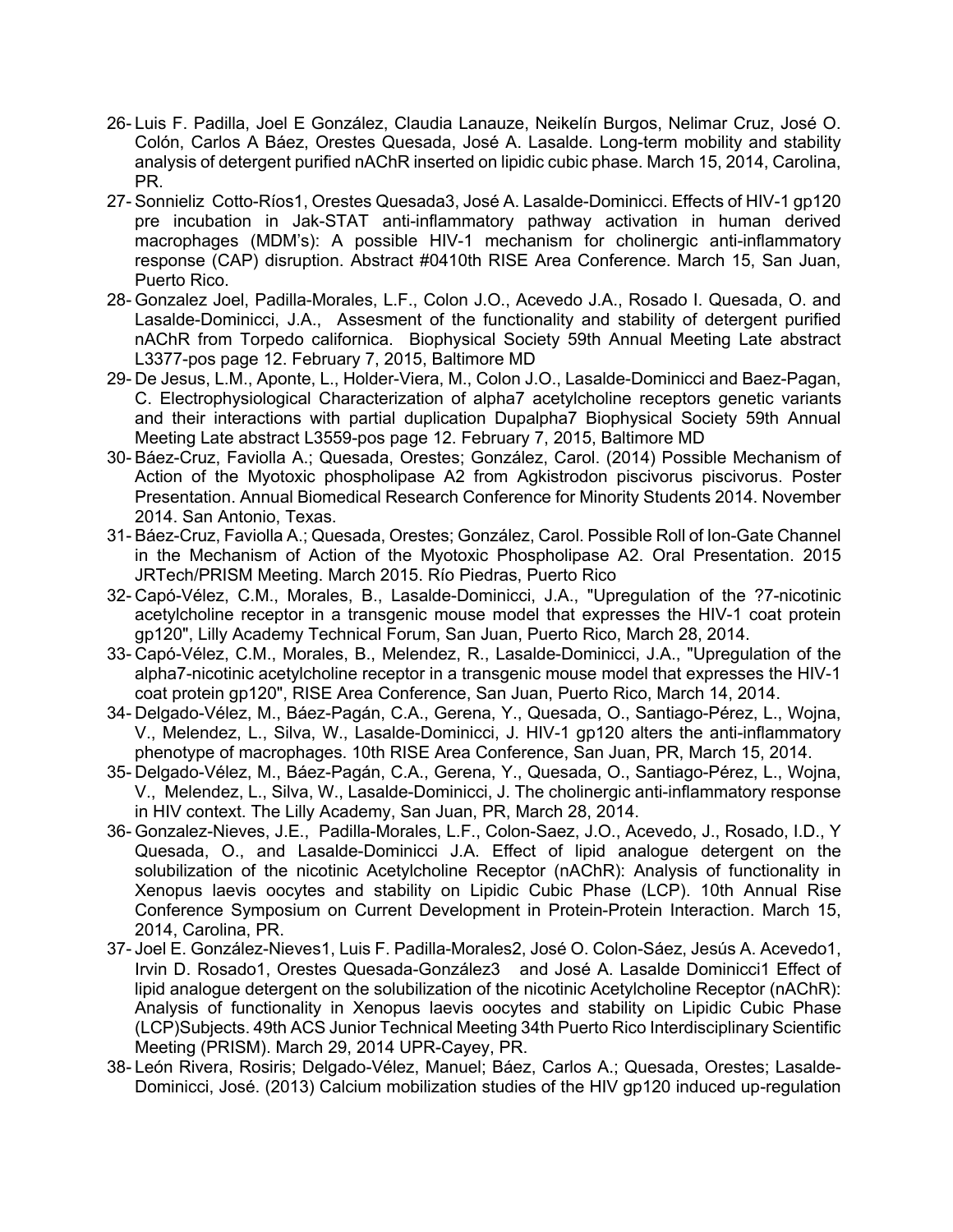- 26- Luis F. Padilla, Joel E González, Claudia Lanauze, Neikelín Burgos, Nelimar Cruz, José O. Colón, Carlos A Báez, Orestes Quesada, José A. Lasalde. Long-term mobility and stability analysis of detergent purified nAChR inserted on lipidic cubic phase. March 15, 2014, Carolina, PR.
- 27- Sonnieliz Cotto-Ríos1, Orestes Quesada3, José A. Lasalde-Dominicci. Effects of HIV-1 gp120 pre incubation in Jak-STAT anti-inflammatory pathway activation in human derived macrophages (MDM's): A possible HIV-1 mechanism for cholinergic anti-inflammatory response (CAP) disruption. Abstract #0410th RISE Area Conference. March 15, San Juan, Puerto Rico.
- 28- Gonzalez Joel, Padilla-Morales, L.F., Colon J.O., Acevedo J.A., Rosado I. Quesada, O. and Lasalde-Dominicci, J.A., Assesment of the functionality and stability of detergent purified nAChR from Torpedo californica. Biophysical Society 59th Annual Meeting Late abstract L3377-pos page 12. February 7, 2015, Baltimore MD
- 29- De Jesus, L.M., Aponte, L., Holder-Viera, M., Colon J.O., Lasalde-Dominicci and Baez-Pagan, C. Electrophysiological Characterization of alpha7 acetylcholine receptors genetic variants and their interactions with partial duplication Dupalpha7 Biophysical Society 59th Annual Meeting Late abstract L3559-pos page 12. February 7, 2015, Baltimore MD
- 30- Báez-Cruz, Faviolla A.; Quesada, Orestes; González, Carol. (2014) Possible Mechanism of Action of the Myotoxic phospholipase A2 from Agkistrodon piscivorus piscivorus. Poster Presentation. Annual Biomedical Research Conference for Minority Students 2014. November 2014. San Antonio, Texas.
- 31- Báez-Cruz, Faviolla A.; Quesada, Orestes; González, Carol. Possible Roll of Ion-Gate Channel in the Mechanism of Action of the Myotoxic Phospholipase A2. Oral Presentation. 2015 JRTech/PRISM Meeting. March 2015. Río Piedras, Puerto Rico
- 32- Capó-Vélez, C.M., Morales, B., Lasalde-Dominicci, J.A., "Upregulation of the ?7-nicotinic acetylcholine receptor in a transgenic mouse model that expresses the HIV-1 coat protein gp120", Lilly Academy Technical Forum, San Juan, Puerto Rico, March 28, 2014.
- 33- Capó-Vélez, C.M., Morales, B., Melendez, R., Lasalde-Dominicci, J.A., "Upregulation of the alpha7-nicotinic acetylcholine receptor in a transgenic mouse model that expresses the HIV-1 coat protein gp120", RISE Area Conference, San Juan, Puerto Rico, March 14, 2014.
- 34- Delgado-Vélez, M., Báez-Pagán, C.A., Gerena, Y., Quesada, O., Santiago-Pérez, L., Wojna, V., Melendez, L., Silva, W., Lasalde-Dominicci, J. HIV-1 gp120 alters the anti-inflammatory phenotype of macrophages. 10th RISE Area Conference, San Juan, PR, March 15, 2014.
- 35- Delgado-Vélez, M., Báez-Pagán, C.A., Gerena, Y., Quesada, O., Santiago-Pérez, L., Wojna, V., Melendez, L., Silva, W., Lasalde-Dominicci, J. The cholinergic anti-inflammatory response in HIV context. The Lilly Academy, San Juan, PR, March 28, 2014.
- 36- Gonzalez-Nieves, J.E., Padilla-Morales, L.F., Colon-Saez, J.O., Acevedo, J., Rosado, I.D., Y Quesada, O., and Lasalde-Dominicci J.A. Effect of lipid analogue detergent on the solubilization of the nicotinic Acetylcholine Receptor (nAChR): Analysis of functionality in Xenopus laevis oocytes and stability on Lipidic Cubic Phase (LCP). 10th Annual Rise Conference Symposium on Current Development in Protein-Protein Interaction. March 15, 2014, Carolina, PR.
- 37- Joel E. González-Nieves1, Luis F. Padilla-Morales2, José O. Colon-Sáez, Jesús A. Acevedo1, Irvin D. Rosado1, Orestes Quesada-González3 and José A. Lasalde Dominicci1 Effect of lipid analogue detergent on the solubilization of the nicotinic Acetylcholine Receptor (nAChR): Analysis of functionality in Xenopus laevis oocytes and stability on Lipidic Cubic Phase (LCP)Subjects. 49th ACS Junior Technical Meeting 34th Puerto Rico Interdisciplinary Scientific Meeting (PRISM). March 29, 2014 UPR-Cayey, PR.
- 38- León Rivera, Rosiris; Delgado-Vélez, Manuel; Báez, Carlos A.; Quesada, Orestes; Lasalde-Dominicci, José. (2013) Calcium mobilization studies of the HIV gp120 induced up-regulation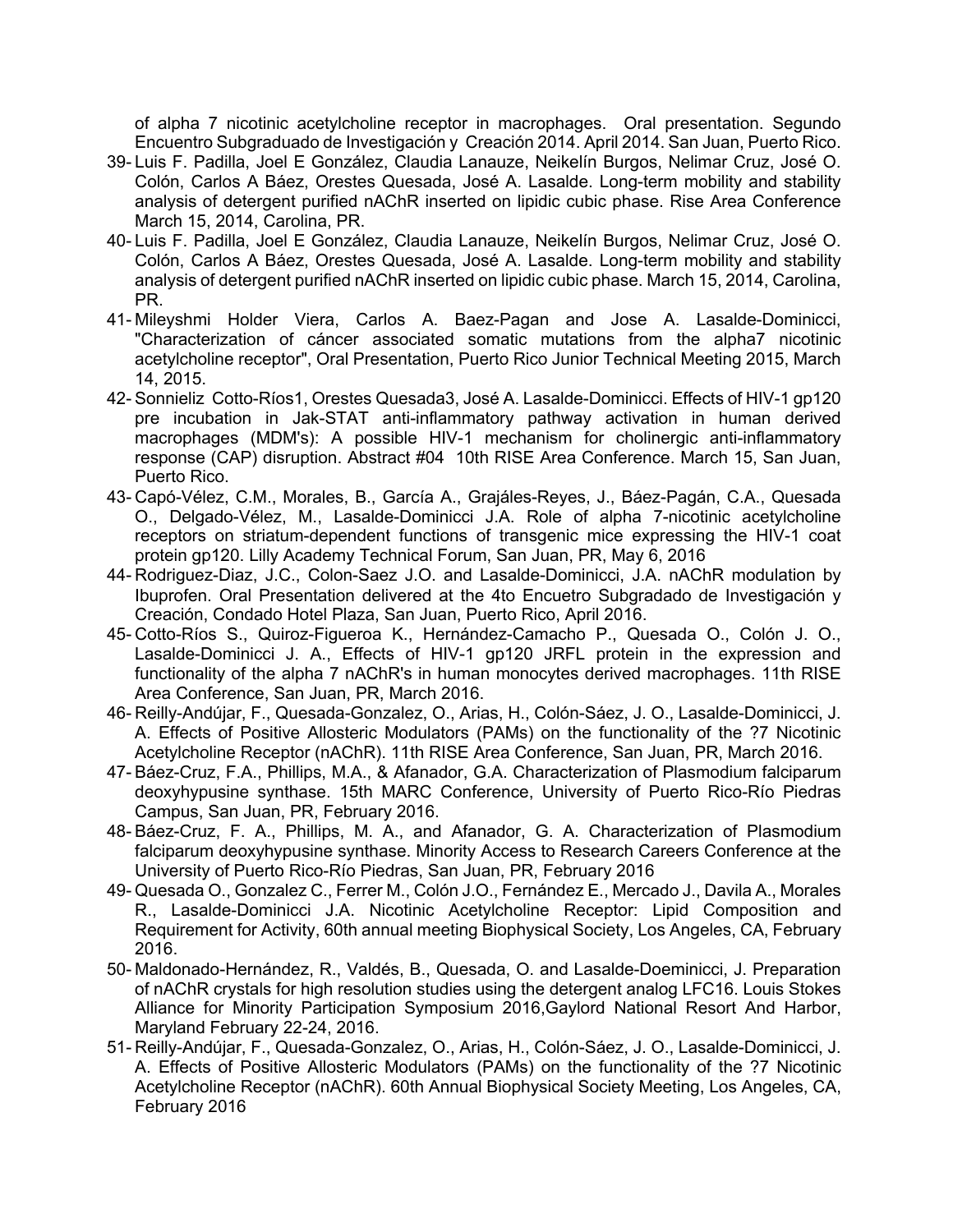of alpha 7 nicotinic acetylcholine receptor in macrophages. Oral presentation. Segundo Encuentro Subgraduado de Investigación y Creación 2014. April 2014. San Juan, Puerto Rico.

- 39- Luis F. Padilla, Joel E González, Claudia Lanauze, Neikelín Burgos, Nelimar Cruz, José O. Colón, Carlos A Báez, Orestes Quesada, José A. Lasalde. Long-term mobility and stability analysis of detergent purified nAChR inserted on lipidic cubic phase. Rise Area Conference March 15, 2014, Carolina, PR.
- 40- Luis F. Padilla, Joel E González, Claudia Lanauze, Neikelín Burgos, Nelimar Cruz, José O. Colón, Carlos A Báez, Orestes Quesada, José A. Lasalde. Long-term mobility and stability analysis of detergent purified nAChR inserted on lipidic cubic phase. March 15, 2014, Carolina, PR.
- 41- Mileyshmi Holder Viera, Carlos A. Baez-Pagan and Jose A. Lasalde-Dominicci, "Characterization of cáncer associated somatic mutations from the alpha7 nicotinic acetylcholine receptor", Oral Presentation, Puerto Rico Junior Technical Meeting 2015, March 14, 2015.
- 42- Sonnieliz Cotto-Ríos1, Orestes Quesada3, José A. Lasalde-Dominicci. Effects of HIV-1 gp120 pre incubation in Jak-STAT anti-inflammatory pathway activation in human derived macrophages (MDM's): A possible HIV-1 mechanism for cholinergic anti-inflammatory response (CAP) disruption. Abstract #04 10th RISE Area Conference. March 15, San Juan, Puerto Rico.
- 43- Capó-Vélez, C.M., Morales, B., García A., Grajáles-Reyes, J., Báez-Pagán, C.A., Quesada O., Delgado-Vélez, M., Lasalde-Dominicci J.A. Role of alpha 7-nicotinic acetylcholine receptors on striatum-dependent functions of transgenic mice expressing the HIV-1 coat protein gp120. Lilly Academy Technical Forum, San Juan, PR, May 6, 2016
- 44- Rodriguez-Diaz, J.C., Colon-Saez J.O. and Lasalde-Dominicci, J.A. nAChR modulation by Ibuprofen. Oral Presentation delivered at the 4to Encuetro Subgradado de Investigación y Creación, Condado Hotel Plaza, San Juan, Puerto Rico, April 2016.
- 45- Cotto-Ríos S., Quiroz-Figueroa K., Hernández-Camacho P., Quesada O., Colón J. O., Lasalde-Dominicci J. A., Effects of HIV-1 gp120 JRFL protein in the expression and functionality of the alpha 7 nAChR's in human monocytes derived macrophages. 11th RISE Area Conference, San Juan, PR, March 2016.
- 46- Reilly-Andújar, F., Quesada-Gonzalez, O., Arias, H., Colón-Sáez, J. O., Lasalde-Dominicci, J. A. Effects of Positive Allosteric Modulators (PAMs) on the functionality of the ?7 Nicotinic Acetylcholine Receptor (nAChR). 11th RISE Area Conference, San Juan, PR, March 2016.
- 47- Báez-Cruz, F.A., Phillips, M.A., & Afanador, G.A. Characterization of Plasmodium falciparum deoxyhypusine synthase. 15th MARC Conference, University of Puerto Rico-Río Piedras Campus, San Juan, PR, February 2016.
- 48- Báez-Cruz, F. A., Phillips, M. A., and Afanador, G. A. Characterization of Plasmodium falciparum deoxyhypusine synthase. Minority Access to Research Careers Conference at the University of Puerto Rico-Río Piedras, San Juan, PR, February 2016
- 49- Quesada O., Gonzalez C., Ferrer M., Colón J.O., Fernández E., Mercado J., Davila A., Morales R., Lasalde-Dominicci J.A. Nicotinic Acetylcholine Receptor: Lipid Composition and Requirement for Activity, 60th annual meeting Biophysical Society, Los Angeles, CA, February 2016.
- 50- Maldonado-Hernández, R., Valdés, B., Quesada, O. and Lasalde-Doeminicci, J. Preparation of nAChR crystals for high resolution studies using the detergent analog LFC16. Louis Stokes Alliance for Minority Participation Symposium 2016,Gaylord National Resort And Harbor, Maryland February 22-24, 2016.
- 51- Reilly-Andújar, F., Quesada-Gonzalez, O., Arias, H., Colón-Sáez, J. O., Lasalde-Dominicci, J. A. Effects of Positive Allosteric Modulators (PAMs) on the functionality of the ?7 Nicotinic Acetylcholine Receptor (nAChR). 60th Annual Biophysical Society Meeting, Los Angeles, CA, February 2016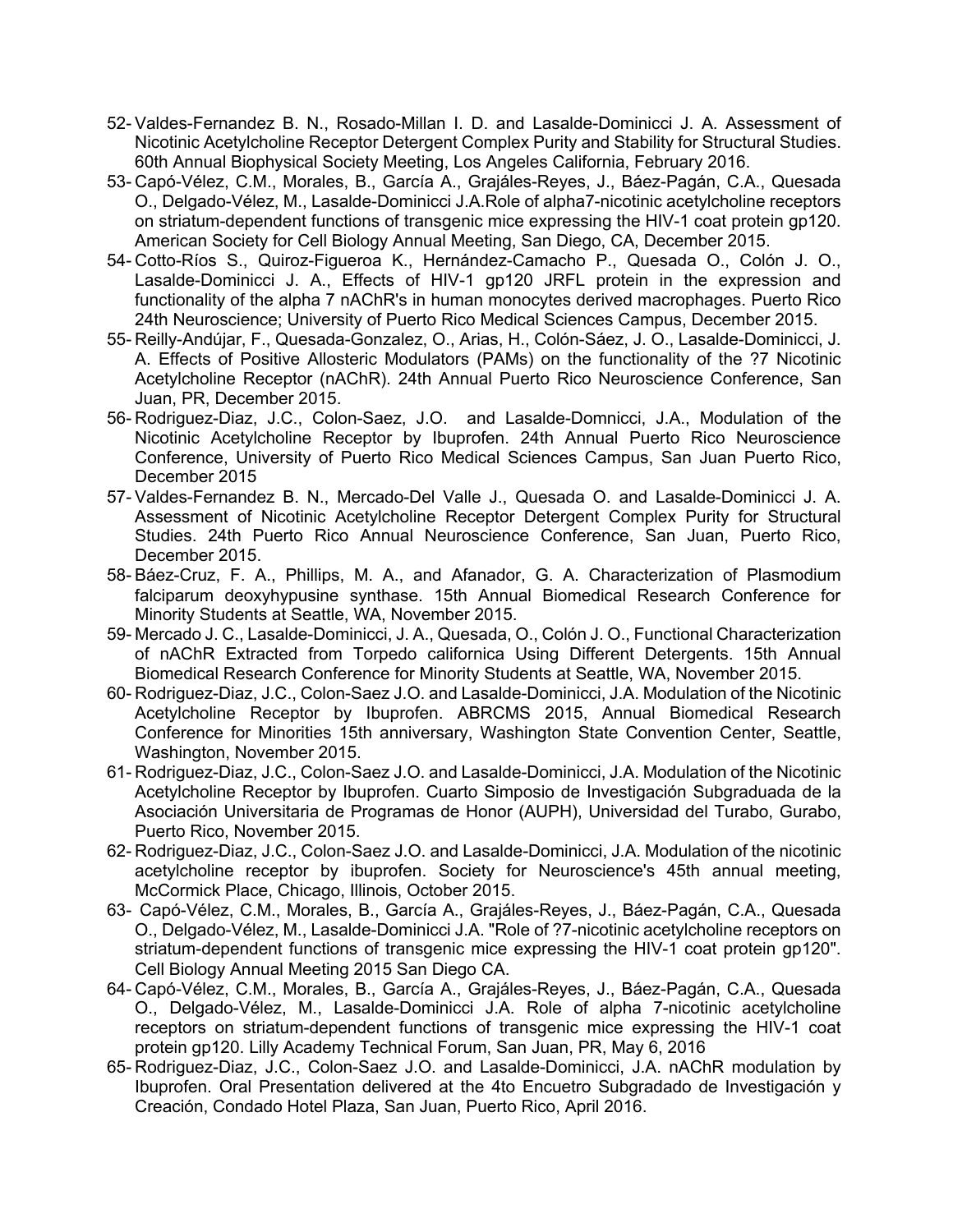- 52- Valdes-Fernandez B. N., Rosado-Millan I. D. and Lasalde-Dominicci J. A. Assessment of Nicotinic Acetylcholine Receptor Detergent Complex Purity and Stability for Structural Studies. 60th Annual Biophysical Society Meeting, Los Angeles California, February 2016.
- 53- Capó-Vélez, C.M., Morales, B., García A., Grajáles-Reyes, J., Báez-Pagán, C.A., Quesada O., Delgado-Vélez, M., Lasalde-Dominicci J.A.Role of alpha7-nicotinic acetylcholine receptors on striatum-dependent functions of transgenic mice expressing the HIV-1 coat protein gp120. American Society for Cell Biology Annual Meeting, San Diego, CA, December 2015.
- 54- Cotto-Ríos S., Quiroz-Figueroa K., Hernández-Camacho P., Quesada O., Colón J. O., Lasalde-Dominicci J. A., Effects of HIV-1 gp120 JRFL protein in the expression and functionality of the alpha 7 nAChR's in human monocytes derived macrophages. Puerto Rico 24th Neuroscience; University of Puerto Rico Medical Sciences Campus, December 2015.
- 55- Reilly-Andújar, F., Quesada-Gonzalez, O., Arias, H., Colón-Sáez, J. O., Lasalde-Dominicci, J. A. Effects of Positive Allosteric Modulators (PAMs) on the functionality of the ?7 Nicotinic Acetylcholine Receptor (nAChR). 24th Annual Puerto Rico Neuroscience Conference, San Juan, PR, December 2015.
- 56- Rodriguez-Diaz, J.C., Colon-Saez, J.O. and Lasalde-Domnicci, J.A., Modulation of the Nicotinic Acetylcholine Receptor by Ibuprofen. 24th Annual Puerto Rico Neuroscience Conference, University of Puerto Rico Medical Sciences Campus, San Juan Puerto Rico, December 2015
- 57- Valdes-Fernandez B. N., Mercado-Del Valle J., Quesada O. and Lasalde-Dominicci J. A. Assessment of Nicotinic Acetylcholine Receptor Detergent Complex Purity for Structural Studies. 24th Puerto Rico Annual Neuroscience Conference, San Juan, Puerto Rico, December 2015.
- 58- Báez-Cruz, F. A., Phillips, M. A., and Afanador, G. A. Characterization of Plasmodium falciparum deoxyhypusine synthase. 15th Annual Biomedical Research Conference for Minority Students at Seattle, WA, November 2015.
- 59- Mercado J. C., Lasalde-Dominicci, J. A., Quesada, O., Colón J. O., Functional Characterization of nAChR Extracted from Torpedo californica Using Different Detergents. 15th Annual Biomedical Research Conference for Minority Students at Seattle, WA, November 2015.
- 60- Rodriguez-Diaz, J.C., Colon-Saez J.O. and Lasalde-Dominicci, J.A. Modulation of the Nicotinic Acetylcholine Receptor by Ibuprofen. ABRCMS 2015, Annual Biomedical Research Conference for Minorities 15th anniversary, Washington State Convention Center, Seattle, Washington, November 2015.
- 61- Rodriguez-Diaz, J.C., Colon-Saez J.O. and Lasalde-Dominicci, J.A. Modulation of the Nicotinic Acetylcholine Receptor by Ibuprofen. Cuarto Simposio de Investigación Subgraduada de la Asociación Universitaria de Programas de Honor (AUPH), Universidad del Turabo, Gurabo, Puerto Rico, November 2015.
- 62- Rodriguez-Diaz, J.C., Colon-Saez J.O. and Lasalde-Dominicci, J.A. Modulation of the nicotinic acetylcholine receptor by ibuprofen. Society for Neuroscience's 45th annual meeting, McCormick Place, Chicago, Illinois, October 2015.
- 63- Capó-Vélez, C.M., Morales, B., García A., Grajáles-Reyes, J., Báez-Pagán, C.A., Quesada O., Delgado-Vélez, M., Lasalde-Dominicci J.A. "Role of ?7-nicotinic acetylcholine receptors on striatum-dependent functions of transgenic mice expressing the HIV-1 coat protein gp120". Cell Biology Annual Meeting 2015 San Diego CA.
- 64- Capó-Vélez, C.M., Morales, B., García A., Grajáles-Reyes, J., Báez-Pagán, C.A., Quesada O., Delgado-Vélez, M., Lasalde-Dominicci J.A. Role of alpha 7-nicotinic acetylcholine receptors on striatum-dependent functions of transgenic mice expressing the HIV-1 coat protein gp120. Lilly Academy Technical Forum, San Juan, PR, May 6, 2016
- 65- Rodriguez-Diaz, J.C., Colon-Saez J.O. and Lasalde-Dominicci, J.A. nAChR modulation by Ibuprofen. Oral Presentation delivered at the 4to Encuetro Subgradado de Investigación y Creación, Condado Hotel Plaza, San Juan, Puerto Rico, April 2016.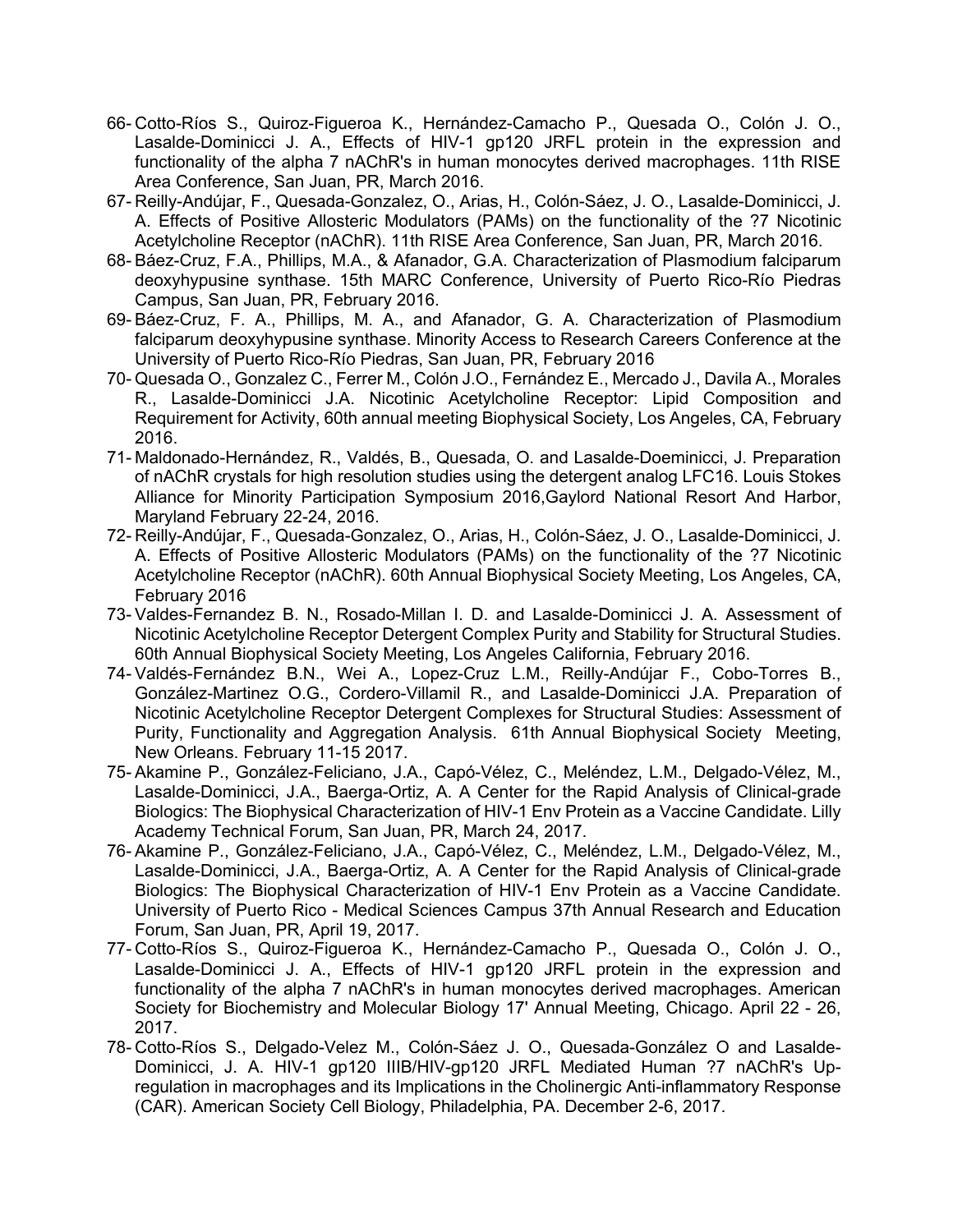- 66- Cotto-Ríos S., Quiroz-Figueroa K., Hernández-Camacho P., Quesada O., Colón J. O., Lasalde-Dominicci J. A., Effects of HIV-1 gp120 JRFL protein in the expression and functionality of the alpha 7 nAChR's in human monocytes derived macrophages. 11th RISE Area Conference, San Juan, PR, March 2016.
- 67- Reilly-Andújar, F., Quesada-Gonzalez, O., Arias, H., Colón-Sáez, J. O., Lasalde-Dominicci, J. A. Effects of Positive Allosteric Modulators (PAMs) on the functionality of the ?7 Nicotinic Acetylcholine Receptor (nAChR). 11th RISE Area Conference, San Juan, PR, March 2016.
- 68- Báez-Cruz, F.A., Phillips, M.A., & Afanador, G.A. Characterization of Plasmodium falciparum deoxyhypusine synthase. 15th MARC Conference, University of Puerto Rico-Río Piedras Campus, San Juan, PR, February 2016.
- 69- Báez-Cruz, F. A., Phillips, M. A., and Afanador, G. A. Characterization of Plasmodium falciparum deoxyhypusine synthase. Minority Access to Research Careers Conference at the University of Puerto Rico-Río Piedras, San Juan, PR, February 2016
- 70- Quesada O., Gonzalez C., Ferrer M., Colón J.O., Fernández E., Mercado J., Davila A., Morales R., Lasalde-Dominicci J.A. Nicotinic Acetylcholine Receptor: Lipid Composition and Requirement for Activity, 60th annual meeting Biophysical Society, Los Angeles, CA, February 2016.
- 71- Maldonado-Hernández, R., Valdés, B., Quesada, O. and Lasalde-Doeminicci, J. Preparation of nAChR crystals for high resolution studies using the detergent analog LFC16. Louis Stokes Alliance for Minority Participation Symposium 2016,Gaylord National Resort And Harbor, Maryland February 22-24, 2016.
- 72- Reilly-Andújar, F., Quesada-Gonzalez, O., Arias, H., Colón-Sáez, J. O., Lasalde-Dominicci, J. A. Effects of Positive Allosteric Modulators (PAMs) on the functionality of the ?7 Nicotinic Acetylcholine Receptor (nAChR). 60th Annual Biophysical Society Meeting, Los Angeles, CA, February 2016
- 73- Valdes-Fernandez B. N., Rosado-Millan I. D. and Lasalde-Dominicci J. A. Assessment of Nicotinic Acetylcholine Receptor Detergent Complex Purity and Stability for Structural Studies. 60th Annual Biophysical Society Meeting, Los Angeles California, February 2016.
- 74- Valdés-Fernández B.N., Wei A., Lopez-Cruz L.M., Reilly-Andújar F., Cobo-Torres B., González-Martinez O.G., Cordero-Villamil R., and Lasalde-Dominicci J.A. Preparation of Nicotinic Acetylcholine Receptor Detergent Complexes for Structural Studies: Assessment of Purity, Functionality and Aggregation Analysis. 61th Annual Biophysical Society Meeting, New Orleans. February 11-15 2017.
- 75- Akamine P., González-Feliciano, J.A., Capó-Vélez, C., Meléndez, L.M., Delgado-Vélez, M., Lasalde-Dominicci, J.A., Baerga-Ortiz, A. A Center for the Rapid Analysis of Clinical-grade Biologics: The Biophysical Characterization of HIV-1 Env Protein as a Vaccine Candidate. Lilly Academy Technical Forum, San Juan, PR, March 24, 2017.
- 76- Akamine P., González-Feliciano, J.A., Capó-Vélez, C., Meléndez, L.M., Delgado-Vélez, M., Lasalde-Dominicci, J.A., Baerga-Ortiz, A. A Center for the Rapid Analysis of Clinical-grade Biologics: The Biophysical Characterization of HIV-1 Env Protein as a Vaccine Candidate. University of Puerto Rico - Medical Sciences Campus 37th Annual Research and Education Forum, San Juan, PR, April 19, 2017.
- 77- Cotto-Ríos S., Quiroz-Figueroa K., Hernández-Camacho P., Quesada O., Colón J. O., Lasalde-Dominicci J. A., Effects of HIV-1 gp120 JRFL protein in the expression and functionality of the alpha 7 nAChR's in human monocytes derived macrophages. American Society for Biochemistry and Molecular Biology 17' Annual Meeting, Chicago. April 22 - 26, 2017.
- 78- Cotto-Ríos S., Delgado-Velez M., Colón-Sáez J. O., Quesada-González O and Lasalde-Dominicci, J. A. HIV-1 gp120 IIIB/HIV-gp120 JRFL Mediated Human ?7 nAChR's Upregulation in macrophages and its Implications in the Cholinergic Anti-inflammatory Response (CAR). American Society Cell Biology, Philadelphia, PA. December 2-6, 2017.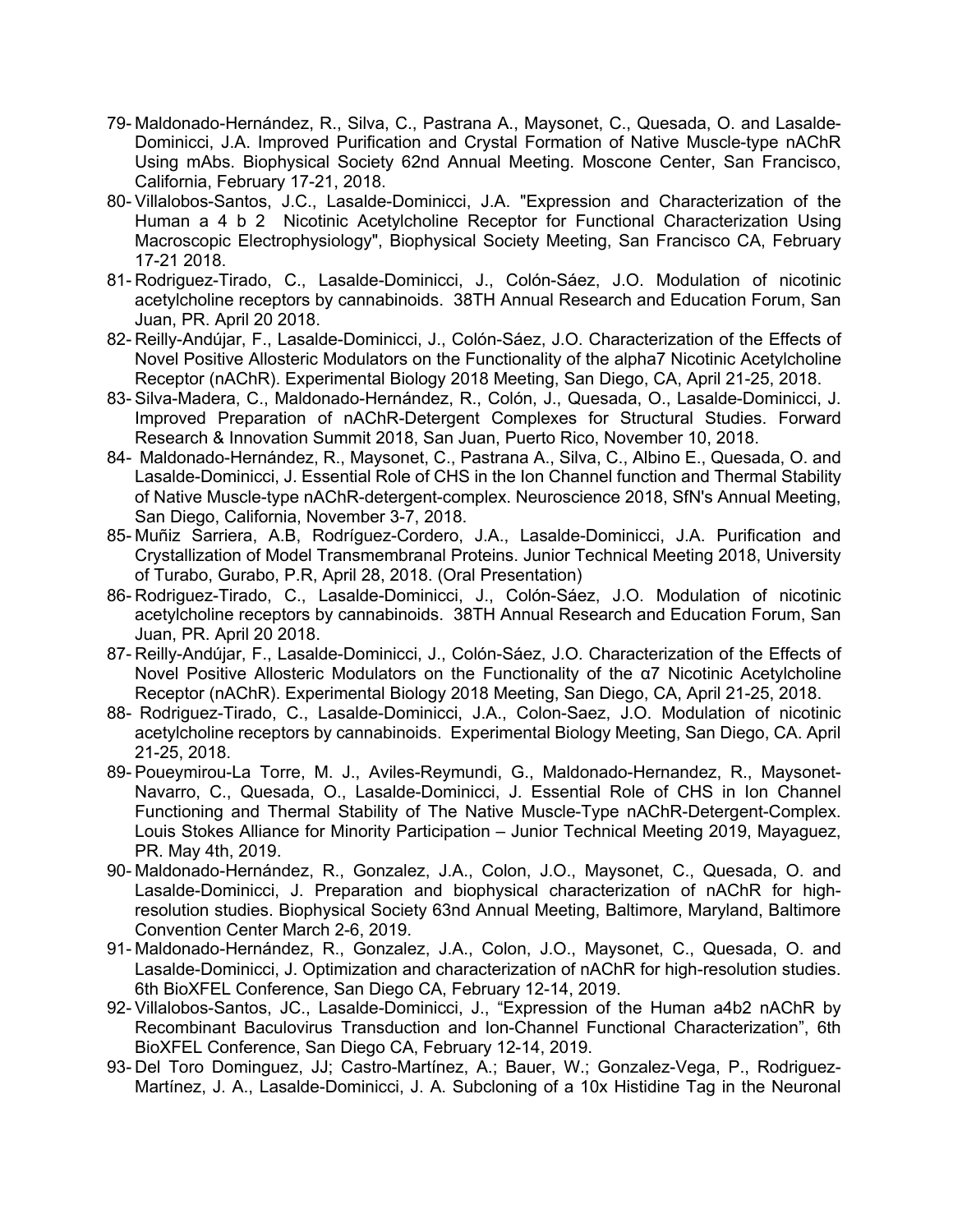- 79- Maldonado-Hernández, R., Silva, C., Pastrana A., Maysonet, C., Quesada, O. and Lasalde-Dominicci, J.A. Improved Purification and Crystal Formation of Native Muscle-type nAChR Using mAbs. Biophysical Society 62nd Annual Meeting. Moscone Center, San Francisco, California, February 17-21, 2018.
- 80- Villalobos-Santos, J.C., Lasalde-Dominicci, J.A. "Expression and Characterization of the Human a 4 b 2 Nicotinic Acetylcholine Receptor for Functional Characterization Using Macroscopic Electrophysiology", Biophysical Society Meeting, San Francisco CA, February 17-21 2018.
- 81- Rodriguez-Tirado, C., Lasalde-Dominicci, J., Colón-Sáez, J.O. Modulation of nicotinic acetylcholine receptors by cannabinoids. 38TH Annual Research and Education Forum, San Juan, PR. April 20 2018.
- 82- Reilly-Andújar, F., Lasalde-Dominicci, J., Colón-Sáez, J.O. Characterization of the Effects of Novel Positive Allosteric Modulators on the Functionality of the alpha7 Nicotinic Acetylcholine Receptor (nAChR). Experimental Biology 2018 Meeting, San Diego, CA, April 21-25, 2018.
- 83- Silva-Madera, C., Maldonado-Hernández, R., Colón, J., Quesada, O., Lasalde-Dominicci, J. Improved Preparation of nAChR-Detergent Complexes for Structural Studies. Forward Research & Innovation Summit 2018, San Juan, Puerto Rico, November 10, 2018.
- 84- Maldonado-Hernández, R., Maysonet, C., Pastrana A., Silva, C., Albino E., Quesada, O. and Lasalde-Dominicci, J. Essential Role of CHS in the Ion Channel function and Thermal Stability of Native Muscle-type nAChR-detergent-complex. Neuroscience 2018, SfN's Annual Meeting, San Diego, California, November 3-7, 2018.
- 85- Muñiz Sarriera, A.B, Rodríguez-Cordero, J.A., Lasalde-Dominicci, J.A. Purification and Crystallization of Model Transmembranal Proteins. Junior Technical Meeting 2018, University of Turabo, Gurabo, P.R, April 28, 2018. (Oral Presentation)
- 86- Rodriguez-Tirado, C., Lasalde-Dominicci, J., Colón-Sáez, J.O. Modulation of nicotinic acetylcholine receptors by cannabinoids. 38TH Annual Research and Education Forum, San Juan, PR. April 20 2018.
- 87- Reilly-Andújar, F., Lasalde-Dominicci, J., Colón-Sáez, J.O. Characterization of the Effects of Novel Positive Allosteric Modulators on the Functionality of the α7 Nicotinic Acetylcholine Receptor (nAChR). Experimental Biology 2018 Meeting, San Diego, CA, April 21-25, 2018.
- 88- Rodriguez-Tirado, C., Lasalde-Dominicci, J.A., Colon-Saez, J.O. Modulation of nicotinic acetylcholine receptors by cannabinoids. Experimental Biology Meeting, San Diego, CA. April 21-25, 2018.
- 89- Poueymirou-La Torre, M. J., Aviles-Reymundi, G., Maldonado-Hernandez, R., Maysonet-Navarro, C., Quesada, O., Lasalde-Dominicci, J. Essential Role of CHS in Ion Channel Functioning and Thermal Stability of The Native Muscle-Type nAChR-Detergent-Complex. Louis Stokes Alliance for Minority Participation – Junior Technical Meeting 2019, Mayaguez, PR. May 4th, 2019.
- 90- Maldonado-Hernández, R., Gonzalez, J.A., Colon, J.O., Maysonet, C., Quesada, O. and Lasalde-Dominicci, J. Preparation and biophysical characterization of nAChR for highresolution studies. Biophysical Society 63nd Annual Meeting, Baltimore, Maryland, Baltimore Convention Center March 2-6, 2019.
- 91- Maldonado-Hernández, R., Gonzalez, J.A., Colon, J.O., Maysonet, C., Quesada, O. and Lasalde-Dominicci, J. Optimization and characterization of nAChR for high-resolution studies. 6th BioXFEL Conference, San Diego CA, February 12-14, 2019.
- 92- Villalobos-Santos, JC., Lasalde-Dominicci, J., "Expression of the Human a4b2 nAChR by Recombinant Baculovirus Transduction and Ion-Channel Functional Characterization", 6th BioXFEL Conference, San Diego CA, February 12-14, 2019.
- 93- Del Toro Dominguez, JJ; Castro-Martínez, A.; Bauer, W.; Gonzalez-Vega, P., Rodriguez-Martínez, J. A., Lasalde-Dominicci, J. A. Subcloning of a 10x Histidine Tag in the Neuronal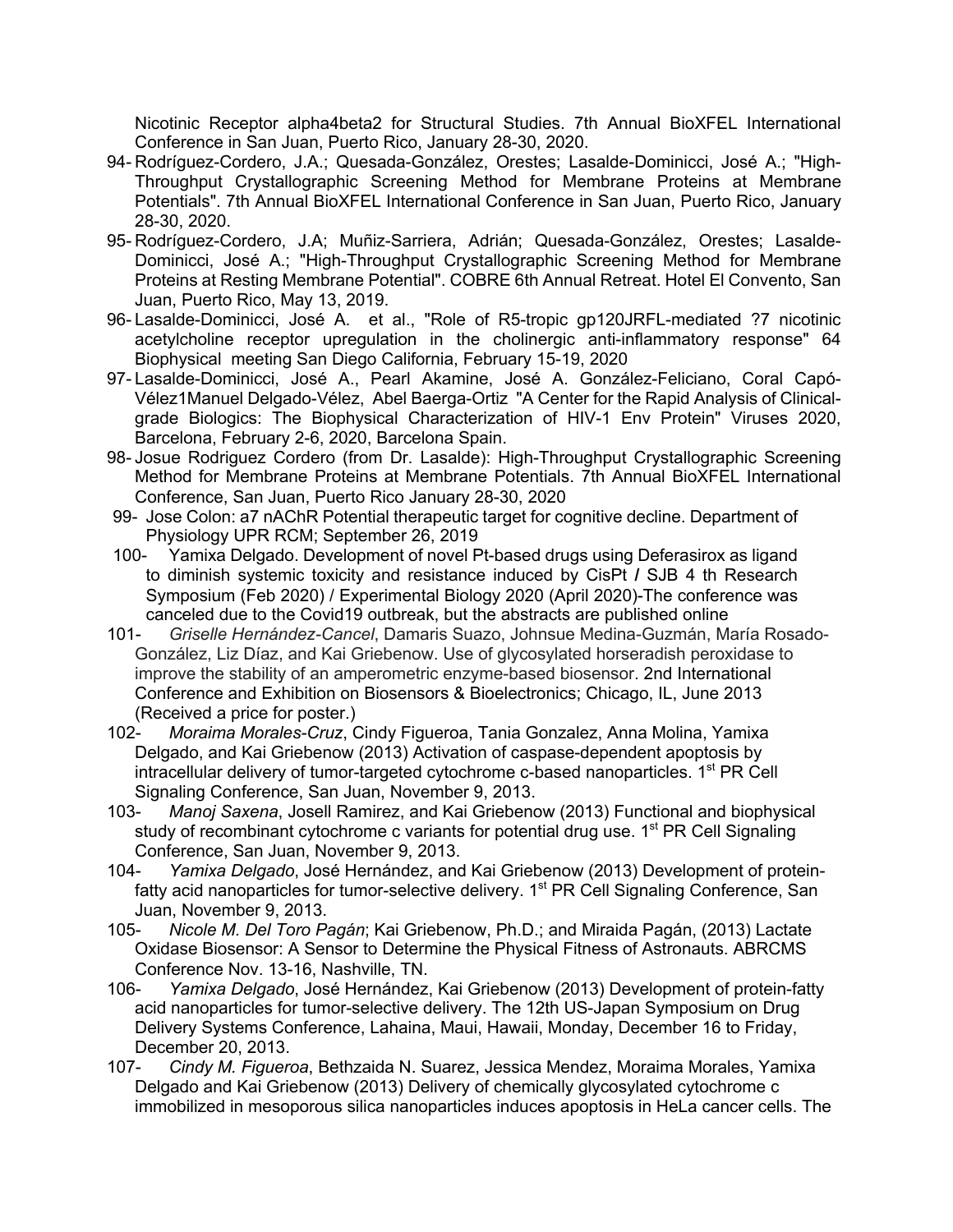Nicotinic Receptor alpha4beta2 for Structural Studies. 7th Annual BioXFEL International Conference in San Juan, Puerto Rico, January 28-30, 2020.

- 94- Rodríguez-Cordero, J.A.; Quesada-González, Orestes; Lasalde-Dominicci, José A.; "High-Throughput Crystallographic Screening Method for Membrane Proteins at Membrane Potentials". 7th Annual BioXFEL International Conference in San Juan, Puerto Rico, January 28-30, 2020.
- 95- Rodríguez-Cordero, J.A; Muñiz-Sarriera, Adrián; Quesada-González, Orestes; Lasalde-Dominicci, José A.; "High-Throughput Crystallographic Screening Method for Membrane Proteins at Resting Membrane Potential". COBRE 6th Annual Retreat. Hotel El Convento, San Juan, Puerto Rico, May 13, 2019.
- 96- Lasalde-Dominicci, José A. et al., "Role of R5-tropic gp120JRFL-mediated ?7 nicotinic acetylcholine receptor upregulation in the cholinergic anti-inflammatory response" 64 Biophysical meeting San Diego California, February 15-19, 2020
- 97- Lasalde-Dominicci, José A., Pearl Akamine, José A. González-Feliciano, Coral Capó-Vélez1Manuel Delgado-Vélez, Abel Baerga-Ortiz "A Center for the Rapid Analysis of Clinicalgrade Biologics: The Biophysical Characterization of HIV-1 Env Protein" Viruses 2020, Barcelona, February 2-6, 2020, Barcelona Spain.
- 98- Josue Rodriguez Cordero (from Dr. Lasalde): High-Throughput Crystallographic Screening Method for Membrane Proteins at Membrane Potentials. 7th Annual BioXFEL International Conference, San Juan, Puerto Rico January 28-30, 2020
- 99- Jose Colon: a7 nAChR Potential therapeutic target for cognitive decline. Department of Physiology UPR RCM; September 26, 2019
- 100- Yamixa Delgado. Development of novel Pt-based drugs using Deferasirox as ligand to diminish systemic toxicity and resistance induced by CisPt **/** SJB 4 th Research Symposium (Feb 2020) / Experimental Biology 2020 (April 2020)-The conference was canceled due to the Covid19 outbreak, but the abstracts are published online
- 101- *Griselle Hernández-Cancel*, Damaris Suazo, Johnsue Medina-Guzmán, María Rosado-González, Liz Díaz, and Kai Griebenow. Use of glycosylated horseradish peroxidase to improve the stability of an amperometric enzyme-based biosensor. 2nd International Conference and Exhibition on Biosensors & Bioelectronics; Chicago, IL, June 2013 (Received a price for poster.)
- 102- *Moraima Morales-Cruz*, Cindy Figueroa, Tania Gonzalez, Anna Molina, Yamixa Delgado, and Kai Griebenow (2013) Activation of caspase-dependent apoptosis by intracellular delivery of tumor-targeted cytochrome c-based nanoparticles. 1<sup>st</sup> PR Cell Signaling Conference, San Juan, November 9, 2013.
- 103- *Manoj Saxena*, Josell Ramirez, and Kai Griebenow (2013) Functional and biophysical study of recombinant cytochrome c variants for potential drug use. 1<sup>st</sup> PR Cell Signaling Conference, San Juan, November 9, 2013.
- 104- *Yamixa Delgado*, José Hernández, and Kai Griebenow (2013) Development of proteinfatty acid nanoparticles for tumor-selective delivery. 1<sup>st</sup> PR Cell Signaling Conference, San Juan, November 9, 2013.
- 105- *Nicole M. Del Toro Pagán*; Kai Griebenow, Ph.D.; and Miraida Pagán, (2013) Lactate Oxidase Biosensor: A Sensor to Determine the Physical Fitness of Astronauts. ABRCMS Conference Nov. 13-16, Nashville, TN.
- 106- *Yamixa Delgado*, José Hernández, Kai Griebenow (2013) Development of protein-fatty acid nanoparticles for tumor-selective delivery. The 12th US-Japan Symposium on Drug Delivery Systems Conference, Lahaina, Maui, Hawaii, Monday, December 16 to Friday, December 20, 2013.
- 107- *Cindy M. Figueroa*, Bethzaida N. Suarez, Jessica Mendez, Moraima Morales, Yamixa Delgado and Kai Griebenow (2013) Delivery of chemically glycosylated cytochrome c immobilized in mesoporous silica nanoparticles induces apoptosis in HeLa cancer cells. The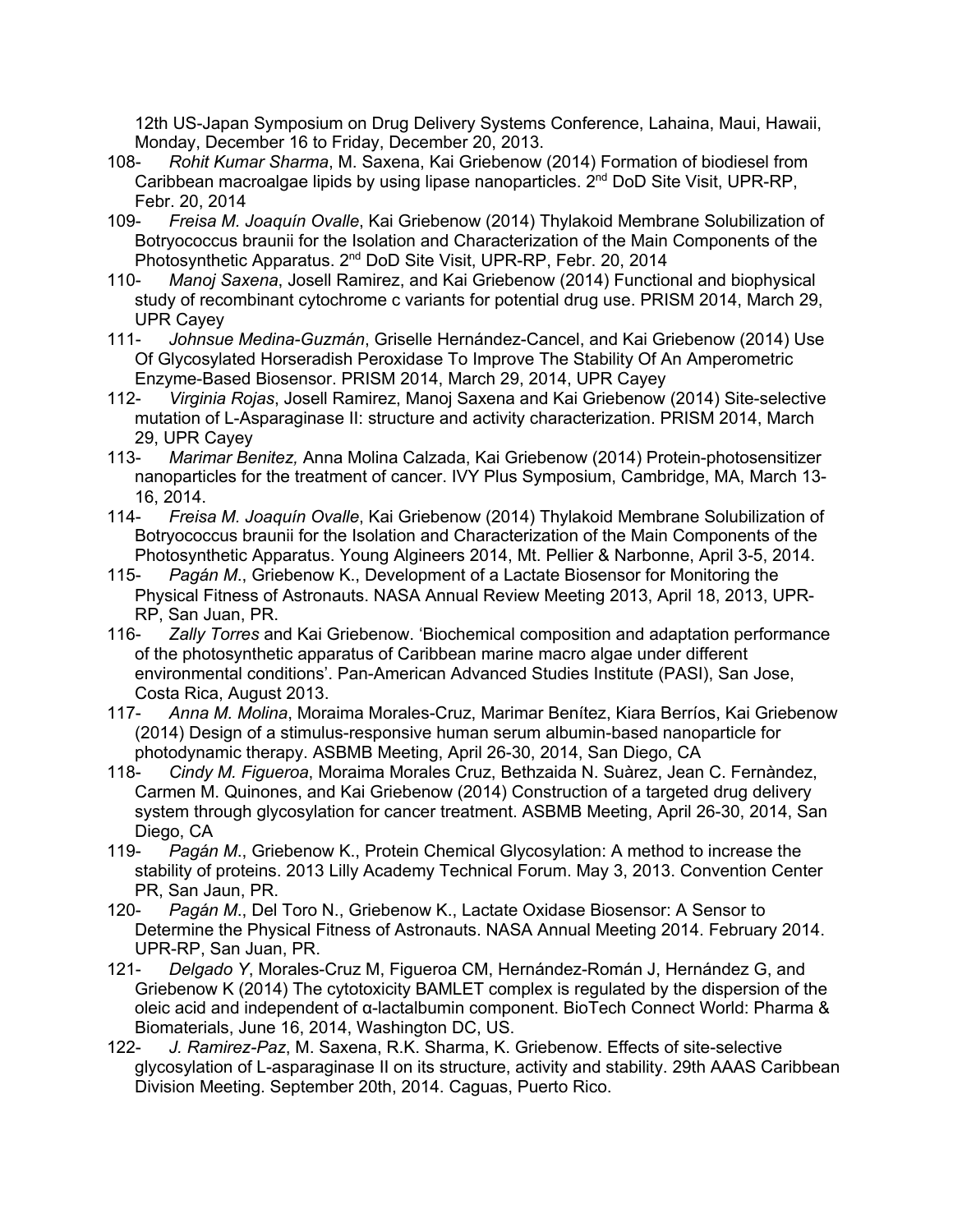12th US-Japan Symposium on Drug Delivery Systems Conference, Lahaina, Maui, Hawaii, Monday, December 16 to Friday, December 20, 2013.

- 108- *Rohit Kumar Sharma*, M. Saxena, Kai Griebenow (2014) Formation of biodiesel from Caribbean macroalgae lipids by using lipase nanoparticles. 2<sup>nd</sup> DoD Site Visit, UPR-RP, Febr. 20, 2014
- 109- *Freisa M. Joaquín Ovalle*, Kai Griebenow (2014) Thylakoid Membrane Solubilization of Botryococcus braunii for the Isolation and Characterization of the Main Components of the Photosynthetic Apparatus. 2<sup>nd</sup> DoD Site Visit, UPR-RP, Febr. 20, 2014
- 110- *Manoj Saxena*, Josell Ramirez, and Kai Griebenow (2014) Functional and biophysical study of recombinant cytochrome c variants for potential drug use. PRISM 2014, March 29, UPR Cayey
- 111- *Johnsue Medina-Guzmán*, Griselle Hernández-Cancel, and Kai Griebenow (2014) Use Of Glycosylated Horseradish Peroxidase To Improve The Stability Of An Amperometric Enzyme-Based Biosensor. PRISM 2014, March 29, 2014, UPR Cayey
- 112- *Virginia Rojas*, Josell Ramirez, Manoj Saxena and Kai Griebenow (2014) Site-selective mutation of L-Asparaginase II: structure and activity characterization. PRISM 2014, March 29, UPR Cayey
- 113- *Marimar Benitez,* Anna Molina Calzada, Kai Griebenow (2014) Protein-photosensitizer nanoparticles for the treatment of cancer. IVY Plus Symposium, Cambridge, MA, March 13- 16, 2014.
- 114- *Freisa M. Joaquín Ovalle*, Kai Griebenow (2014) Thylakoid Membrane Solubilization of Botryococcus braunii for the Isolation and Characterization of the Main Components of the Photosynthetic Apparatus. Young Algineers 2014, Mt. Pellier & Narbonne, April 3-5, 2014.
- 115- *Pagán M*., Griebenow K., Development of a Lactate Biosensor for Monitoring the Physical Fitness of Astronauts. NASA Annual Review Meeting 2013, April 18, 2013, UPR-RP, San Juan, PR.
- 116- *Zally Torres* and Kai Griebenow. 'Biochemical composition and adaptation performance of the photosynthetic apparatus of Caribbean marine macro algae under different environmental conditions'. Pan-American Advanced Studies Institute (PASI), San Jose, Costa Rica, August 2013.
- 117- *Anna M. Molina*, Moraima Morales-Cruz, Marimar Benítez, Kiara Berríos, Kai Griebenow (2014) Design of a stimulus-responsive human serum albumin-based nanoparticle for photodynamic therapy. ASBMB Meeting, April 26-30, 2014, San Diego, CA
- 118- *Cindy M. Figueroa*, Moraima Morales Cruz, Bethzaida N. Suàrez, Jean C. Fernàndez, Carmen M. Quinones, and Kai Griebenow (2014) Construction of a targeted drug delivery system through glycosylation for cancer treatment. ASBMB Meeting, April 26-30, 2014, San Diego, CA
- 119- *Pagán M*., Griebenow K., Protein Chemical Glycosylation: A method to increase the stability of proteins. 2013 Lilly Academy Technical Forum. May 3, 2013. Convention Center PR, San Jaun, PR.
- 120- *Pagán M*., Del Toro N., Griebenow K., Lactate Oxidase Biosensor: A Sensor to Determine the Physical Fitness of Astronauts. NASA Annual Meeting 2014. February 2014. UPR-RP, San Juan, PR.
- 121- *Delgado Y*, Morales-Cruz M, Figueroa CM, Hernández-Román J, Hernández G, and Griebenow K (2014) The cytotoxicity BAMLET complex is regulated by the dispersion of the oleic acid and independent of α-lactalbumin component. BioTech Connect World: Pharma & Biomaterials, June 16, 2014, Washington DC, US.
- 122- *J. Ramirez-Paz*, M. Saxena, R.K. Sharma, K. Griebenow. Effects of site-selective glycosylation of L-asparaginase II on its structure, activity and stability. 29th AAAS Caribbean Division Meeting. September 20th, 2014. Caguas, Puerto Rico.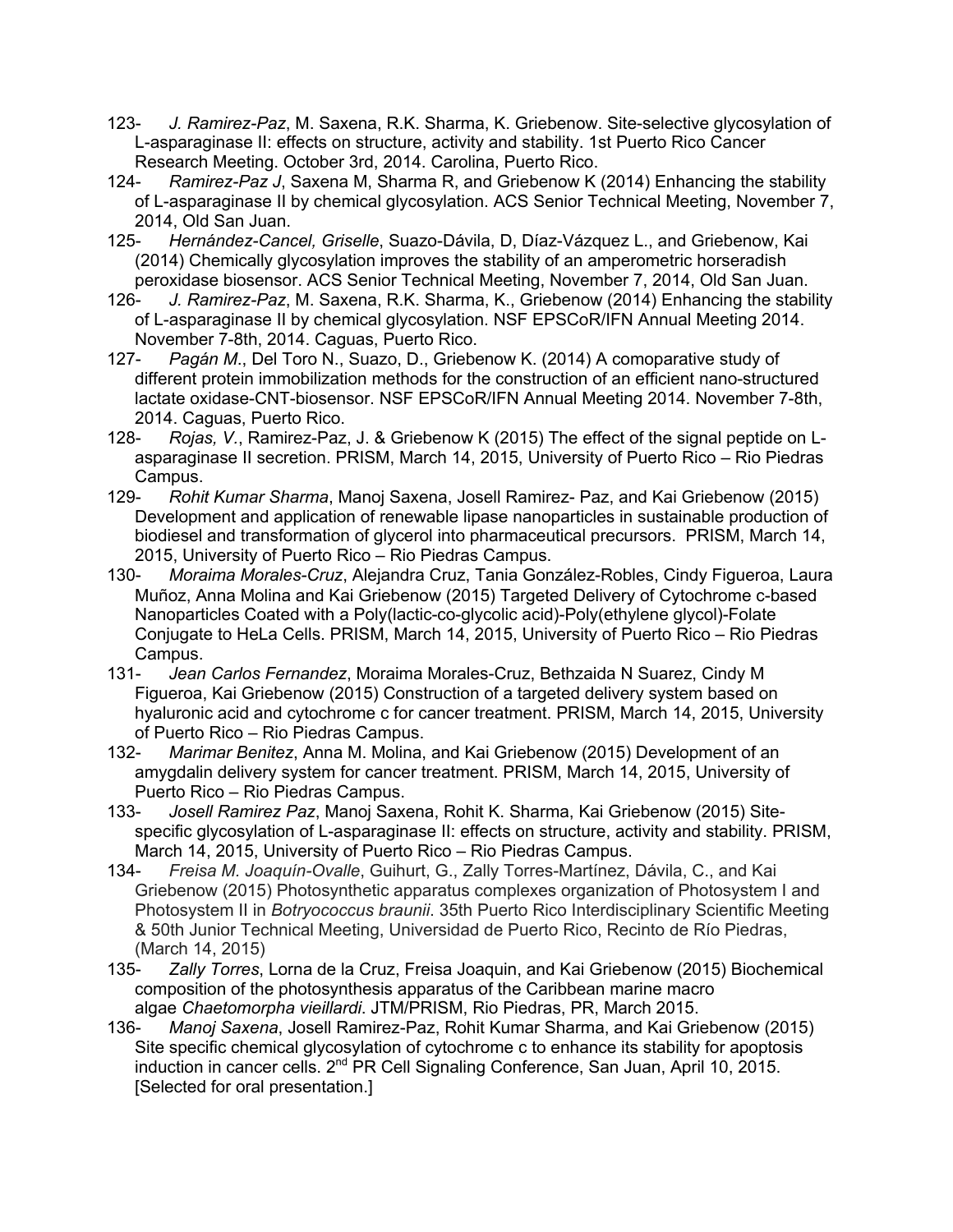- 123- *J. Ramirez-Paz*, M. Saxena, R.K. Sharma, K. Griebenow. Site-selective glycosylation of L-asparaginase II: effects on structure, activity and stability. 1st Puerto Rico Cancer Research Meeting. October 3rd, 2014. Carolina, Puerto Rico.
- 124- *Ramirez-Paz J*, Saxena M, Sharma R, and Griebenow K (2014) Enhancing the stability of L-asparaginase II by chemical glycosylation. ACS Senior Technical Meeting, November 7, 2014, Old San Juan.
- 125- *Hernández-Cancel, Griselle*, Suazo-Dávila, D, Díaz-Vázquez L., and Griebenow, Kai (2014) Chemically glycosylation improves the stability of an amperometric horseradish peroxidase biosensor. ACS Senior Technical Meeting, November 7, 2014, Old San Juan.
- 126- *J. Ramirez-Paz*, M. Saxena, R.K. Sharma, K., Griebenow (2014) Enhancing the stability of L-asparaginase II by chemical glycosylation. NSF EPSCoR/IFN Annual Meeting 2014. November 7-8th, 2014. Caguas, Puerto Rico.
- 127- *Pagán M*., Del Toro N., Suazo, D., Griebenow K. (2014) A comoparative study of different protein immobilization methods for the construction of an efficient nano-structured lactate oxidase-CNT-biosensor. NSF EPSCoR/IFN Annual Meeting 2014. November 7-8th, 2014. Caguas, Puerto Rico.
- 128- *Rojas, V.*, Ramirez-Paz, J. & Griebenow K (2015) The effect of the signal peptide on Lasparaginase II secretion. PRISM, March 14, 2015, University of Puerto Rico – Rio Piedras Campus.
- 129- *Rohit Kumar Sharma*, Manoj Saxena, Josell Ramirez- Paz, and Kai Griebenow (2015) Development and application of renewable lipase nanoparticles in sustainable production of biodiesel and transformation of glycerol into pharmaceutical precursors. PRISM, March 14, 2015, University of Puerto Rico – Rio Piedras Campus.
- 130- *Moraima Morales-Cruz*, Alejandra Cruz, Tania González-Robles, Cindy Figueroa, Laura Muñoz, Anna Molina and Kai Griebenow (2015) Targeted Delivery of Cytochrome c-based Nanoparticles Coated with a Poly(lactic-co-glycolic acid)-Poly(ethylene glycol)-Folate Conjugate to HeLa Cells. PRISM, March 14, 2015, University of Puerto Rico – Rio Piedras Campus.
- 131- *Jean Carlos Fernandez*, Moraima Morales-Cruz, Bethzaida N Suarez, Cindy M Figueroa, Kai Griebenow (2015) Construction of a targeted delivery system based on hyaluronic acid and cytochrome c for cancer treatment. PRISM, March 14, 2015, University of Puerto Rico – Rio Piedras Campus.
- 132- *Marimar Benitez*, Anna M. Molina, and Kai Griebenow (2015) Development of an amygdalin delivery system for cancer treatment. PRISM, March 14, 2015, University of Puerto Rico – Rio Piedras Campus.
- 133- *Josell Ramirez Paz*, Manoj Saxena, Rohit K. Sharma, Kai Griebenow (2015) Sitespecific glycosylation of L-asparaginase II: effects on structure, activity and stability. PRISM, March 14, 2015, University of Puerto Rico – Rio Piedras Campus.
- 134- *Freisa M. Joaquín-Ovalle*, Guihurt, G., Zally Torres-Martínez, Dávila, C., and Kai Griebenow (2015) Photosynthetic apparatus complexes organization of Photosystem I and Photosystem II in *Botryococcus braunii*. 35th Puerto Rico Interdisciplinary Scientific Meeting & 50th Junior Technical Meeting, Universidad de Puerto Rico, Recinto de Río Piedras, (March 14, 2015)
- 135- *Zally Torres*, Lorna de la Cruz, Freisa Joaquin, and Kai Griebenow (2015) Biochemical composition of the photosynthesis apparatus of the Caribbean marine macro algae *Chaetomorpha vieillardi*. JTM/PRISM, Rio Piedras, PR, March 2015.
- 136- *Manoj Saxena*, Josell Ramirez-Paz, Rohit Kumar Sharma, and Kai Griebenow (2015) Site specific chemical glycosylation of cytochrome c to enhance its stability for apoptosis induction in cancer cells. 2<sup>nd</sup> PR Cell Signaling Conference, San Juan, April 10, 2015. [Selected for oral presentation.]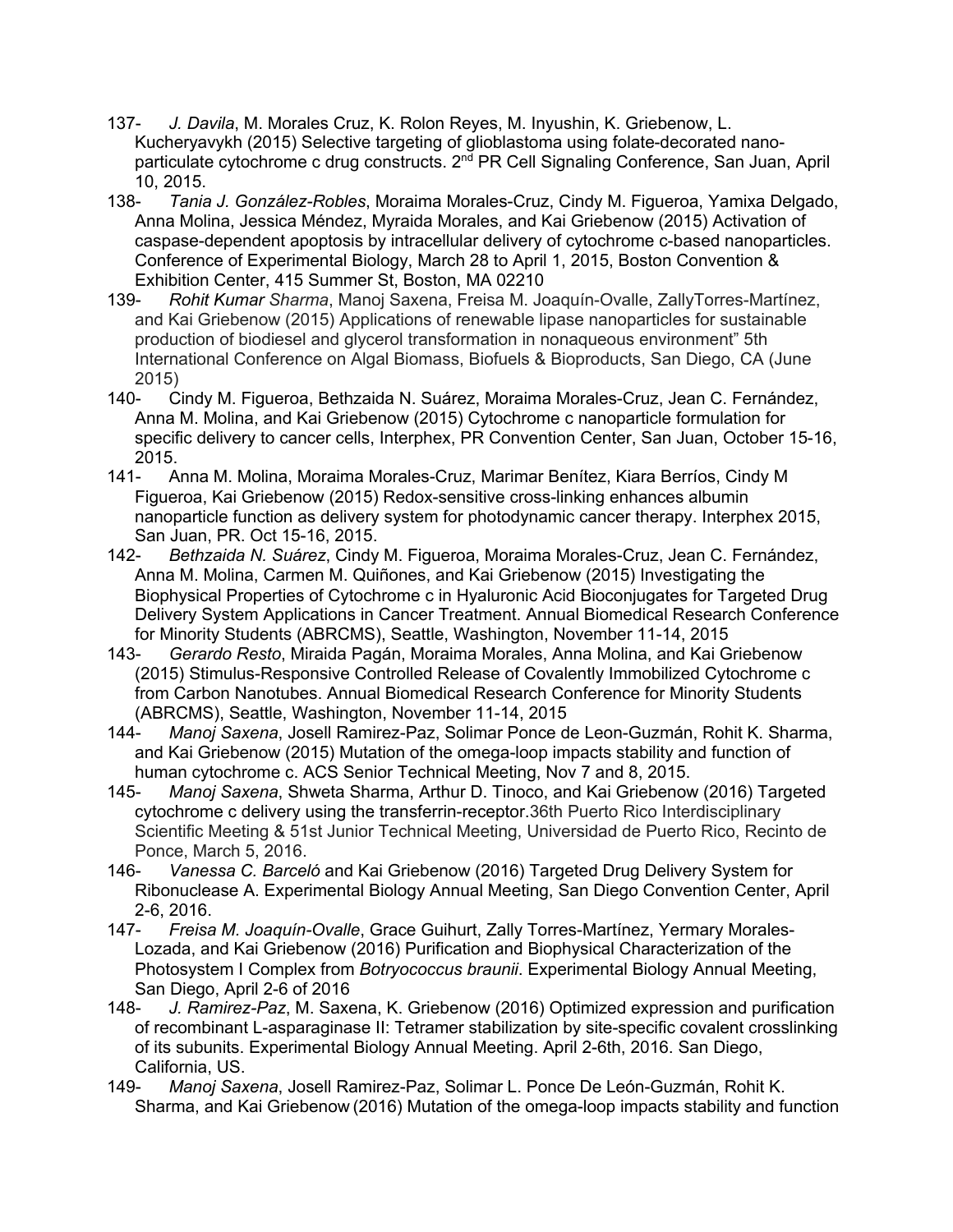- 137- *J. Davila*, M. Morales Cruz, K. Rolon Reyes, M. Inyushin, K. Griebenow, L. Kucheryavykh (2015) Selective targeting of glioblastoma using folate-decorated nanoparticulate cytochrome c drug constructs. 2<sup>nd</sup> PR Cell Signaling Conference, San Juan, April 10, 2015.
- 138- *Tania J. González-Robles*, Moraima Morales-Cruz, Cindy M. Figueroa, Yamixa Delgado, Anna Molina, Jessica Méndez, Myraida Morales, and Kai Griebenow (2015) Activation of caspase-dependent apoptosis by intracellular delivery of cytochrome c-based nanoparticles. Conference of Experimental Biology, March 28 to April 1, 2015, Boston Convention & Exhibition Center, 415 Summer St, Boston, MA 02210
- 139- *Rohit Kumar Sharma*, Manoj Saxena, Freisa M. Joaquín-Ovalle, ZallyTorres-Martínez, and Kai Griebenow (2015) Applications of renewable lipase nanoparticles for sustainable production of biodiesel and glycerol transformation in nonaqueous environment" 5th International Conference on Algal Biomass, Biofuels & Bioproducts, San Diego, CA (June 2015)
- 140- Cindy M. Figueroa, Bethzaida N. Suárez, Moraima Morales-Cruz, Jean C. Fernández, Anna M. Molina, and Kai Griebenow (2015) Cytochrome c nanoparticle formulation for specific delivery to cancer cells, Interphex, PR Convention Center, San Juan, October 15-16, 2015.
- 141- Anna M. Molina, Moraima Morales-Cruz, Marimar Benítez, Kiara Berríos, Cindy M Figueroa, Kai Griebenow (2015) Redox-sensitive cross-linking enhances albumin nanoparticle function as delivery system for photodynamic cancer therapy. Interphex 2015, San Juan, PR. Oct 15-16, 2015.
- 142- *Bethzaida N. Suárez*, Cindy M. Figueroa, Moraima Morales-Cruz, Jean C. Fernández, Anna M. Molina, Carmen M. Quiñones, and Kai Griebenow (2015) Investigating the Biophysical Properties of Cytochrome c in Hyaluronic Acid Bioconjugates for Targeted Drug Delivery System Applications in Cancer Treatment. Annual Biomedical Research Conference for Minority Students (ABRCMS), Seattle, Washington, November 11-14, 2015
- 143- *Gerardo Resto*, Miraida Pagán, Moraima Morales, Anna Molina, and Kai Griebenow (2015) Stimulus-Responsive Controlled Release of Covalently Immobilized Cytochrome c from Carbon Nanotubes. Annual Biomedical Research Conference for Minority Students (ABRCMS), Seattle, Washington, November 11-14, 2015
- 144- *Manoj Saxena*, Josell Ramirez-Paz, Solimar Ponce de Leon-Guzmán, Rohit K. Sharma, and Kai Griebenow (2015) Mutation of the omega-loop impacts stability and function of human cytochrome c. ACS Senior Technical Meeting, Nov 7 and 8, 2015.
- 145- *Manoj Saxena*, Shweta Sharma, Arthur D. Tinoco, and Kai Griebenow (2016) Targeted cytochrome c delivery using the transferrin-receptor.36th Puerto Rico Interdisciplinary Scientific Meeting & 51st Junior Technical Meeting, Universidad de Puerto Rico, Recinto de Ponce, March 5, 2016.
- 146- *Vanessa C. Barceló* and Kai Griebenow (2016) Targeted Drug Delivery System for Ribonuclease A. Experimental Biology Annual Meeting, San Diego Convention Center, April 2-6, 2016.
- 147- *Freisa M. Joaquín-Ovalle*, Grace Guihurt, Zally Torres-Martínez, Yermary Morales-Lozada, and Kai Griebenow (2016) Purification and Biophysical Characterization of the Photosystem I Complex from *Botryococcus braunii*. Experimental Biology Annual Meeting, San Diego, April 2-6 of 2016
- 148- *J. Ramirez-Paz*, M. Saxena, K. Griebenow (2016) Optimized expression and purification of recombinant L-asparaginase II: Tetramer stabilization by site-specific covalent crosslinking of its subunits. Experimental Biology Annual Meeting. April 2-6th, 2016. San Diego, California, US.
- 149- *Manoj Saxena*, Josell Ramirez-Paz, Solimar L. Ponce De León-Guzmán, Rohit K. Sharma, and Kai Griebenow (2016) Mutation of the omega-loop impacts stability and function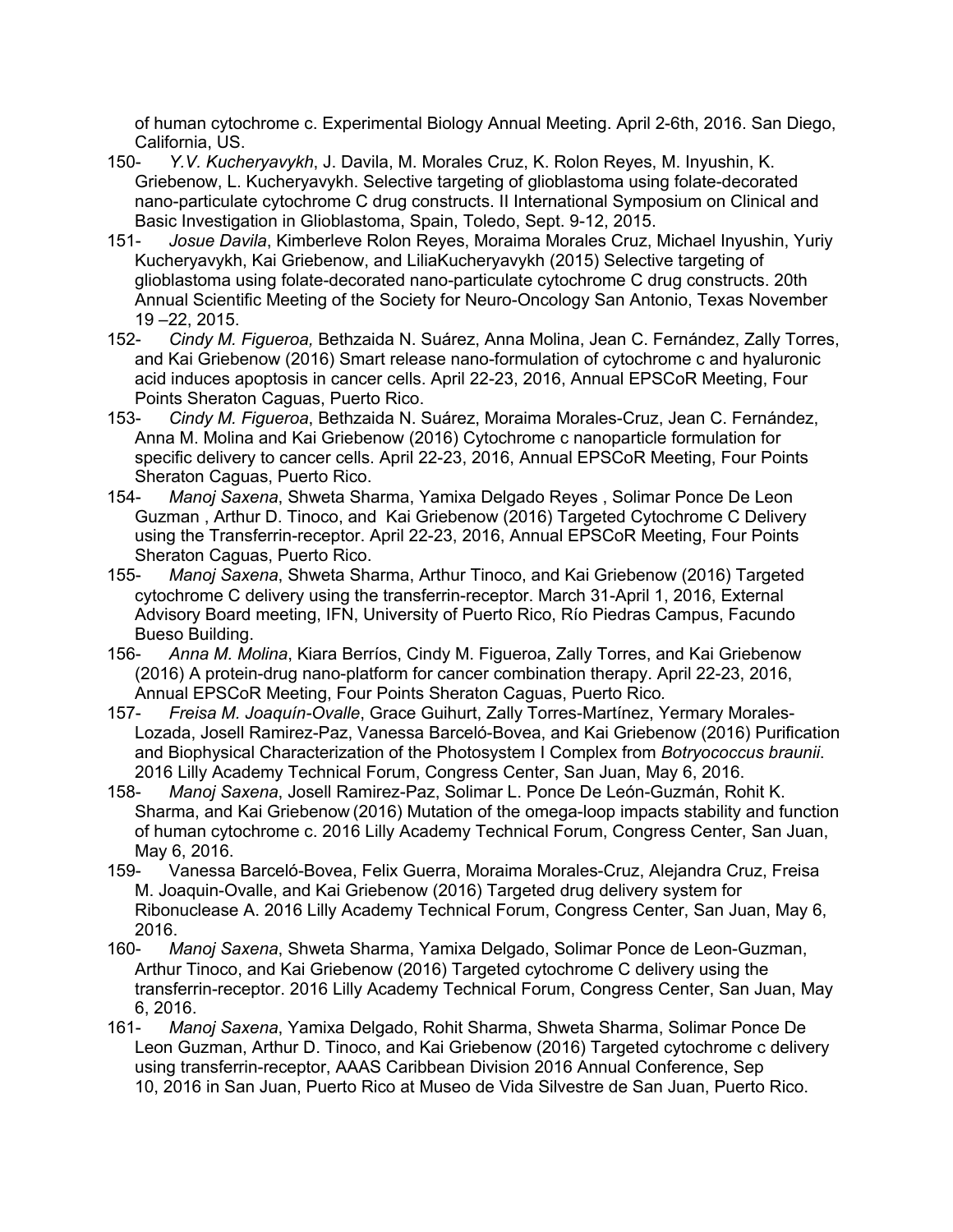of human cytochrome c. Experimental Biology Annual Meeting. April 2-6th, 2016. San Diego, California, US.

- 150- *Y.V. Kucheryavykh*, J. Davila, M. Morales Cruz, K. Rolon Reyes, M. Inyushin, K. Griebenow, L. Kucheryavykh. Selective targeting of glioblastoma using folate-decorated nano-particulate cytochrome C drug constructs. II International Symposium on Clinical and Basic Investigation in Glioblastoma, Spain, Toledo, Sept. 9-12, 2015.
- 151- *Josue Davila*, Kimberleve Rolon Reyes, Moraima Morales Cruz, Michael Inyushin, Yuriy Kucheryavykh, Kai Griebenow, and LiliaKucheryavykh (2015) Selective targeting of glioblastoma using folate-decorated nano-particulate cytochrome C drug constructs. 20th Annual Scientific Meeting of the Society for Neuro-Oncology San Antonio, Texas November 19 –22, 2015.
- 152- *Cindy M. Figueroa,* Bethzaida N. Suárez, Anna Molina, Jean C. Fernández, Zally Torres, and Kai Griebenow (2016) Smart release nano-formulation of cytochrome c and hyaluronic acid induces apoptosis in cancer cells. April 22-23, 2016, Annual EPSCoR Meeting, Four Points Sheraton Caguas, Puerto Rico.
- 153- *Cindy M. Figueroa*, Bethzaida N. Suárez, Moraima Morales-Cruz, Jean C. Fernández, Anna M. Molina and Kai Griebenow (2016) Cytochrome c nanoparticle formulation for specific delivery to cancer cells. April 22-23, 2016, Annual EPSCoR Meeting, Four Points Sheraton Caguas, Puerto Rico.
- 154- *Manoj Saxena*, Shweta Sharma, Yamixa Delgado Reyes , Solimar Ponce De Leon Guzman , Arthur D. Tinoco, and Kai Griebenow (2016) Targeted Cytochrome C Delivery using the Transferrin-receptor. April 22-23, 2016, Annual EPSCoR Meeting, Four Points Sheraton Caguas, Puerto Rico.
- 155- *Manoj Saxena*, Shweta Sharma, Arthur Tinoco, and Kai Griebenow (2016) Targeted cytochrome C delivery using the transferrin-receptor. March 31-April 1, 2016, External Advisory Board meeting, IFN, University of Puerto Rico, Río Piedras Campus, Facundo Bueso Building.
- 156- *Anna M. Molina*, Kiara Berríos, Cindy M. Figueroa, Zally Torres, and Kai Griebenow (2016) A protein-drug nano-platform for cancer combination therapy. April 22-23, 2016, Annual EPSCoR Meeting, Four Points Sheraton Caguas, Puerto Rico*.*
- 157- *Freisa M. Joaquín-Ovalle*, Grace Guihurt, Zally Torres-Martínez, Yermary Morales-Lozada, Josell Ramirez-Paz, Vanessa Barceló-Bovea, and Kai Griebenow (2016) Purification and Biophysical Characterization of the Photosystem I Complex from *Botryococcus braunii*. 2016 Lilly Academy Technical Forum, Congress Center, San Juan, May 6, 2016.
- 158- *Manoj Saxena*, Josell Ramirez-Paz, Solimar L. Ponce De León-Guzmán, Rohit K. Sharma, and Kai Griebenow (2016) Mutation of the omega-loop impacts stability and function of human cytochrome c. 2016 Lilly Academy Technical Forum, Congress Center, San Juan, May 6, 2016.
- 159- Vanessa Barceló-Bovea, Felix Guerra, Moraima Morales-Cruz, Alejandra Cruz, Freisa M. Joaquin-Ovalle, and Kai Griebenow (2016) Targeted drug delivery system for Ribonuclease A. 2016 Lilly Academy Technical Forum, Congress Center, San Juan, May 6, 2016.
- 160- *Manoj Saxena*, Shweta Sharma, Yamixa Delgado, Solimar Ponce de Leon-Guzman, Arthur Tinoco, and Kai Griebenow (2016) Targeted cytochrome C delivery using the transferrin-receptor. 2016 Lilly Academy Technical Forum, Congress Center, San Juan, May 6, 2016.
- 161- *Manoj Saxena*, Yamixa Delgado, Rohit Sharma, Shweta Sharma, Solimar Ponce De Leon Guzman, Arthur D. Tinoco, and Kai Griebenow (2016) Targeted cytochrome c delivery using transferrin-receptor, AAAS Caribbean Division 2016 Annual Conference, Sep 10, 2016 in San Juan, Puerto Rico at Museo de Vida Silvestre de San Juan, Puerto Rico.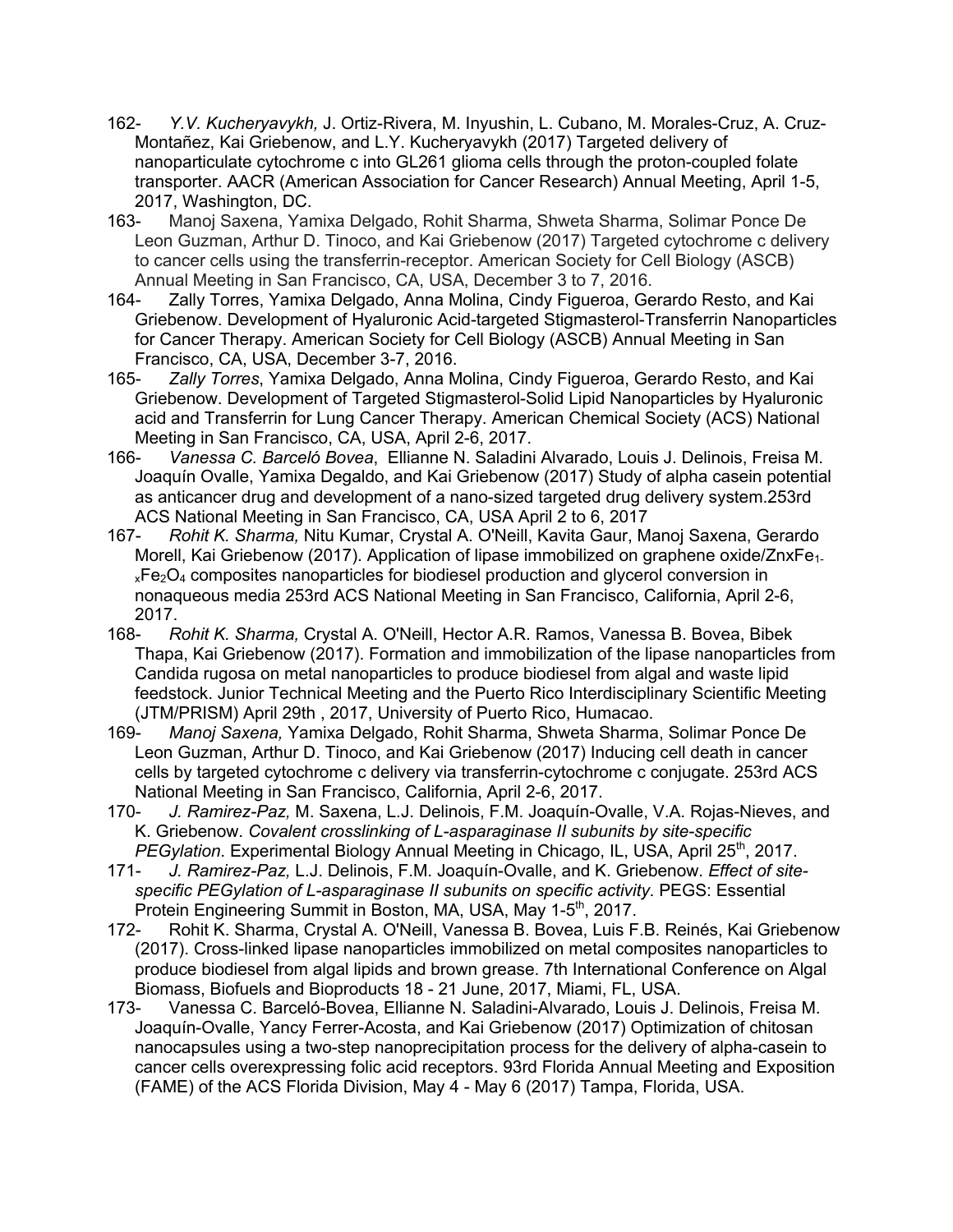- 162- *Y.V. Kucheryavykh,* J. Ortiz-Rivera, M. Inyushin, L. Cubano, M. Morales-Cruz, A. Cruz-Montañez, Kai Griebenow, and L.Y. Kucheryavykh (2017) Targeted delivery of nanoparticulate cytochrome c into GL261 glioma cells through the proton-coupled folate transporter. AACR (American Association for Cancer Research) Annual Meeting, April 1-5, 2017, Washington, DC.
- 163- Manoj Saxena, Yamixa Delgado, Rohit Sharma, Shweta Sharma, Solimar Ponce De Leon Guzman, Arthur D. Tinoco, and Kai Griebenow (2017) Targeted cytochrome c delivery to cancer cells using the transferrin-receptor. American Society for Cell Biology (ASCB) Annual Meeting in San Francisco, CA, USA, December 3 to 7, 2016.
- 164- Zally Torres, Yamixa Delgado, Anna Molina, Cindy Figueroa, Gerardo Resto, and Kai Griebenow. Development of Hyaluronic Acid-targeted Stigmasterol-Transferrin Nanoparticles for Cancer Therapy. American Society for Cell Biology (ASCB) Annual Meeting in San Francisco, CA, USA, December 3-7, 2016.
- 165- *Zally Torres*, Yamixa Delgado, Anna Molina, Cindy Figueroa, Gerardo Resto, and Kai Griebenow. Development of Targeted Stigmasterol-Solid Lipid Nanoparticles by Hyaluronic acid and Transferrin for Lung Cancer Therapy. American Chemical Society (ACS) National Meeting in San Francisco, CA, USA, April 2-6, 2017.
- 166- *Vanessa C. Barceló Bovea*, Ellianne N. Saladini Alvarado, Louis J. Delinois, Freisa M. Joaquín Ovalle, Yamixa Degaldo, and Kai Griebenow (2017) Study of alpha casein potential as anticancer drug and development of a nano-sized targeted drug delivery system.253rd ACS National Meeting in San Francisco, CA, USA April 2 to 6, 2017<br>167- Rohit K. Sharma, Nitu Kumar, Crystal A. O'Neill, Kavita Gaur, M
- 167- *Rohit K. Sharma,* Nitu Kumar, Crystal A. O'Neill, Kavita Gaur, Manoj Saxena, Gerardo Morell, Kai Griebenow (2017). Application of lipase immobilized on graphene oxide/ZnxFe<sub>1-</sub>  $xFe<sub>2</sub>O<sub>4</sub>$  composites nanoparticles for biodiesel production and glycerol conversion in nonaqueous media 253rd ACS National Meeting in San Francisco, California, April 2-6, 2017.
- 168- *Rohit K. Sharma,* Crystal A. O'Neill, Hector A.R. Ramos, Vanessa B. Bovea, Bibek Thapa, Kai Griebenow (2017). Formation and immobilization of the lipase nanoparticles from Candida rugosa on metal nanoparticles to produce biodiesel from algal and waste lipid feedstock. Junior Technical Meeting and the Puerto Rico Interdisciplinary Scientific Meeting (JTM/PRISM) April 29th , 2017, University of Puerto Rico, Humacao.
- 169- *Manoj Saxena,* Yamixa Delgado, Rohit Sharma, Shweta Sharma, Solimar Ponce De Leon Guzman, Arthur D. Tinoco, and Kai Griebenow (2017) Inducing cell death in cancer cells by targeted cytochrome c delivery via transferrin-cytochrome c conjugate. 253rd ACS National Meeting in San Francisco, California, April 2-6, 2017.
- 170- *J. Ramirez-Paz,* M. Saxena, L.J. Delinois, F.M. Joaquín-Ovalle, V.A. Rojas-Nieves, and K. Griebenow. *Covalent crosslinking of L-asparaginase II subunits by site-specific PEGylation*. Experimental Biology Annual Meeting in Chicago, IL, USA, April 25<sup>th</sup>, 2017.
- 171- *J. Ramirez-Paz,* L.J. Delinois, F.M. Joaquín-Ovalle, and K. Griebenow. *Effect of sitespecific PEGylation of L-asparaginase II subunits on specific activity*. PEGS: Essential Protein Engineering Summit in Boston, MA, USA, May 1-5<sup>th</sup>, 2017.
- 172- Rohit K. Sharma, Crystal A. O'Neill, Vanessa B. Bovea, Luis F.B. Reinés, Kai Griebenow (2017). Cross-linked lipase nanoparticles immobilized on metal composites nanoparticles to produce biodiesel from algal lipids and brown grease. 7th International Conference on Algal Biomass, Biofuels and Bioproducts 18 - 21 June, 2017, Miami, FL, USA.
- 173- Vanessa C. Barceló-Bovea, Ellianne N. Saladini-Alvarado, Louis J. Delinois, Freisa M. Joaquín-Ovalle, Yancy Ferrer-Acosta, and Kai Griebenow (2017) Optimization of chitosan nanocapsules using a two-step nanoprecipitation process for the delivery of alpha-casein to cancer cells overexpressing folic acid receptors. 93rd Florida Annual Meeting and Exposition (FAME) of the ACS Florida Division, May 4 - May 6 (2017) Tampa, Florida, USA.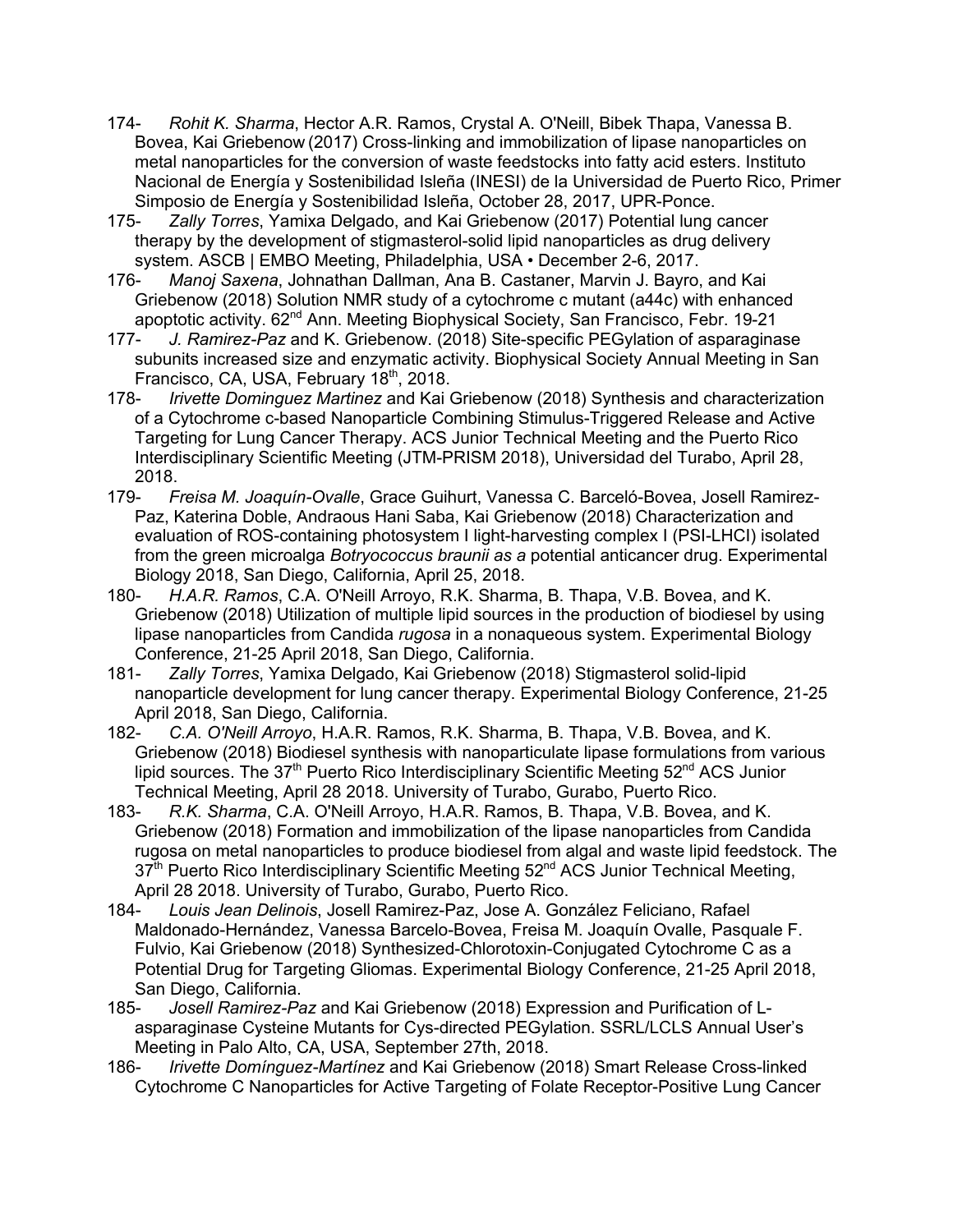- 174- *Rohit K. Sharma*, Hector A.R. Ramos, Crystal A. O'Neill, Bibek Thapa, Vanessa B. Bovea, Kai Griebenow (2017) Cross-linking and immobilization of lipase nanoparticles on metal nanoparticles for the conversion of waste feedstocks into fatty acid esters. Instituto Nacional de Energía y Sostenibilidad Isleña (INESI) de la Universidad de Puerto Rico, Primer Simposio de Energía y Sostenibilidad Isleña, October 28, 2017, UPR-Ponce.
- 175- *Zally Torres*, Yamixa Delgado, and Kai Griebenow (2017) Potential lung cancer therapy by the development of stigmasterol-solid lipid nanoparticles as drug delivery system. ASCB | EMBO Meeting, Philadelphia, USA • December 2-6, 2017.
- 176- *Manoj Saxena*, Johnathan Dallman, Ana B. Castaner, Marvin J. Bayro, and Kai Griebenow (2018) Solution NMR study of a cytochrome c mutant (a44c) with enhanced apoptotic activity. 62<sup>nd</sup> Ann. Meeting Biophysical Society, San Francisco, Febr. 19-21
- 177- *J. Ramirez-Paz* and K. Griebenow. (2018) Site-specific PEGylation of asparaginase subunits increased size and enzymatic activity. Biophysical Society Annual Meeting in San Francisco, CA, USA, February 18<sup>th</sup>, 2018.
- 178- *Irivette Dominguez Martinez* and Kai Griebenow (2018) Synthesis and characterization of a Cytochrome c-based Nanoparticle Combining Stimulus-Triggered Release and Active Targeting for Lung Cancer Therapy. ACS Junior Technical Meeting and the Puerto Rico Interdisciplinary Scientific Meeting (JTM-PRISM 2018), Universidad del Turabo, April 28, 2018.
- 179- *Freisa M. Joaquín-Ovalle*, Grace Guihurt, Vanessa C. Barceló-Bovea, Josell Ramirez-Paz, Katerina Doble, Andraous Hani Saba, Kai Griebenow (2018) Characterization and evaluation of ROS-containing photosystem I light-harvesting complex I (PSI-LHCI) isolated from the green microalga *Botryococcus braunii as a* potential anticancer drug. Experimental Biology 2018, San Diego, California, April 25, 2018.
- 180- *H.A.R. Ramos*, C.A. O'Neill Arroyo, R.K. Sharma, B. Thapa, V.B. Bovea, and K. Griebenow (2018) Utilization of multiple lipid sources in the production of biodiesel by using lipase nanoparticles from Candida *rugosa* in a nonaqueous system. Experimental Biology Conference, 21-25 April 2018, San Diego, California.
- 181- *Zally Torres*, Yamixa Delgado, Kai Griebenow (2018) Stigmasterol solid-lipid nanoparticle development for lung cancer therapy. Experimental Biology Conference, 21-25 April 2018, San Diego, California.
- 182- *C.A. O'Neill Arroyo*, H.A.R. Ramos, R.K. Sharma, B. Thapa, V.B. Bovea, and K. Griebenow (2018) Biodiesel synthesis with nanoparticulate lipase formulations from various lipid sources. The 37<sup>th</sup> Puerto Rico Interdisciplinary Scientific Meeting 52<sup>nd</sup> ACS Junior Technical Meeting, April 28 2018. University of Turabo, Gurabo, Puerto Rico.
- 183- *R.K. Sharma*, C.A. O'Neill Arroyo, H.A.R. Ramos, B. Thapa, V.B. Bovea, and K. Griebenow (2018) Formation and immobilization of the lipase nanoparticles from Candida rugosa on metal nanoparticles to produce biodiesel from algal and waste lipid feedstock. The 37<sup>th</sup> Puerto Rico Interdisciplinary Scientific Meeting 52<sup>nd</sup> ACS Junior Technical Meeting, April 28 2018. University of Turabo, Gurabo, Puerto Rico.
- 184- *Louis Jean Delinois*, Josell Ramirez-Paz, Jose A. González Feliciano, Rafael Maldonado-Hernández, Vanessa Barcelo-Bovea, Freisa M. Joaquín Ovalle, Pasquale F. Fulvio, Kai Griebenow (2018) Synthesized-Chlorotoxin-Conjugated Cytochrome C as a Potential Drug for Targeting Gliomas. Experimental Biology Conference, 21-25 April 2018, San Diego, California.
- 185- *Josell Ramirez-Paz* and Kai Griebenow (2018) Expression and Purification of Lasparaginase Cysteine Mutants for Cys-directed PEGylation. SSRL/LCLS Annual User's Meeting in Palo Alto, CA, USA, September 27th, 2018.
- 186- *Irivette Domínguez-Martínez* and Kai Griebenow (2018) Smart Release Cross-linked Cytochrome C Nanoparticles for Active Targeting of Folate Receptor-Positive Lung Cancer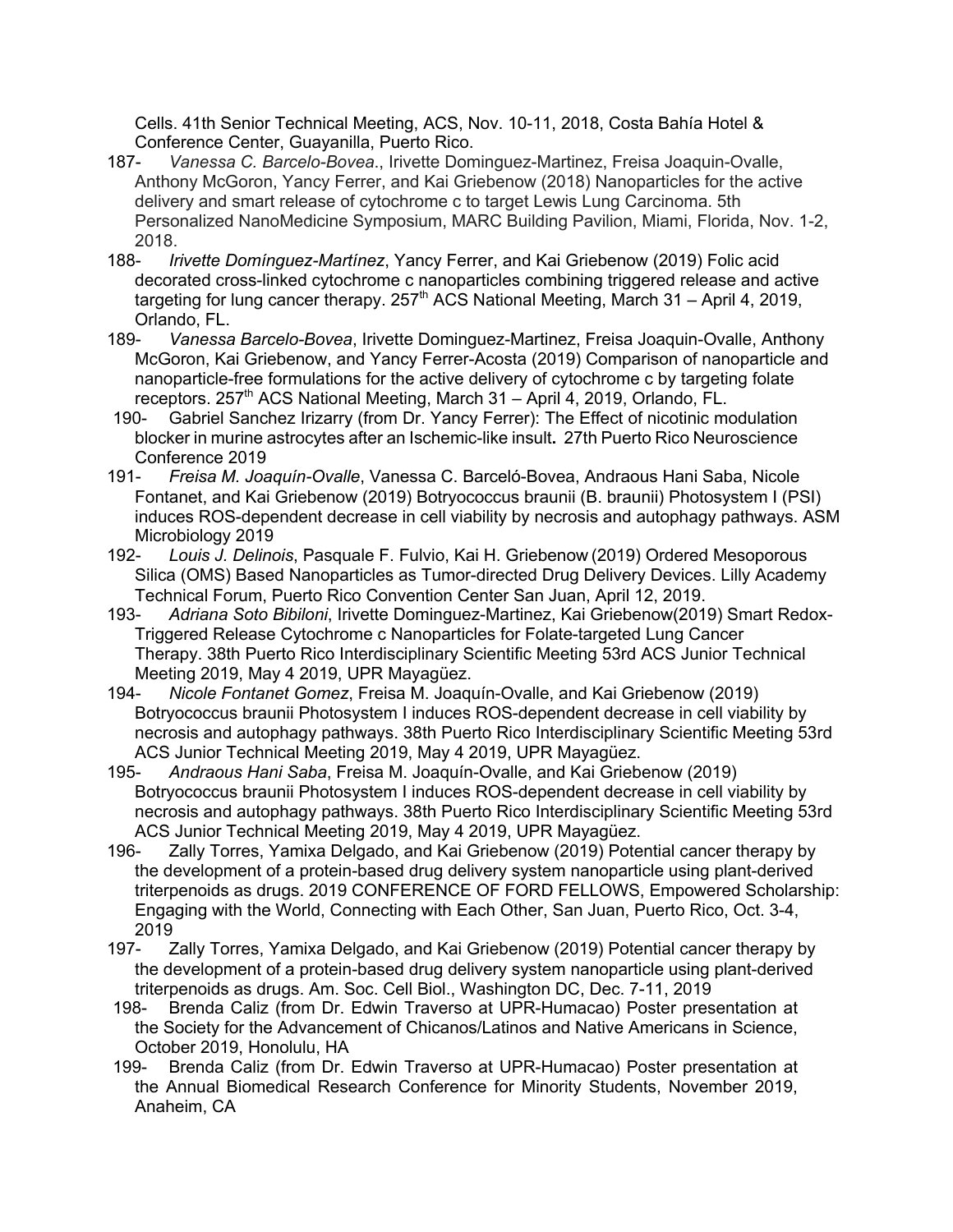Cells. 41th Senior Technical Meeting, ACS, Nov. 10-11, 2018, Costa Bahía Hotel & Conference Center, Guayanilla, Puerto Rico.

- 187- *Vanessa C. Barcelo-Bovea*., Irivette Dominguez-Martinez, Freisa Joaquin-Ovalle, Anthony McGoron, Yancy Ferrer, and Kai Griebenow (2018) Nanoparticles for the active delivery and smart release of cytochrome c to target Lewis Lung Carcinoma. 5th Personalized NanoMedicine Symposium, MARC Building Pavilion, Miami, Florida, Nov. 1-2, 2018.
- 188- *Irivette Domínguez-Martínez*, Yancy Ferrer, and Kai Griebenow (2019) Folic acid decorated cross-linked cytochrome c nanoparticles combining triggered release and active targeting for lung cancer therapy.  $257<sup>th</sup>$  ACS National Meeting, March 31 – April 4, 2019, Orlando, FL.
- 189- *Vanessa Barcelo-Bovea*, Irivette Dominguez-Martinez, Freisa Joaquin-Ovalle, Anthony McGoron, Kai Griebenow, and Yancy Ferrer-Acosta (2019) Comparison of nanoparticle and nanoparticle-free formulations for the active delivery of cytochrome c by targeting folate receptors. 257<sup>th</sup> ACS National Meeting, March 31 – April 4, 2019, Orlando, FL.
- 190- Gabriel Sanchez Irizarry (from Dr. Yancy Ferrer): The Effect of nicotinic modulation blocker in murine astrocytes after an Ischemic-like insult**.** 27th Puerto Rico Neuroscience Conference 2019
- 191- *Freisa M. Joaquín-Ovalle*, Vanessa C. Barceló-Bovea, Andraous Hani Saba, Nicole Fontanet, and Kai Griebenow (2019) Botryococcus braunii (B. braunii) Photosystem I (PSI) induces ROS-dependent decrease in cell viability by necrosis and autophagy pathways. ASM Microbiology 2019
- 192- *Louis J. Delinois*, Pasquale F. Fulvio, Kai H. Griebenow (2019) Ordered Mesoporous Silica (OMS) Based Nanoparticles as Tumor-directed Drug Delivery Devices. Lilly Academy Technical Forum, Puerto Rico Convention Center San Juan, April 12, 2019.
- 193- *Adriana Soto Bibiloni*, Irivette Dominguez-Martinez, Kai Griebenow(2019) Smart Redox-Triggered Release Cytochrome c Nanoparticles for Folate-targeted Lung Cancer Therapy. 38th Puerto Rico Interdisciplinary Scientific Meeting 53rd ACS Junior Technical Meeting 2019, May 4 2019, UPR Mayagüez.
- 194- *Nicole Fontanet Gomez*, Freisa M. Joaquín-Ovalle, and Kai Griebenow (2019) Botryococcus braunii Photosystem I induces ROS-dependent decrease in cell viability by necrosis and autophagy pathways. 38th Puerto Rico Interdisciplinary Scientific Meeting 53rd ACS Junior Technical Meeting 2019, May 4 2019, UPR Mayagüez.
- 195- *Andraous Hani Saba*, Freisa M. Joaquín-Ovalle, and Kai Griebenow (2019) Botryococcus braunii Photosystem I induces ROS-dependent decrease in cell viability by necrosis and autophagy pathways. 38th Puerto Rico Interdisciplinary Scientific Meeting 53rd ACS Junior Technical Meeting 2019, May 4 2019, UPR Mayagüez.
- 196- Zally Torres, Yamixa Delgado, and Kai Griebenow (2019) Potential cancer therapy by the development of a protein-based drug delivery system nanoparticle using plant-derived triterpenoids as drugs. 2019 CONFERENCE OF FORD FELLOWS, Empowered Scholarship: Engaging with the World, Connecting with Each Other, San Juan, Puerto Rico, Oct. 3-4, 2019
- 197- Zally Torres, Yamixa Delgado, and Kai Griebenow (2019) Potential cancer therapy by the development of a protein-based drug delivery system nanoparticle using plant-derived triterpenoids as drugs. Am. Soc. Cell Biol., Washington DC, Dec. 7-11, 2019
- 198- Brenda Caliz (from Dr. Edwin Traverso at UPR-Humacao) Poster presentation at the Society for the Advancement of Chicanos/Latinos and Native Americans in Science, October 2019, Honolulu, HA
- 199- Brenda Caliz (from Dr. Edwin Traverso at UPR-Humacao) Poster presentation at the Annual Biomedical Research Conference for Minority Students, November 2019, Anaheim, CA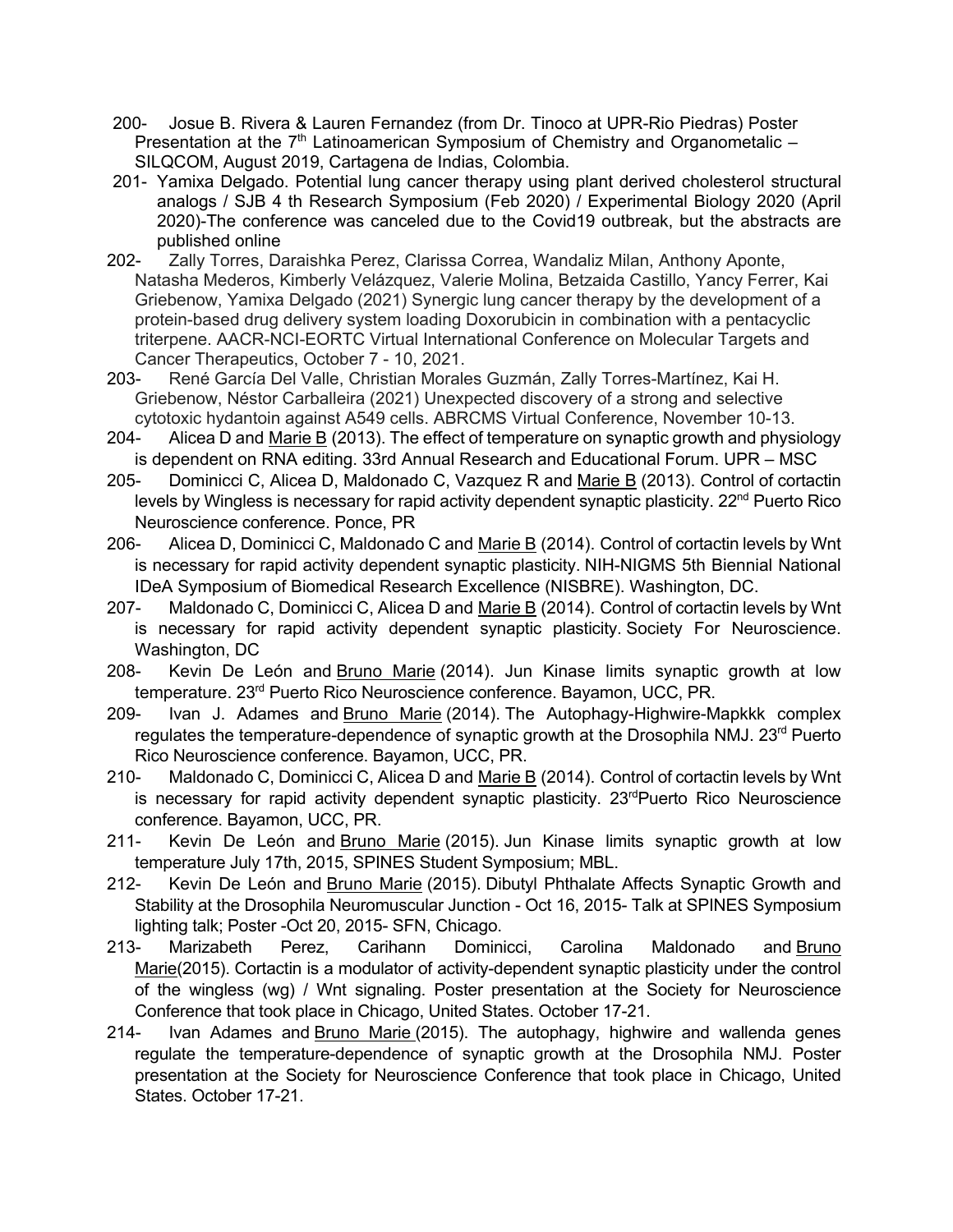- 200- Josue B. Rivera & Lauren Fernandez (from Dr. Tinoco at UPR-Rio Piedras) Poster Presentation at the  $7<sup>th</sup>$  Latinoamerican Symposium of Chemistry and Organometalic – SILQCOM, August 2019, Cartagena de Indias, Colombia.
- 201- Yamixa Delgado. Potential lung cancer therapy using plant derived cholesterol structural analogs / SJB 4 th Research Symposium (Feb 2020) / Experimental Biology 2020 (April 2020)-The conference was canceled due to the Covid19 outbreak, but the abstracts are published online
- 202- Zally Torres, Daraishka Perez, Clarissa Correa, Wandaliz Milan, Anthony Aponte, Natasha Mederos, Kimberly Velázquez, Valerie Molina, Betzaida Castillo, Yancy Ferrer, Kai Griebenow, Yamixa Delgado (2021) Synergic lung cancer therapy by the development of a protein-based drug delivery system loading Doxorubicin in combination with a pentacyclic triterpene. AACR-NCI-EORTC Virtual International Conference on Molecular Targets and Cancer Therapeutics, October 7 - 10, 2021.
- 203- René García Del Valle, Christian Morales Guzmán, Zally Torres-Martínez, Kai H. Griebenow, Néstor Carballeira (2021) Unexpected discovery of a strong and selective cytotoxic hydantoin against A549 cells. ABRCMS Virtual Conference, November 10-13.
- 204- Alicea D and Marie B (2013). The effect of temperature on synaptic growth and physiology is dependent on RNA editing. 33rd Annual Research and Educational Forum. UPR – MSC
- 205- Dominicci C, Alicea D, Maldonado C, Vazquez R and Marie B (2013). Control of cortactin levels by Wingless is necessary for rapid activity dependent synaptic plasticity. 22<sup>nd</sup> Puerto Rico Neuroscience conference. Ponce, PR
- 206- Alicea D, Dominicci C, Maldonado C and Marie B (2014). Control of cortactin levels by Wnt is necessary for rapid activity dependent synaptic plasticity. NIH-NIGMS 5th Biennial National IDeA Symposium of Biomedical Research Excellence (NISBRE). Washington, DC.
- 207- Maldonado C, Dominicci C, Alicea D and Marie B (2014). Control of cortactin levels by Wnt is necessary for rapid activity dependent synaptic plasticity. Society For Neuroscience. Washington, DC
- 208- Kevin De León and Bruno Marie (2014). Jun Kinase limits synaptic growth at low temperature. 23rd Puerto Rico Neuroscience conference. Bayamon, UCC, PR.
- 209- Ivan J. Adames and Bruno Marie (2014). The Autophagy-Highwire-Mapkkk complex regulates the temperature-dependence of synaptic growth at the Drosophila NMJ. 23<sup>rd</sup> Puerto Rico Neuroscience conference. Bayamon, UCC, PR.
- 210- Maldonado C, Dominicci C, Alicea D and Marie B (2014). Control of cortactin levels by Wnt is necessary for rapid activity dependent synaptic plasticity.  $23^{rd}$ Puerto Rico Neuroscience conference. Bayamon, UCC, PR.
- 211- Kevin De León and Bruno Marie (2015). Jun Kinase limits synaptic growth at low temperature July 17th, 2015, SPINES Student Symposium; MBL.
- 212- Kevin De León and Bruno Marie (2015). Dibutyl Phthalate Affects Synaptic Growth and Stability at the Drosophila Neuromuscular Junction - Oct 16, 2015- Talk at SPINES Symposium lighting talk; Poster -Oct 20, 2015- SFN, Chicago.
- 213- Marizabeth Perez, Carihann Dominicci, Carolina Maldonado and Bruno Marie(2015). Cortactin is a modulator of activity-dependent synaptic plasticity under the control of the wingless (wg) / Wnt signaling. Poster presentation at the Society for Neuroscience Conference that took place in Chicago, United States. October 17-21.
- 214- Ivan Adames and Bruno Marie (2015). The autophagy, highwire and wallenda genes regulate the temperature-dependence of synaptic growth at the Drosophila NMJ. Poster presentation at the Society for Neuroscience Conference that took place in Chicago, United States. October 17-21.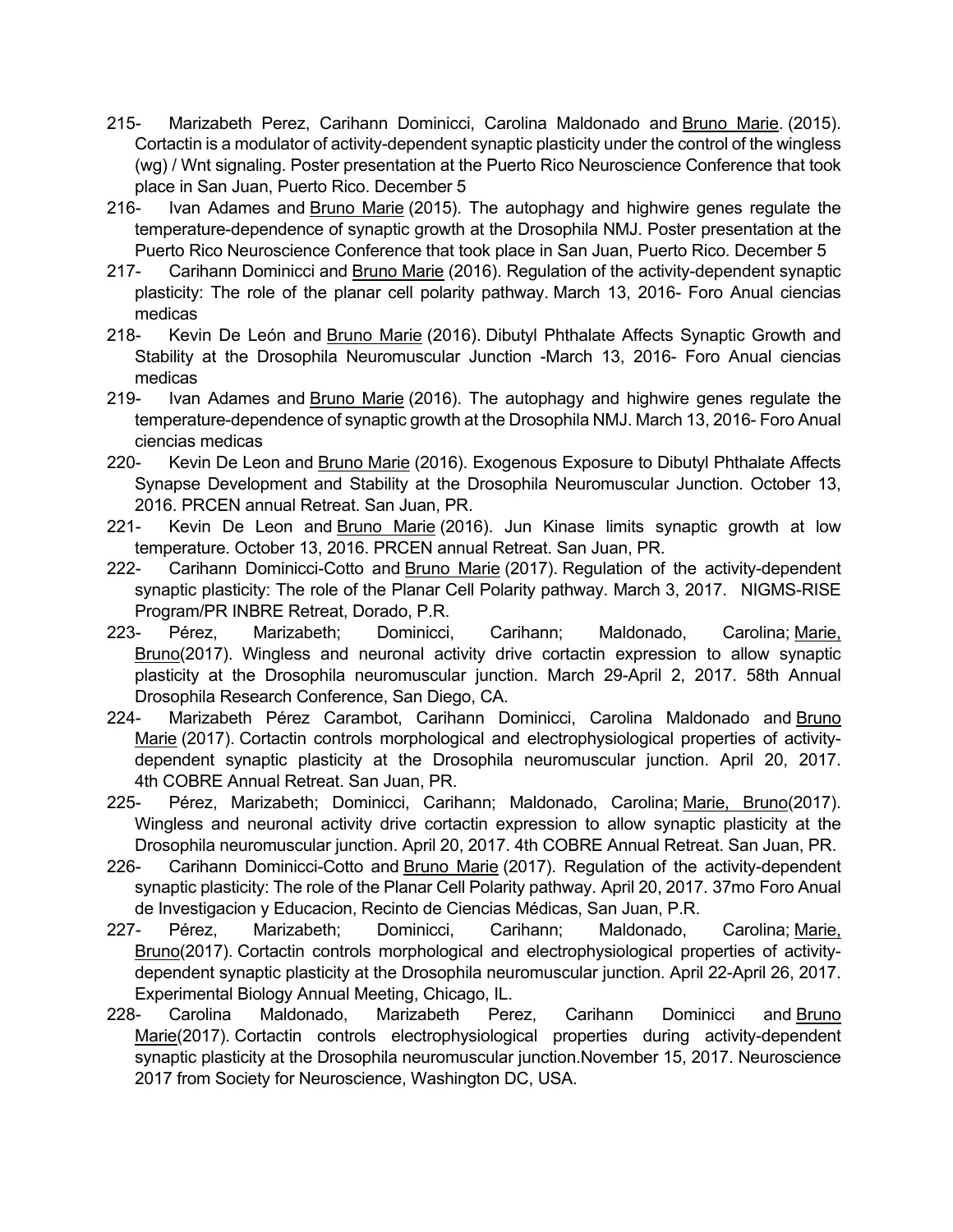- 215- Marizabeth Perez, Carihann Dominicci, Carolina Maldonado and Bruno Marie. (2015). Cortactin is a modulator of activity-dependent synaptic plasticity under the control of the wingless (wg) / Wnt signaling. Poster presentation at the Puerto Rico Neuroscience Conference that took place in San Juan, Puerto Rico. December 5
- 216- Ivan Adames and Bruno Marie (2015). The autophagy and highwire genes regulate the temperature-dependence of synaptic growth at the Drosophila NMJ. Poster presentation at the Puerto Rico Neuroscience Conference that took place in San Juan, Puerto Rico. December 5
- 217- Carihann Dominicci and Bruno Marie (2016). Regulation of the activity-dependent synaptic plasticity: The role of the planar cell polarity pathway. March 13, 2016- Foro Anual ciencias medicas
- 218- Kevin De León and Bruno Marie (2016). Dibutyl Phthalate Affects Synaptic Growth and Stability at the Drosophila Neuromuscular Junction -March 13, 2016- Foro Anual ciencias medicas
- 219- Ivan Adames and **Bruno Marie** (2016). The autophagy and highwire genes regulate the temperature-dependence of synaptic growth at the Drosophila NMJ. March 13, 2016- Foro Anual ciencias medicas
- 220- Kevin De Leon and Bruno Marie (2016). Exogenous Exposure to Dibutyl Phthalate Affects Synapse Development and Stability at the Drosophila Neuromuscular Junction. October 13, 2016. PRCEN annual Retreat. San Juan, PR.
- 221- Kevin De Leon and Bruno Marie (2016). Jun Kinase limits synaptic growth at low temperature. October 13, 2016. PRCEN annual Retreat. San Juan, PR.
- 222- Carihann Dominicci-Cotto and Bruno Marie (2017). Regulation of the activity-dependent synaptic plasticity: The role of the Planar Cell Polarity pathway. March 3, 2017. NIGMS-RISE Program/PR INBRE Retreat, Dorado, P.R.
- 223- Pérez, Marizabeth; Dominicci, Carihann; Maldonado, Carolina; Marie, Bruno(2017). Wingless and neuronal activity drive cortactin expression to allow synaptic plasticity at the Drosophila neuromuscular junction. March 29-April 2, 2017. 58th Annual Drosophila Research Conference, San Diego, CA.
- 224- Marizabeth Pérez Carambot, Carihann Dominicci, Carolina Maldonado and Bruno Marie (2017). Cortactin controls morphological and electrophysiological properties of activitydependent synaptic plasticity at the Drosophila neuromuscular junction. April 20, 2017. 4th COBRE Annual Retreat. San Juan, PR.
- 225- Pérez, Marizabeth; Dominicci, Carihann; Maldonado, Carolina; Marie, Bruno(2017). Wingless and neuronal activity drive cortactin expression to allow synaptic plasticity at the Drosophila neuromuscular junction. April 20, 2017. 4th COBRE Annual Retreat. San Juan, PR.
- 226- Carihann Dominicci-Cotto and Bruno Marie (2017). Regulation of the activity-dependent synaptic plasticity: The role of the Planar Cell Polarity pathway. April 20, 2017. 37mo Foro Anual de Investigacion y Educacion, Recinto de Ciencias Médicas, San Juan, P.R.
- 227- Pérez, Marizabeth; Dominicci, Carihann; Maldonado, Carolina; Marie, Bruno(2017). Cortactin controls morphological and electrophysiological properties of activitydependent synaptic plasticity at the Drosophila neuromuscular junction. April 22-April 26, 2017. Experimental Biology Annual Meeting, Chicago, IL.
- 228- Carolina Maldonado, Marizabeth Perez, Carihann Dominicci and Bruno Marie(2017). Cortactin controls electrophysiological properties during activity-dependent synaptic plasticity at the Drosophila neuromuscular junction.November 15, 2017. Neuroscience 2017 from Society for Neuroscience, Washington DC, USA.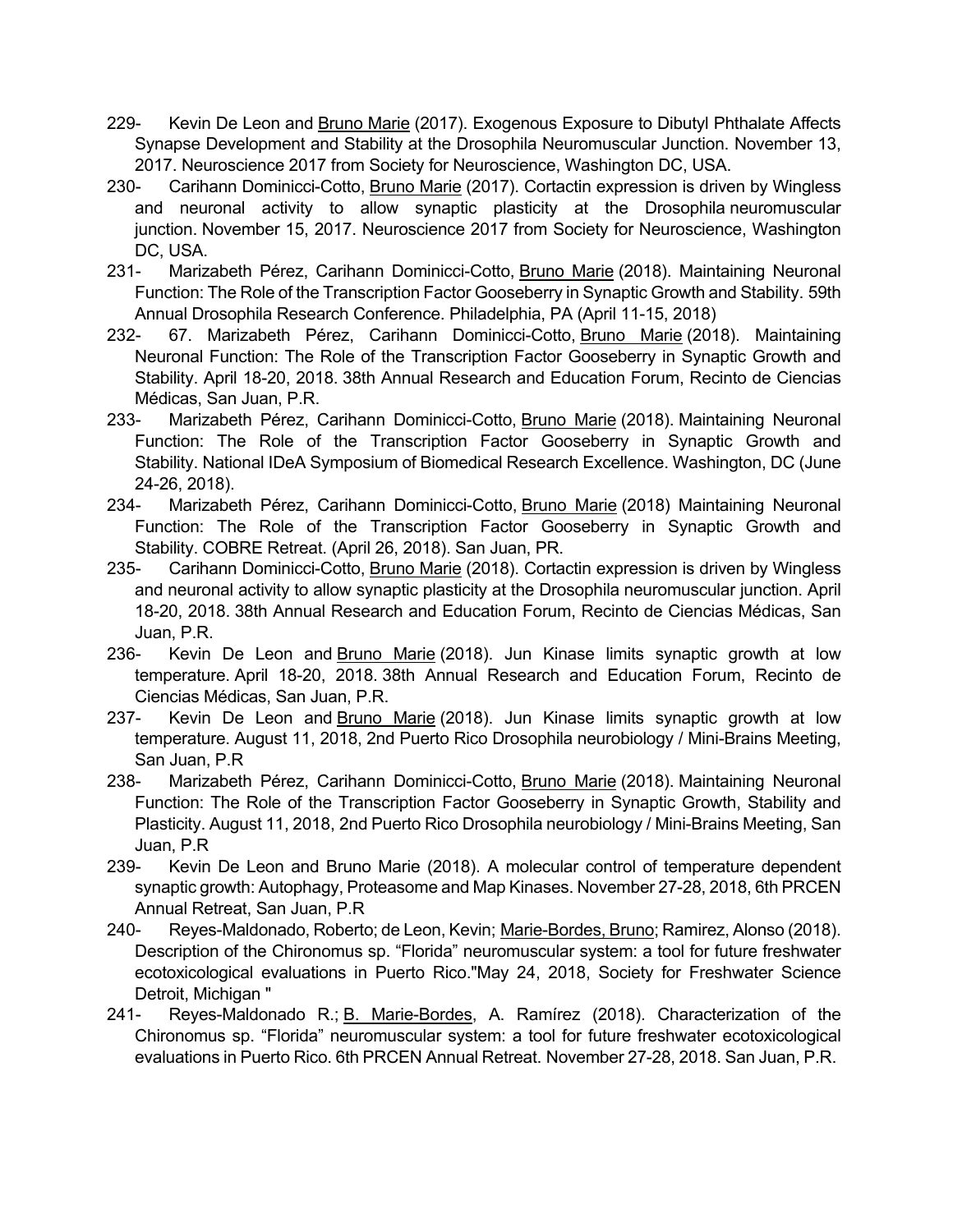- 229- Kevin De Leon and Bruno Marie (2017). Exogenous Exposure to Dibutyl Phthalate Affects Synapse Development and Stability at the Drosophila Neuromuscular Junction. November 13, 2017. Neuroscience 2017 from Society for Neuroscience, Washington DC, USA.
- 230- Carihann Dominicci-Cotto, Bruno Marie (2017). Cortactin expression is driven by Wingless and neuronal activity to allow synaptic plasticity at the Drosophila neuromuscular junction. November 15, 2017. Neuroscience 2017 from Society for Neuroscience, Washington DC, USA.
- 231- Marizabeth Pérez, Carihann Dominicci-Cotto, **Bruno Marie (2018)**. Maintaining Neuronal Function: The Role of the Transcription Factor Gooseberry in Synaptic Growth and Stability. 59th Annual Drosophila Research Conference. Philadelphia, PA (April 11-15, 2018)
- 232- 67. Marizabeth Pérez, Carihann Dominicci-Cotto, Bruno Marie (2018). Maintaining Neuronal Function: The Role of the Transcription Factor Gooseberry in Synaptic Growth and Stability. April 18-20, 2018. 38th Annual Research and Education Forum, Recinto de Ciencias Médicas, San Juan, P.R.
- 233- Marizabeth Pérez, Carihann Dominicci-Cotto, Bruno Marie (2018). Maintaining Neuronal Function: The Role of the Transcription Factor Gooseberry in Synaptic Growth and Stability. National IDeA Symposium of Biomedical Research Excellence. Washington, DC (June 24-26, 2018).
- 234- Marizabeth Pérez, Carihann Dominicci-Cotto, Bruno Marie (2018) Maintaining Neuronal Function: The Role of the Transcription Factor Gooseberry in Synaptic Growth and Stability. COBRE Retreat. (April 26, 2018). San Juan, PR.
- 235- Carihann Dominicci-Cotto, Bruno Marie (2018). Cortactin expression is driven by Wingless and neuronal activity to allow synaptic plasticity at the Drosophila neuromuscular junction. April 18-20, 2018. 38th Annual Research and Education Forum, Recinto de Ciencias Médicas, San Juan, P.R.
- 236- Kevin De Leon and Bruno Marie (2018). Jun Kinase limits synaptic growth at low temperature. April 18-20, 2018. 38th Annual Research and Education Forum, Recinto de Ciencias Médicas, San Juan, P.R.
- 237- Kevin De Leon and Bruno Marie (2018). Jun Kinase limits synaptic growth at low temperature. August 11, 2018, 2nd Puerto Rico Drosophila neurobiology / Mini-Brains Meeting, San Juan, P.R
- 238- Marizabeth Pérez, Carihann Dominicci-Cotto, Bruno Marie (2018). Maintaining Neuronal Function: The Role of the Transcription Factor Gooseberry in Synaptic Growth, Stability and Plasticity. August 11, 2018, 2nd Puerto Rico Drosophila neurobiology / Mini-Brains Meeting, San Juan, P.R
- 239- Kevin De Leon and Bruno Marie (2018). A molecular control of temperature dependent synaptic growth: Autophagy, Proteasome and Map Kinases. November 27-28, 2018, 6th PRCEN Annual Retreat, San Juan, P.R
- 240- Reyes-Maldonado, Roberto; de Leon, Kevin; Marie-Bordes, Bruno; Ramirez, Alonso (2018). Description of the Chironomus sp. "Florida" neuromuscular system: a tool for future freshwater ecotoxicological evaluations in Puerto Rico."May 24, 2018, Society for Freshwater Science Detroit, Michigan "
- 241- Reyes-Maldonado R.; B. Marie-Bordes, A. Ramírez (2018). Characterization of the Chironomus sp. "Florida" neuromuscular system: a tool for future freshwater ecotoxicological evaluations in Puerto Rico. 6th PRCEN Annual Retreat. November 27-28, 2018. San Juan, P.R.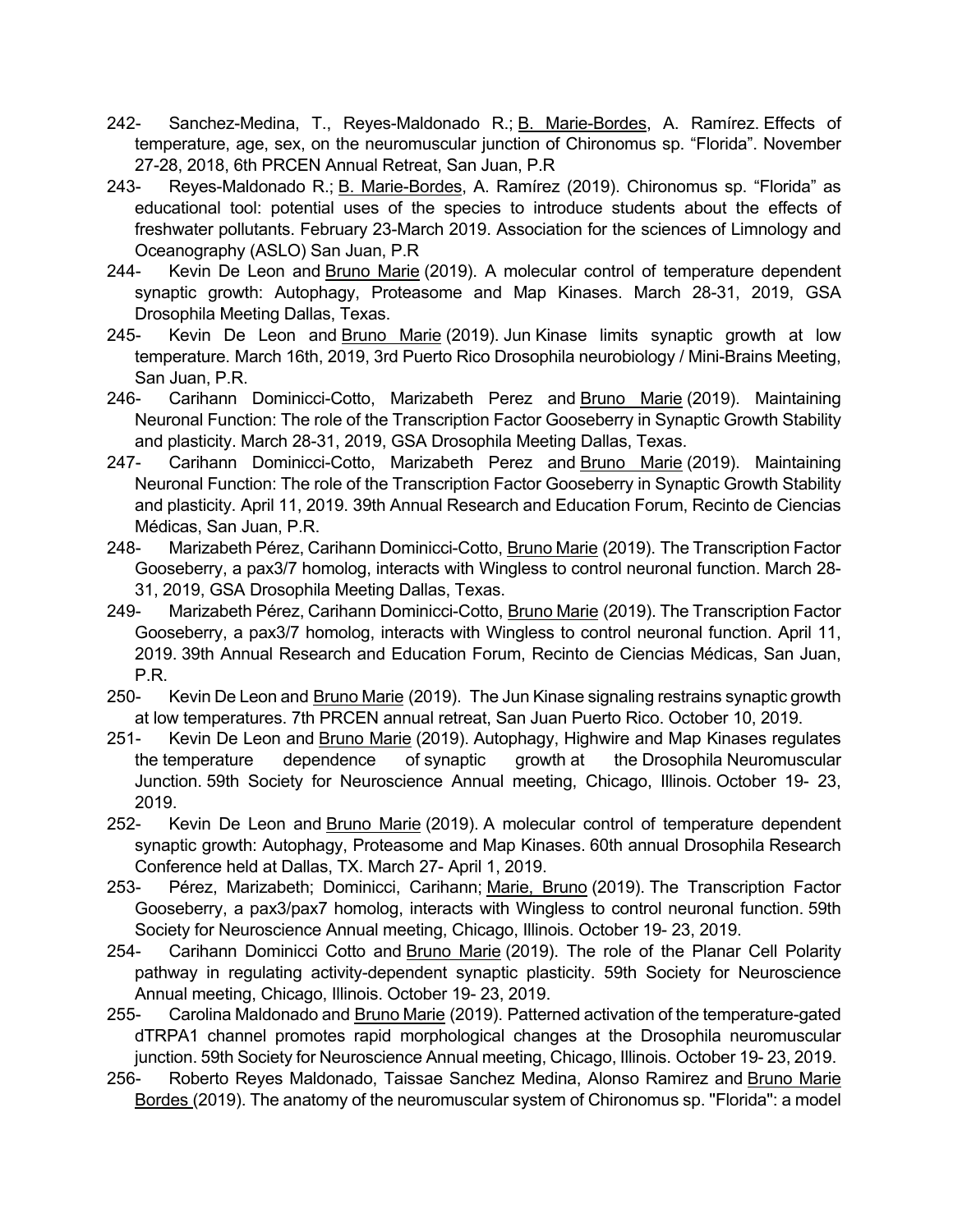- 242- Sanchez-Medina, T., Reyes-Maldonado R.; B. Marie-Bordes, A. Ramírez. Effects of temperature, age, sex, on the neuromuscular junction of Chironomus sp. "Florida". November 27-28, 2018, 6th PRCEN Annual Retreat, San Juan, P.R
- 243- Reyes-Maldonado R.; B. Marie-Bordes, A. Ramírez (2019). Chironomus sp. "Florida" as educational tool: potential uses of the species to introduce students about the effects of freshwater pollutants. February 23-March 2019. Association for the sciences of Limnology and Oceanography (ASLO) San Juan, P.R
- 244- Kevin De Leon and Bruno Marie (2019). A molecular control of temperature dependent synaptic growth: Autophagy, Proteasome and Map Kinases. March 28-31, 2019, GSA Drosophila Meeting Dallas, Texas.
- 245- Kevin De Leon and Bruno Marie (2019). Jun Kinase limits synaptic growth at low temperature. March 16th, 2019, 3rd Puerto Rico Drosophila neurobiology / Mini-Brains Meeting, San Juan, P.R.
- 246- Carihann Dominicci-Cotto, Marizabeth Perez and **Bruno Marie (2019)**. Maintaining Neuronal Function: The role of the Transcription Factor Gooseberry in Synaptic Growth Stability and plasticity. March 28-31, 2019, GSA Drosophila Meeting Dallas, Texas.
- 247- Carihann Dominicci-Cotto, Marizabeth Perez and Bruno Marie (2019). Maintaining Neuronal Function: The role of the Transcription Factor Gooseberry in Synaptic Growth Stability and plasticity. April 11, 2019. 39th Annual Research and Education Forum, Recinto de Ciencias Médicas, San Juan, P.R.
- 248- Marizabeth Pérez, Carihann Dominicci-Cotto, Bruno Marie (2019). The Transcription Factor Gooseberry, a pax3/7 homolog, interacts with Wingless to control neuronal function. March 28- 31, 2019, GSA Drosophila Meeting Dallas, Texas.
- 249- Marizabeth Pérez, Carihann Dominicci-Cotto, Bruno Marie (2019). The Transcription Factor Gooseberry, a pax3/7 homolog, interacts with Wingless to control neuronal function. April 11, 2019. 39th Annual Research and Education Forum, Recinto de Ciencias Médicas, San Juan, P.R.
- 250- Kevin De Leon and Bruno Marie (2019). The Jun Kinase signaling restrains synaptic growth at low temperatures. 7th PRCEN annual retreat, San Juan Puerto Rico. October 10, 2019.
- 251- Kevin De Leon and Bruno Marie (2019). Autophagy, Highwire and Map Kinases regulates the temperature dependence of synaptic growth at the Drosophila Neuromuscular Junction. 59th Society for Neuroscience Annual meeting, Chicago, Illinois. October 19- 23, 2019.
- 252- Kevin De Leon and Bruno Marie (2019). A molecular control of temperature dependent synaptic growth: Autophagy, Proteasome and Map Kinases. 60th annual Drosophila Research Conference held at Dallas, TX. March 27- April 1, 2019.
- 253- Pérez, Marizabeth; Dominicci, Carihann; Marie, Bruno (2019). The Transcription Factor Gooseberry, a pax3/pax7 homolog, interacts with Wingless to control neuronal function. 59th Society for Neuroscience Annual meeting, Chicago, Illinois. October 19- 23, 2019.
- 254- Carihann Dominicci Cotto and Bruno Marie (2019). The role of the Planar Cell Polarity pathway in regulating activity-dependent synaptic plasticity. 59th Society for Neuroscience Annual meeting, Chicago, Illinois. October 19- 23, 2019.
- 255- Carolina Maldonado and Bruno Marie (2019). Patterned activation of the temperature-gated dTRPA1 channel promotes rapid morphological changes at the Drosophila neuromuscular junction. 59th Society for Neuroscience Annual meeting, Chicago, Illinois. October 19- 23, 2019.
- 256- Roberto Reyes Maldonado, Taissae Sanchez Medina, Alonso Ramirez and Bruno Marie Bordes (2019). The anatomy of the neuromuscular system of Chironomus sp. ''Florida'': a model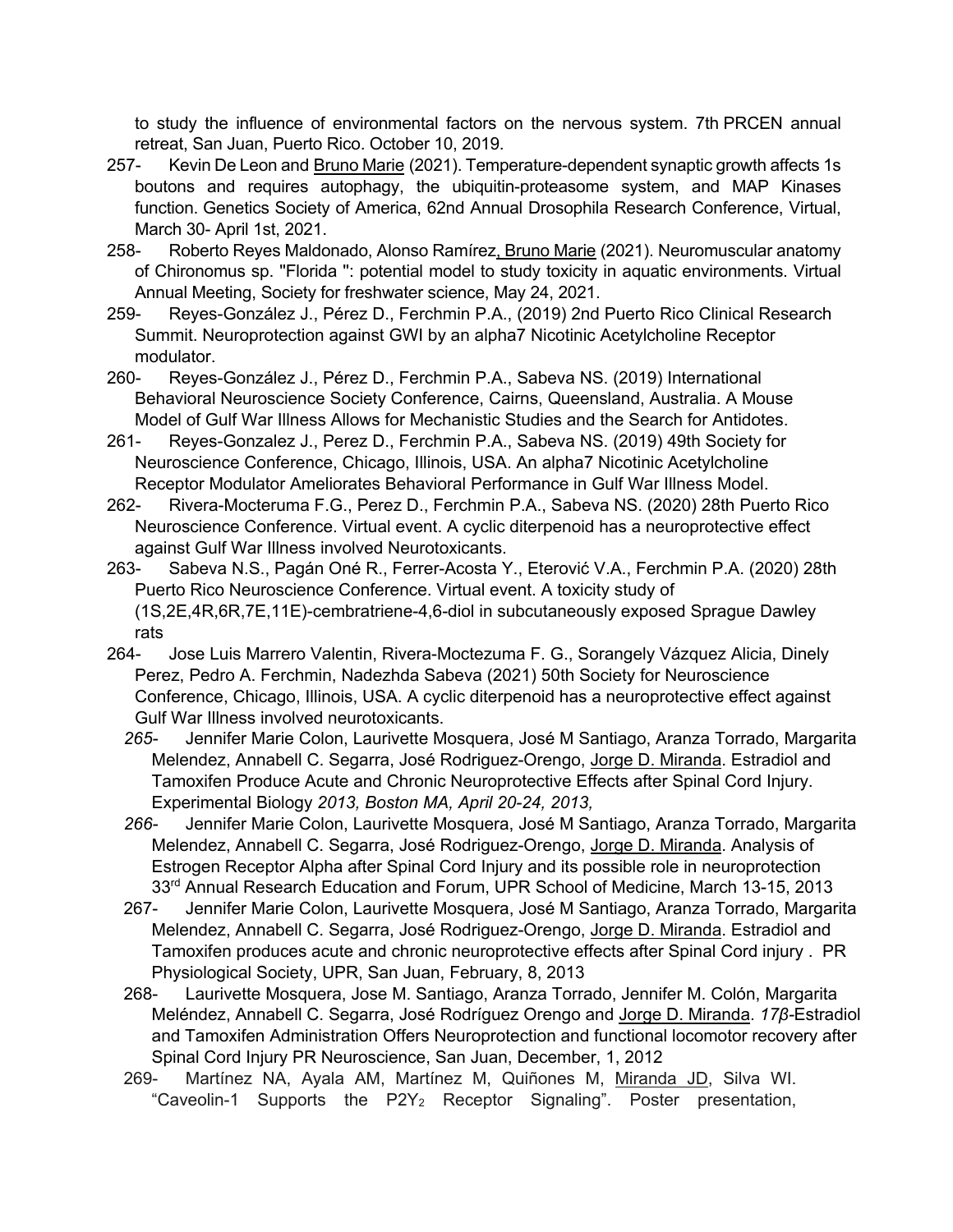to study the influence of environmental factors on the nervous system. 7th PRCEN annual retreat, San Juan, Puerto Rico. October 10, 2019.

- 257- Kevin De Leon and Bruno Marie (2021). Temperature-dependent synaptic growth affects 1s boutons and requires autophagy, the ubiquitin-proteasome system, and MAP Kinases function. Genetics Society of America, 62nd Annual Drosophila Research Conference, Virtual, March 30- April 1st, 2021.
- 258- Roberto Reyes Maldonado, Alonso Ramírez, Bruno Marie (2021). Neuromuscular anatomy of Chironomus sp. ''Florida '': potential model to study toxicity in aquatic environments. Virtual Annual Meeting, Society for freshwater science, May 24, 2021.
- 259- Reyes-González J., Pérez D., Ferchmin P.A., (2019) 2nd Puerto Rico Clinical Research Summit. Neuroprotection against GWI by an alpha7 Nicotinic Acetylcholine Receptor modulator.
- 260- Reyes-González J., Pérez D., Ferchmin P.A., Sabeva NS. (2019) International Behavioral Neuroscience Society Conference, Cairns, Queensland, Australia. A Mouse Model of Gulf War Illness Allows for Mechanistic Studies and the Search for Antidotes.
- 261- Reyes-Gonzalez J., Perez D., Ferchmin P.A., Sabeva NS. (2019) 49th Society for Neuroscience Conference, Chicago, Illinois, USA. An alpha7 Nicotinic Acetylcholine Receptor Modulator Ameliorates Behavioral Performance in Gulf War Illness Model.
- 262- Rivera-Mocteruma F.G., Perez D., Ferchmin P.A., Sabeva NS. (2020) 28th Puerto Rico Neuroscience Conference. Virtual event. A cyclic diterpenoid has a neuroprotective effect against Gulf War Illness involved Neurotoxicants.
- 263- Sabeva N.S., Pagán Oné R., Ferrer-Acosta Y., Eterović V.A., Ferchmin P.A. (2020) 28th Puerto Rico Neuroscience Conference. Virtual event. A toxicity study of (1S,2E,4R,6R,7E,11E)-cembratriene-4,6-diol in subcutaneously exposed Sprague Dawley rats
- 264- Jose Luis Marrero Valentin, Rivera-Moctezuma F. G., Sorangely Vázquez Alicia, Dinely Perez, Pedro A. Ferchmin, Nadezhda Sabeva (2021) 50th Society for Neuroscience Conference, Chicago, Illinois, USA. A cyclic diterpenoid has a neuroprotective effect against Gulf War Illness involved neurotoxicants.
	- *265-* Jennifer Marie Colon, Laurivette Mosquera, José M Santiago, Aranza Torrado, Margarita Melendez, Annabell C. Segarra, José Rodriguez-Orengo, Jorge D. Miranda. Estradiol and Tamoxifen Produce Acute and Chronic Neuroprotective Effects after Spinal Cord Injury. Experimental Biology *2013, Boston MA, April 20-24, 2013,*
	- *266-* Jennifer Marie Colon, Laurivette Mosquera, José M Santiago, Aranza Torrado, Margarita Melendez, Annabell C. Segarra, José Rodriguez-Orengo, Jorge D. Miranda. Analysis of Estrogen Receptor Alpha after Spinal Cord Injury and its possible role in neuroprotection 33<sup>rd</sup> Annual Research Education and Forum, UPR School of Medicine, March 13-15, 2013
	- 267- Jennifer Marie Colon, Laurivette Mosquera, José M Santiago, Aranza Torrado, Margarita Melendez, Annabell C. Segarra, José Rodriguez-Orengo, Jorge D. Miranda. Estradiol and Tamoxifen produces acute and chronic neuroprotective effects after Spinal Cord injury . PR Physiological Society, UPR, San Juan, February, 8, 2013
	- 268- Laurivette Mosquera, Jose M. Santiago, Aranza Torrado, Jennifer M. Colón, Margarita Meléndez, Annabell C. Segarra, José Rodríguez Orengo and Jorge D. Miranda. *17β-*Estradiol and Tamoxifen Administration Offers Neuroprotection and functional locomotor recovery after Spinal Cord Injury PR Neuroscience, San Juan, December, 1, 2012
	- 269- Martínez NA, Ayala AM, Martínez M, Quiñones M, Miranda JD, Silva WI. "Caveolin-1 Supports the  $P2Y_2$  Receptor Signaling". Poster presentation,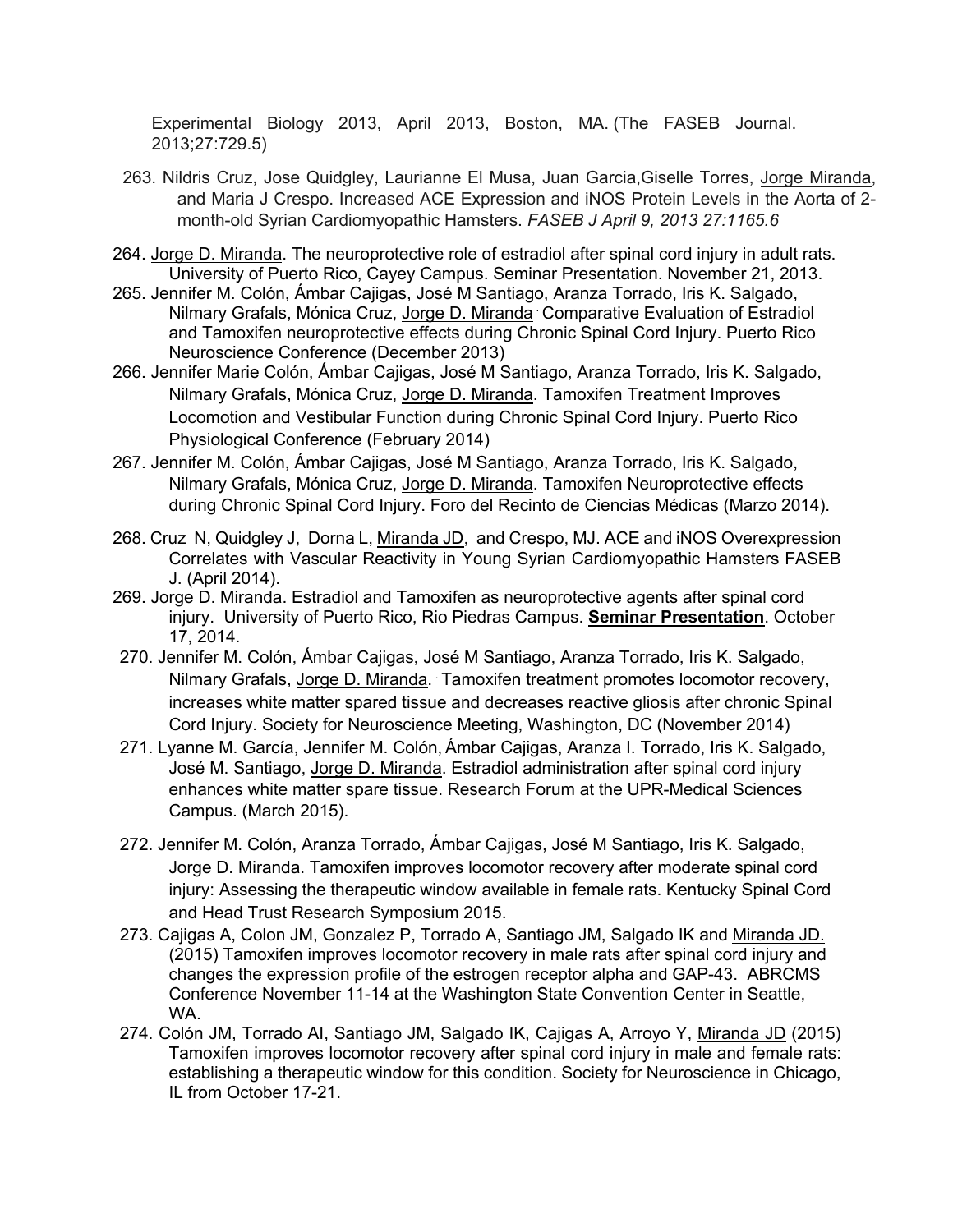Experimental Biology 2013, April 2013, Boston, MA. (The FASEB Journal. 2013;27:729.5)

- 263. Nildris Cruz, Jose Quidgley, Laurianne El Musa, Juan Garcia, Giselle Torres, Jorge Miranda, and Maria J Crespo. Increased ACE Expression and iNOS Protein Levels in the Aorta of 2 month-old Syrian Cardiomyopathic Hamsters. *FASEB J April 9, 2013 27:1165.6*
- 264. Jorge D. Miranda. The neuroprotective role of estradiol after spinal cord injury in adult rats. University of Puerto Rico, Cayey Campus. Seminar Presentation. November 21, 2013.
- 265. Jennifer M. Colón, Ámbar Cajigas, José M Santiago, Aranza Torrado, Iris K. Salgado, Nilmary Grafals, Mónica Cruz, Jorge D. Miranda . Comparative Evaluation of Estradiol and Tamoxifen neuroprotective effects during Chronic Spinal Cord Injury. Puerto Rico Neuroscience Conference (December 2013)
- 266. Jennifer Marie Colón, Ámbar Cajigas, José M Santiago, Aranza Torrado, Iris K. Salgado, Nilmary Grafals, Mónica Cruz, Jorge D. Miranda. Tamoxifen Treatment Improves Locomotion and Vestibular Function during Chronic Spinal Cord Injury. Puerto Rico Physiological Conference (February 2014)
- 267. Jennifer M. Colón, Ámbar Cajigas, José M Santiago, Aranza Torrado, Iris K. Salgado, Nilmary Grafals, Mónica Cruz, Jorge D. Miranda. Tamoxifen Neuroprotective effects during Chronic Spinal Cord Injury. Foro del Recinto de Ciencias Médicas (Marzo 2014).
- 268. Cruz N, Quidgley J, Dorna L, Miranda JD, and Crespo, MJ. ACE and iNOS Overexpression Correlates with Vascular Reactivity in Young Syrian Cardiomyopathic Hamsters FASEB J. (April 2014).
- 269. Jorge D. Miranda. Estradiol and Tamoxifen as neuroprotective agents after spinal cord injury. University of Puerto Rico, Rio Piedras Campus. **Seminar Presentation**. October 17, 2014.
- 270. Jennifer M. Colón, Ámbar Cajigas, José M Santiago, Aranza Torrado, Iris K. Salgado, Nilmary Grafals, Jorge D. Miranda. . Tamoxifen treatment promotes locomotor recovery, increases white matter spared tissue and decreases reactive gliosis after chronic Spinal Cord Injury. Society for Neuroscience Meeting, Washington, DC (November 2014)
- 271. Lyanne M. García, Jennifer M. Colón, Ámbar Cajigas, Aranza I. Torrado, Iris K. Salgado, José M. Santiago, Jorge D. Miranda. Estradiol administration after spinal cord injury enhances white matter spare tissue. Research Forum at the UPR-Medical Sciences Campus. (March 2015).
- 272. Jennifer M. Colón, Aranza Torrado, Ámbar Cajigas, José M Santiago, Iris K. Salgado, Jorge D. Miranda. Tamoxifen improves locomotor recovery after moderate spinal cord injury: Assessing the therapeutic window available in female rats. Kentucky Spinal Cord and Head Trust Research Symposium 2015.
- 273. Cajigas A, Colon JM, Gonzalez P, Torrado A, Santiago JM, Salgado IK and Miranda JD. (2015) Tamoxifen improves locomotor recovery in male rats after spinal cord injury and changes the expression profile of the estrogen receptor alpha and GAP-43. ABRCMS Conference November 11-14 at the Washington State Convention Center in Seattle, WA.
- 274. Colón JM, Torrado AI, Santiago JM, Salgado IK, Cajigas A, Arroyo Y, Miranda JD (2015) Tamoxifen improves locomotor recovery after spinal cord injury in male and female rats: establishing a therapeutic window for this condition. Society for Neuroscience in Chicago, IL from October 17-21.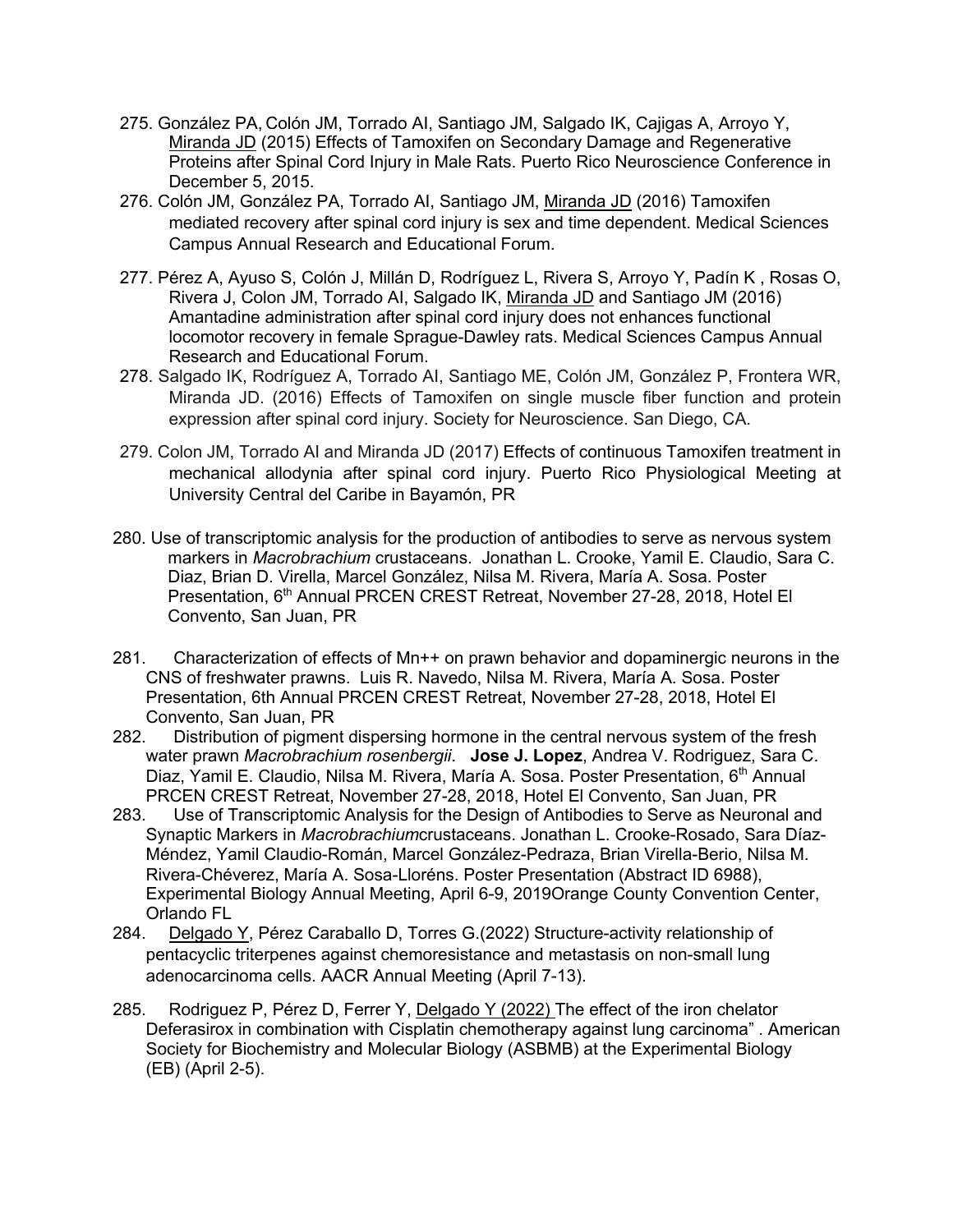- 275. González PA, Colón JM, Torrado AI, Santiago JM, Salgado IK, Cajigas A, Arroyo Y, Miranda JD (2015) Effects of Tamoxifen on Secondary Damage and Regenerative Proteins after Spinal Cord Injury in Male Rats. Puerto Rico Neuroscience Conference in December 5, 2015.
- 276. Colón JM, González PA, Torrado AI, Santiago JM, Miranda JD (2016) Tamoxifen mediated recovery after spinal cord injury is sex and time dependent. Medical Sciences Campus Annual Research and Educational Forum.
- 277. Pérez A, Ayuso S, Colón J, Millán D, Rodríguez L, Rivera S, Arroyo Y, Padín K , Rosas O, Rivera J, Colon JM, Torrado AI, Salgado IK, Miranda JD and Santiago JM (2016) Amantadine administration after spinal cord injury does not enhances functional locomotor recovery in female Sprague-Dawley rats. Medical Sciences Campus Annual Research and Educational Forum.
- 278. Salgado IK, Rodríguez A, Torrado AI, Santiago ME, Colón JM, González P, Frontera WR, Miranda JD. (2016) Effects of Tamoxifen on single muscle fiber function and protein expression after spinal cord injury. Society for Neuroscience. San Diego, CA.
- 279. Colon JM, Torrado AI and Miranda JD (2017) Effects of continuous Tamoxifen treatment in mechanical allodynia after spinal cord injury. Puerto Rico Physiological Meeting at University Central del Caribe in Bayamón, PR
- 280. Use of transcriptomic analysis for the production of antibodies to serve as nervous system markers in *Macrobrachium* crustaceans. Jonathan L. Crooke, Yamil E. Claudio, Sara C. Diaz, Brian D. Virella, Marcel González, Nilsa M. Rivera, María A. Sosa. Poster Presentation, 6<sup>th</sup> Annual PRCEN CREST Retreat, November 27-28, 2018, Hotel El Convento, San Juan, PR
- 281. Characterization of effects of Mn++ on prawn behavior and dopaminergic neurons in the CNS of freshwater prawns. Luis R. Navedo, Nilsa M. Rivera, María A. Sosa. Poster Presentation, 6th Annual PRCEN CREST Retreat, November 27-28, 2018, Hotel El Convento, San Juan, PR
- 282. Distribution of pigment dispersing hormone in the central nervous system of the fresh water prawn *Macrobrachium rosenbergii*. **Jose J. Lopez**, Andrea V. Rodriguez, Sara C. Diaz, Yamil E. Claudio, Nilsa M. Rivera, María A. Sosa. Poster Presentation, 6<sup>th</sup> Annual PRCEN CREST Retreat, November 27-28, 2018, Hotel El Convento, San Juan, PR
- 283. Use of Transcriptomic Analysis for the Design of Antibodies to Serve as Neuronal and Synaptic Markers in *Macrobrachium*crustaceans. Jonathan L. Crooke-Rosado, Sara Díaz-Méndez, Yamil Claudio-Román, Marcel González-Pedraza, Brian Virella-Berio, Nilsa M. Rivera-Chéverez, María A. Sosa-Lloréns. Poster Presentation (Abstract ID 6988), Experimental Biology Annual Meeting, April 6-9, 2019Orange County Convention Center, Orlando FL
- 284. Delgado Y, Pérez Caraballo D, Torres G.(2022) Structure-activity relationship of pentacyclic triterpenes against chemoresistance and metastasis on non-small lung adenocarcinoma cells. AACR Annual Meeting (April 7-13).
- 285. Rodriguez P, Pérez D, Ferrer Y, Delgado Y (2022) The effect of the iron chelator Deferasirox in combination with Cisplatin chemotherapy against lung carcinoma" . American Society for Biochemistry and Molecular Biology (ASBMB) at the Experimental Biology (EB) (April 2-5).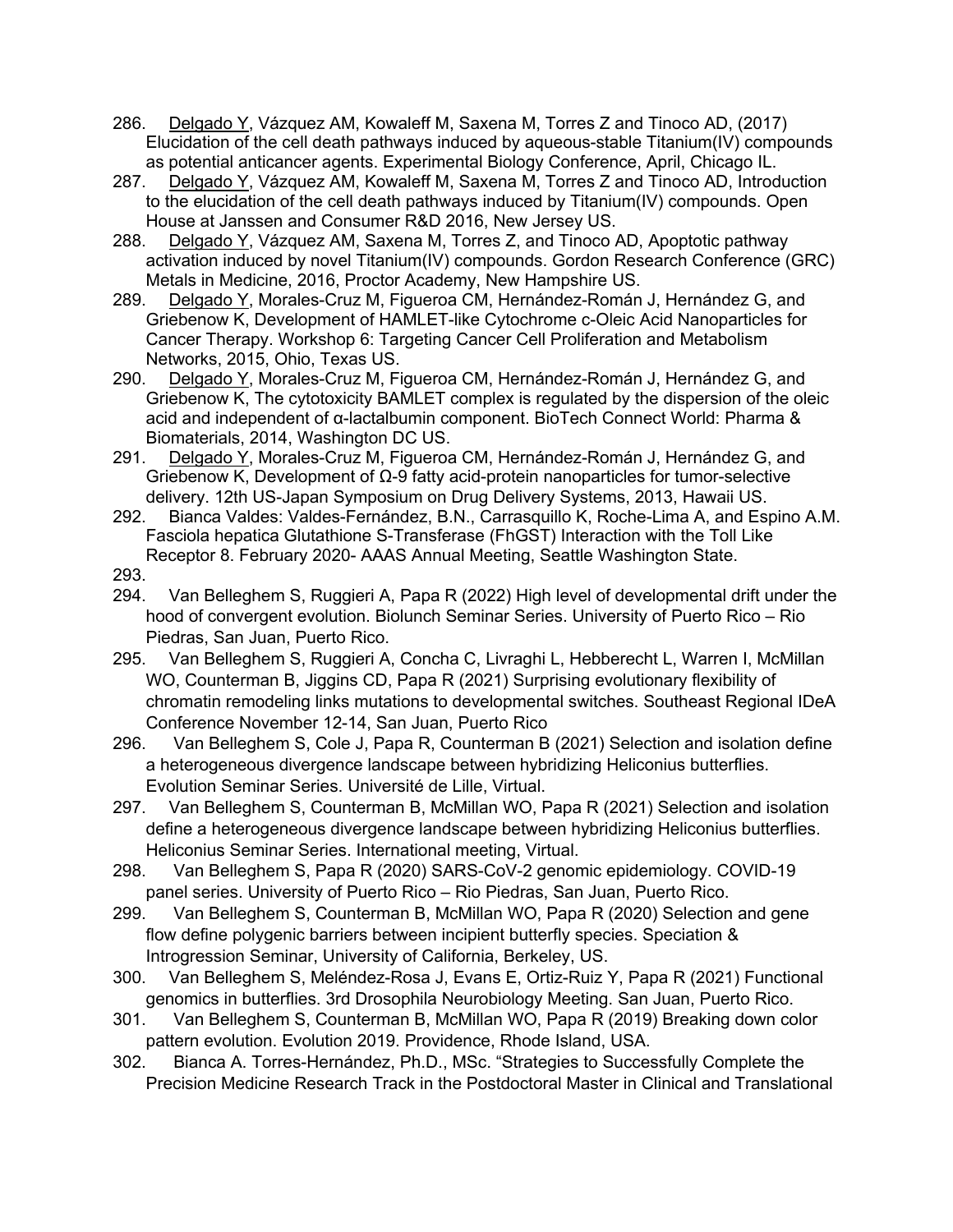- 286. Delgado Y, Vázquez AM, Kowaleff M, Saxena M, Torres Z and Tinoco AD, (2017) Elucidation of the cell death pathways induced by aqueous-stable Titanium(IV) compounds as potential anticancer agents. Experimental Biology Conference, April, Chicago IL.
- 287. Delgado Y, Vázquez AM, Kowaleff M, Saxena M, Torres Z and Tinoco AD, Introduction to the elucidation of the cell death pathways induced by Titanium(IV) compounds. Open House at Janssen and Consumer R&D 2016, New Jersey US.
- 288. Delgado Y, Vázquez AM, Saxena M, Torres Z, and Tinoco AD, Apoptotic pathway activation induced by novel Titanium(IV) compounds. Gordon Research Conference (GRC) Metals in Medicine, 2016, Proctor Academy, New Hampshire US.
- 289. Delgado Y, Morales-Cruz M, Figueroa CM, Hernández-Román J, Hernández G, and Griebenow K, Development of HAMLET-like Cytochrome c-Oleic Acid Nanoparticles for Cancer Therapy. Workshop 6: Targeting Cancer Cell Proliferation and Metabolism Networks, 2015, Ohio, Texas US.
- 290. Delgado Y, Morales-Cruz M, Figueroa CM, Hernández-Román J, Hernández G, and Griebenow K, The cytotoxicity BAMLET complex is regulated by the dispersion of the oleic acid and independent of α-lactalbumin component. BioTech Connect World: Pharma & Biomaterials, 2014, Washington DC US.
- 291. Delgado Y, Morales-Cruz M, Figueroa CM, Hernández-Román J, Hernández G, and Griebenow K, Development of Ω-9 fatty acid-protein nanoparticles for tumor-selective delivery. 12th US-Japan Symposium on Drug Delivery Systems, 2013, Hawaii US.
- 292. Bianca Valdes: Valdes-Fernández, B.N., Carrasquillo K, Roche-Lima A, and Espino A.M. Fasciola hepatica Glutathione S-Transferase (FhGST) Interaction with the Toll Like Receptor 8. February 2020- AAAS Annual Meeting, Seattle Washington State. 293.
- 294. Van Belleghem S, Ruggieri A, Papa R (2022) High level of developmental drift under the hood of convergent evolution. Biolunch Seminar Series. University of Puerto Rico – Rio Piedras, San Juan, Puerto Rico.
- 295. Van Belleghem S, Ruggieri A, Concha C, Livraghi L, Hebberecht L, Warren I, McMillan WO, Counterman B, Jiggins CD, Papa R (2021) Surprising evolutionary flexibility of chromatin remodeling links mutations to developmental switches. Southeast Regional IDeA Conference November 12-14, San Juan, Puerto Rico
- 296. Van Belleghem S, Cole J, Papa R, Counterman B (2021) Selection and isolation define a heterogeneous divergence landscape between hybridizing Heliconius butterflies. Evolution Seminar Series. Université de Lille, Virtual.
- 297. Van Belleghem S, Counterman B, McMillan WO, Papa R (2021) Selection and isolation define a heterogeneous divergence landscape between hybridizing Heliconius butterflies. Heliconius Seminar Series. International meeting, Virtual.
- 298. Van Belleghem S, Papa R (2020) SARS-CoV-2 genomic epidemiology. COVID-19 panel series. University of Puerto Rico – Rio Piedras, San Juan, Puerto Rico.
- 299. Van Belleghem S, Counterman B, McMillan WO, Papa R (2020) Selection and gene flow define polygenic barriers between incipient butterfly species. Speciation & Introgression Seminar, University of California, Berkeley, US.
- 300. Van Belleghem S, Meléndez-Rosa J, Evans E, Ortiz-Ruiz Y, Papa R (2021) Functional genomics in butterflies. 3rd Drosophila Neurobiology Meeting. San Juan, Puerto Rico.
- 301. Van Belleghem S, Counterman B, McMillan WO, Papa R (2019) Breaking down color pattern evolution. Evolution 2019. Providence, Rhode Island, USA.
- 302. Bianca A. Torres-Hernández, Ph.D., MSc. "Strategies to Successfully Complete the Precision Medicine Research Track in the Postdoctoral Master in Clinical and Translational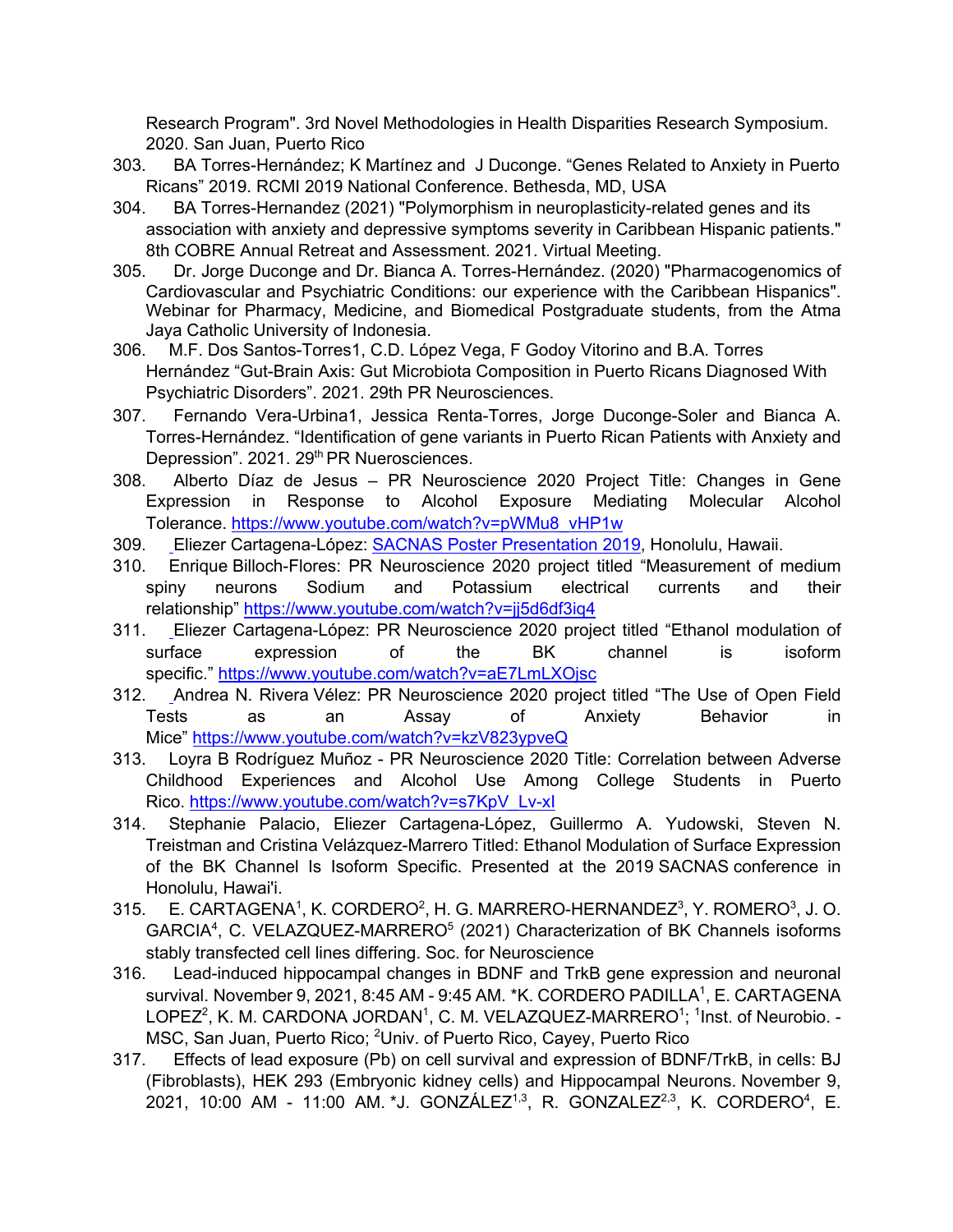Research Program". 3rd Novel Methodologies in Health Disparities Research Symposium. 2020. San Juan, Puerto Rico

- 303. BA Torres-Hernández; K Martínez and J Duconge. "Genes Related to Anxiety in Puerto Ricans" 2019. RCMI 2019 National Conference. Bethesda, MD, USA
- 304. BA Torres-Hernandez (2021) "Polymorphism in neuroplasticity-related genes and its association with anxiety and depressive symptoms severity in Caribbean Hispanic patients." 8th COBRE Annual Retreat and Assessment. 2021. Virtual Meeting.
- 305. Dr. Jorge Duconge and Dr. Bianca A. Torres-Hernández. (2020) "Pharmacogenomics of Cardiovascular and Psychiatric Conditions: our experience with the Caribbean Hispanics". Webinar for Pharmacy, Medicine, and Biomedical Postgraduate students, from the Atma Jaya Catholic University of Indonesia.
- 306. M.F. Dos Santos-Torres1, C.D. López Vega, F Godoy Vitorino and B.A. Torres Hernández "Gut-Brain Axis: Gut Microbiota Composition in Puerto Ricans Diagnosed With Psychiatric Disorders". 2021. 29th PR Neurosciences.
- 307. Fernando Vera-Urbina1, Jessica Renta-Torres, Jorge Duconge-Soler and Bianca A. Torres-Hernández. "Identification of gene variants in Puerto Rican Patients with Anxiety and Depression". 2021. 29<sup>th</sup> PR Nuerosciences.
- 308. Alberto Díaz de Jesus PR Neuroscience 2020 Project Title: Changes in Gene Expression in Response to Alcohol Exposure Mediating Molecular Alcohol Tolerance. https://www.youtube.com/watch?v=pWMu8\_vHP1w
- 309. Eliezer Cartagena-López: SACNAS Poster Presentation 2019, Honolulu, Hawaii.
- 310. Enrique Billoch-Flores: PR Neuroscience 2020 project titled "Measurement of medium spiny neurons Sodium and Potassium electrical currents and their relationship" https://www.youtube.com/watch?v=jj5d6df3iq4
- 311. Eliezer Cartagena-López: PR Neuroscience 2020 project titled "Ethanol modulation of surface expression of the BK channel is isoform specific." https://www.youtube.com/watch?v=aE7LmLXOjsc
- 312. Andrea N. Rivera Vélez: PR Neuroscience 2020 project titled "The Use of Open Field Tests as an Assay of Anxiety Behavior in Mice" https://www.youtube.com/watch?v=kzV823ypveQ
- 313. Loyra B Rodríguez Muñoz PR Neuroscience 2020 Title: Correlation between Adverse Childhood Experiences and Alcohol Use Among College Students in Puerto Rico. https://www.youtube.com/watch?v=s7KpV\_Lv-xI
- 314. Stephanie Palacio, Eliezer Cartagena-López, Guillermo A. Yudowski, Steven N. Treistman and Cristina Velázquez-Marrero Titled: Ethanol Modulation of Surface Expression of the BK Channel Is Isoform Specific. Presented at the 2019 SACNAS conference in Honolulu, Hawai'i.
- 315. E. CARTAGENA<sup>1</sup>, K. CORDERO<sup>2</sup>, H. G. MARRERO-HERNANDEZ $^3$ , Y. ROMERO $^3$ , J. O. GARCIA<sup>4</sup>, C. VELAZQUEZ-MARRERO<sup>5</sup> (2021) Characterization of BK Channels isoforms stably transfected cell lines differing. Soc. for Neuroscience
- 316. Lead-induced hippocampal changes in BDNF and TrkB gene expression and neuronal survival. November 9, 2021, 8:45 AM - 9:45 AM. \*K. CORDERO PADILLA<sup>1</sup>, E. CARTAGENA LOPEZ<sup>2</sup>, K. M. CARDONA JORDAN<sup>1</sup>, C. M. VELAZQUEZ-MARRERO<sup>1</sup>; <sup>1</sup>Inst. of Neurobio. -MSC, San Juan, Puerto Rico; <sup>2</sup>Univ. of Puerto Rico, Cayey, Puerto Rico
- 317. Effects of lead exposure (Pb) on cell survival and expression of BDNF/TrkB, in cells: BJ (Fibroblasts), HEK 293 (Embryonic kidney cells) and Hippocampal Neurons. November 9, 2021, 10:00 AM - 11:00 AM.\*J. GONZÁLEZ<sup>1,3</sup>, R. GONZALEZ<sup>2,3</sup>, K. CORDERO<sup>4</sup>, E.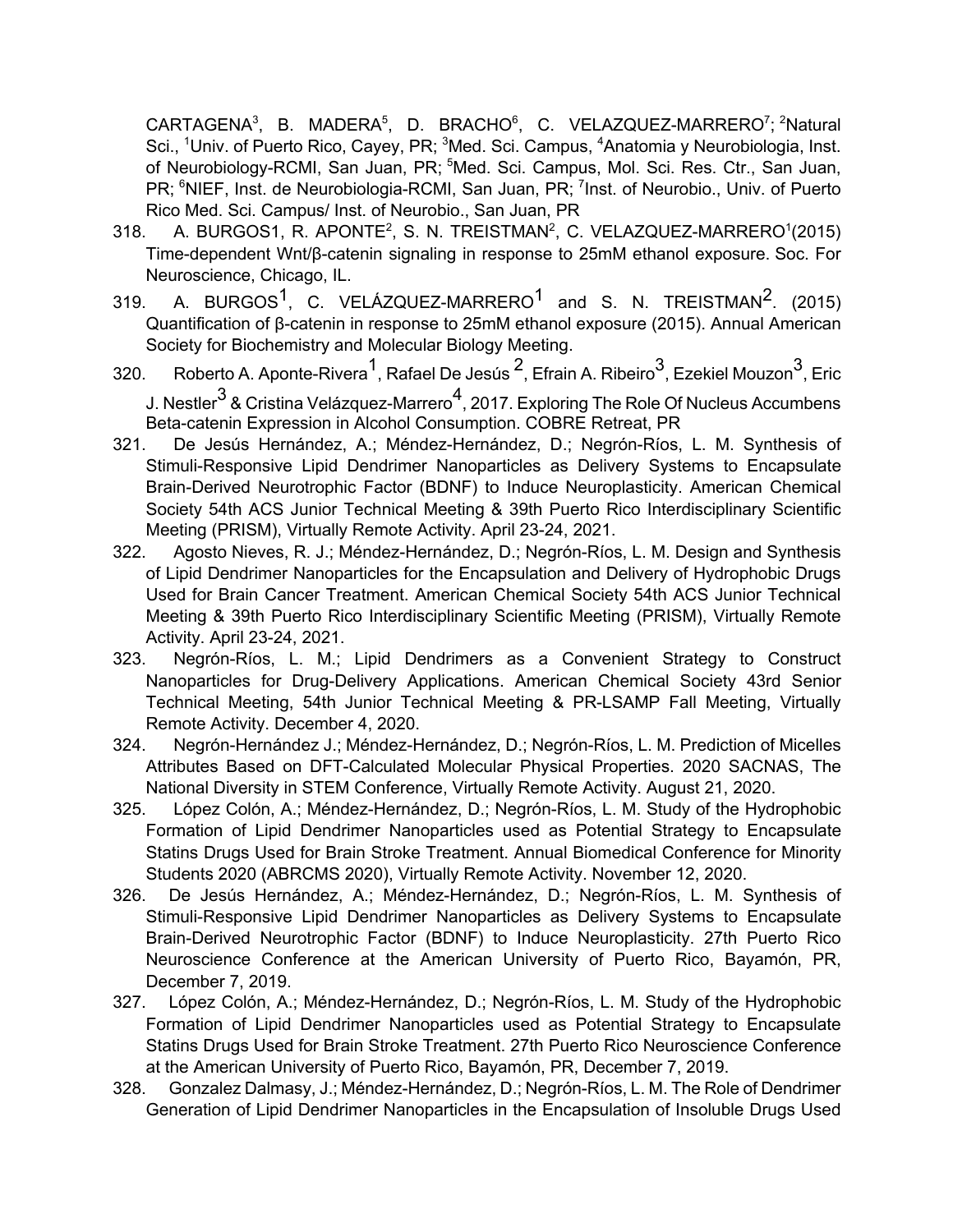CARTAGENA<sup>3</sup>, B. MADERA<sup>5</sup>, D. BRACHO<sup>6</sup>, C. VELAZQUEZ-MARRERO<sup>7</sup>; <sup>2</sup>Natural Sci., <sup>1</sup>Univ. of Puerto Rico, Cayey, PR; <sup>3</sup>Med. Sci. Campus, <sup>4</sup>Anatomia y Neurobiologia, Inst. of Neurobiology-RCMI, San Juan, PR; <sup>5</sup>Med. Sci. Campus, Mol. Sci. Res. Ctr., San Juan, PR; <sup>6</sup>NIEF, Inst. de Neurobiologia-RCMI, San Juan, PR; <sup>7</sup>Inst. of Neurobio., Univ. of Puerto Rico Med. Sci. Campus/ Inst. of Neurobio., San Juan, PR

- $318.$  A. BURGOS1, R. APONTE<sup>2</sup>, S. N. TREISTMAN<sup>2</sup>, C. VELAZQUEZ-MARRERO<sup>1</sup>(2015) Time-dependent Wnt/β-catenin signaling in response to 25mM ethanol exposure. Soc. For Neuroscience, Chicago, IL.
- 319. A. BURGOS<sup>1</sup>, C. VELÁZQUEZ-MARRERO<sup>1</sup> and S. N. TREISTMAN<sup>2</sup>. (2015) Quantification of β-catenin in response to 25mM ethanol exposure (2015). Annual American Society for Biochemistry and Molecular Biology Meeting.
- 320. Roberto A. Aponte-Rivera $^{\textsf{1}}$ , Rafael De Jesús  $^{\textsf{2}}$ , Efrain A. Ribeiro $^{\textsf{3}}$ , Ezekiel Mouzon $^{\textsf{3}}$ , Eric J. Nestler $3$  & Cristina Velázquez-Marrero<sup>4</sup>, 2017. Exploring The Role Of Nucleus Accumbens Beta-catenin Expression in Alcohol Consumption. COBRE Retreat, PR
- 321. De Jesús Hernández, A.; Méndez-Hernández, D.; Negrón-Ríos, L. M. Synthesis of Stimuli-Responsive Lipid Dendrimer Nanoparticles as Delivery Systems to Encapsulate Brain-Derived Neurotrophic Factor (BDNF) to Induce Neuroplasticity. American Chemical Society 54th ACS Junior Technical Meeting & 39th Puerto Rico Interdisciplinary Scientific Meeting (PRISM), Virtually Remote Activity. April 23-24, 2021.
- 322. Agosto Nieves, R. J.; Méndez-Hernández, D.; Negrón-Ríos, L. M. Design and Synthesis of Lipid Dendrimer Nanoparticles for the Encapsulation and Delivery of Hydrophobic Drugs Used for Brain Cancer Treatment. American Chemical Society 54th ACS Junior Technical Meeting & 39th Puerto Rico Interdisciplinary Scientific Meeting (PRISM), Virtually Remote Activity. April 23-24, 2021.
- 323. Negrón-Ríos, L. M.; Lipid Dendrimers as a Convenient Strategy to Construct Nanoparticles for Drug-Delivery Applications. American Chemical Society 43rd Senior Technical Meeting, 54th Junior Technical Meeting & PR-LSAMP Fall Meeting, Virtually Remote Activity. December 4, 2020.
- 324. Negrón-Hernández J.; Méndez-Hernández, D.; Negrón-Ríos, L. M. Prediction of Micelles Attributes Based on DFT-Calculated Molecular Physical Properties. 2020 SACNAS, The National Diversity in STEM Conference, Virtually Remote Activity. August 21, 2020.
- 325. López Colón, A.; Méndez-Hernández, D.; Negrón-Ríos, L. M. Study of the Hydrophobic Formation of Lipid Dendrimer Nanoparticles used as Potential Strategy to Encapsulate Statins Drugs Used for Brain Stroke Treatment. Annual Biomedical Conference for Minority Students 2020 (ABRCMS 2020), Virtually Remote Activity. November 12, 2020.
- 326. De Jesús Hernández, A.; Méndez-Hernández, D.; Negrón-Ríos, L. M. Synthesis of Stimuli-Responsive Lipid Dendrimer Nanoparticles as Delivery Systems to Encapsulate Brain-Derived Neurotrophic Factor (BDNF) to Induce Neuroplasticity. 27th Puerto Rico Neuroscience Conference at the American University of Puerto Rico, Bayamón, PR, December 7, 2019.
- 327. López Colón, A.; Méndez-Hernández, D.; Negrón-Ríos, L. M. Study of the Hydrophobic Formation of Lipid Dendrimer Nanoparticles used as Potential Strategy to Encapsulate Statins Drugs Used for Brain Stroke Treatment. 27th Puerto Rico Neuroscience Conference at the American University of Puerto Rico, Bayamón, PR, December 7, 2019.
- 328. Gonzalez Dalmasy, J.; Méndez-Hernández, D.; Negrón-Ríos, L. M. The Role of Dendrimer Generation of Lipid Dendrimer Nanoparticles in the Encapsulation of Insoluble Drugs Used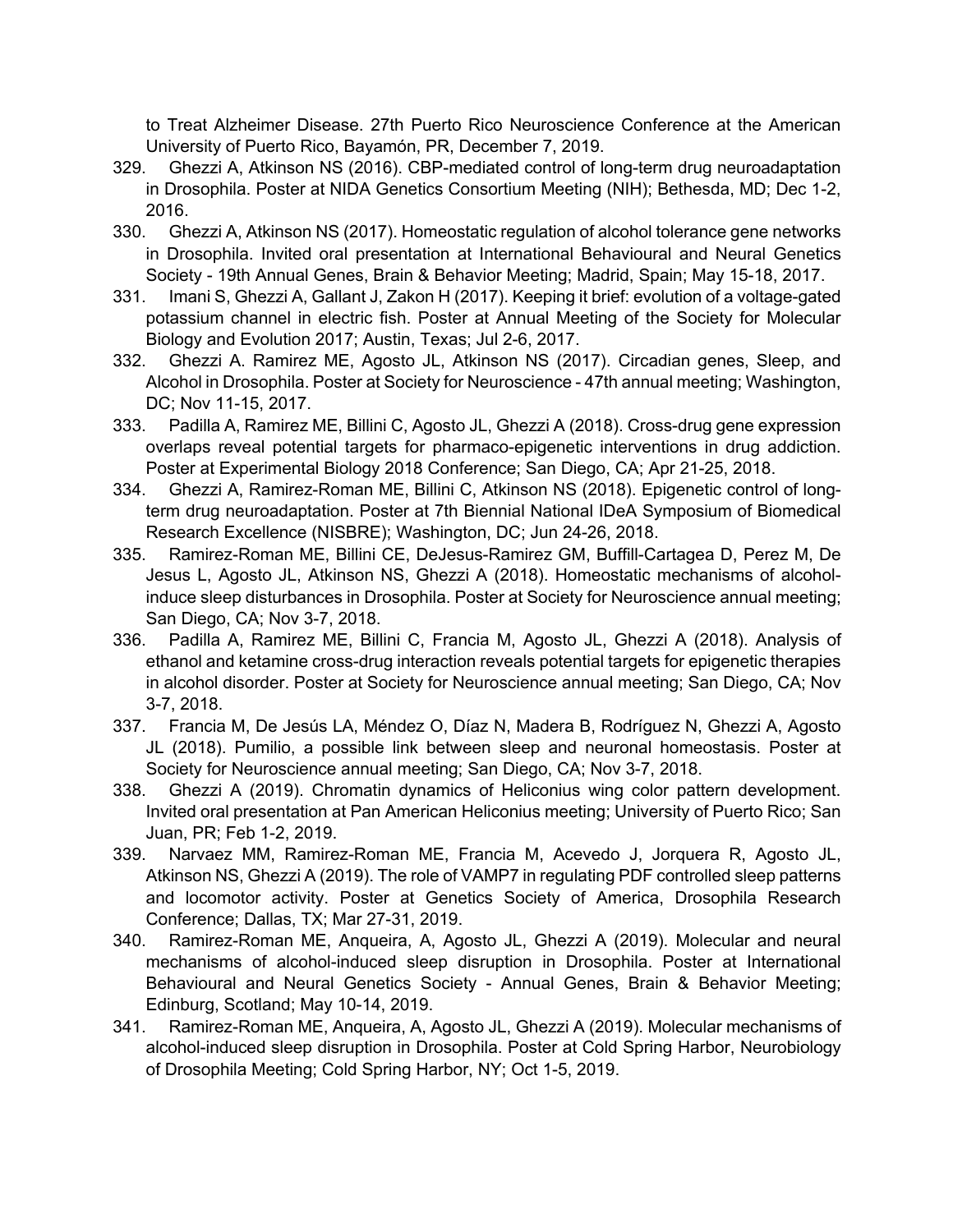to Treat Alzheimer Disease. 27th Puerto Rico Neuroscience Conference at the American University of Puerto Rico, Bayamón, PR, December 7, 2019.

- 329. Ghezzi A, Atkinson NS (2016). CBP-mediated control of long-term drug neuroadaptation in Drosophila. Poster at NIDA Genetics Consortium Meeting (NIH); Bethesda, MD; Dec 1-2, 2016.
- 330. Ghezzi A, Atkinson NS (2017). Homeostatic regulation of alcohol tolerance gene networks in Drosophila. Invited oral presentation at International Behavioural and Neural Genetics Society - 19th Annual Genes, Brain & Behavior Meeting; Madrid, Spain; May 15-18, 2017.
- 331. Imani S, Ghezzi A, Gallant J, Zakon H (2017). Keeping it brief: evolution of a voltage-gated potassium channel in electric fish. Poster at Annual Meeting of the Society for Molecular Biology and Evolution 2017; Austin, Texas; Jul 2-6, 2017.
- 332. Ghezzi A. Ramirez ME, Agosto JL, Atkinson NS (2017). Circadian genes, Sleep, and Alcohol in Drosophila. Poster at Society for Neuroscience - 47th annual meeting; Washington, DC; Nov 11-15, 2017.
- 333. Padilla A, Ramirez ME, Billini C, Agosto JL, Ghezzi A (2018). Cross-drug gene expression overlaps reveal potential targets for pharmaco-epigenetic interventions in drug addiction. Poster at Experimental Biology 2018 Conference; San Diego, CA; Apr 21-25, 2018.
- 334. Ghezzi A, Ramirez-Roman ME, Billini C, Atkinson NS (2018). Epigenetic control of longterm drug neuroadaptation. Poster at 7th Biennial National IDeA Symposium of Biomedical Research Excellence (NISBRE); Washington, DC; Jun 24-26, 2018.
- 335. Ramirez-Roman ME, Billini CE, DeJesus-Ramirez GM, Buffill-Cartagea D, Perez M, De Jesus L, Agosto JL, Atkinson NS, Ghezzi A (2018). Homeostatic mechanisms of alcoholinduce sleep disturbances in Drosophila. Poster at Society for Neuroscience annual meeting; San Diego, CA; Nov 3-7, 2018.
- 336. Padilla A, Ramirez ME, Billini C, Francia M, Agosto JL, Ghezzi A (2018). Analysis of ethanol and ketamine cross-drug interaction reveals potential targets for epigenetic therapies in alcohol disorder. Poster at Society for Neuroscience annual meeting; San Diego, CA; Nov 3-7, 2018.
- 337. Francia M, De Jesús LA, Méndez O, Díaz N, Madera B, Rodríguez N, Ghezzi A, Agosto JL (2018). Pumilio, a possible link between sleep and neuronal homeostasis. Poster at Society for Neuroscience annual meeting; San Diego, CA; Nov 3-7, 2018.
- 338. Ghezzi A (2019). Chromatin dynamics of Heliconius wing color pattern development. Invited oral presentation at Pan American Heliconius meeting; University of Puerto Rico; San Juan, PR; Feb 1-2, 2019.
- 339. Narvaez MM, Ramirez-Roman ME, Francia M, Acevedo J, Jorquera R, Agosto JL, Atkinson NS, Ghezzi A (2019). The role of VAMP7 in regulating PDF controlled sleep patterns and locomotor activity. Poster at Genetics Society of America, Drosophila Research Conference; Dallas, TX; Mar 27-31, 2019.
- 340. Ramirez-Roman ME, Anqueira, A, Agosto JL, Ghezzi A (2019). Molecular and neural mechanisms of alcohol-induced sleep disruption in Drosophila. Poster at International Behavioural and Neural Genetics Society - Annual Genes, Brain & Behavior Meeting; Edinburg, Scotland; May 10-14, 2019.
- 341. Ramirez-Roman ME, Anqueira, A, Agosto JL, Ghezzi A (2019). Molecular mechanisms of alcohol-induced sleep disruption in Drosophila. Poster at Cold Spring Harbor, Neurobiology of Drosophila Meeting; Cold Spring Harbor, NY; Oct 1-5, 2019.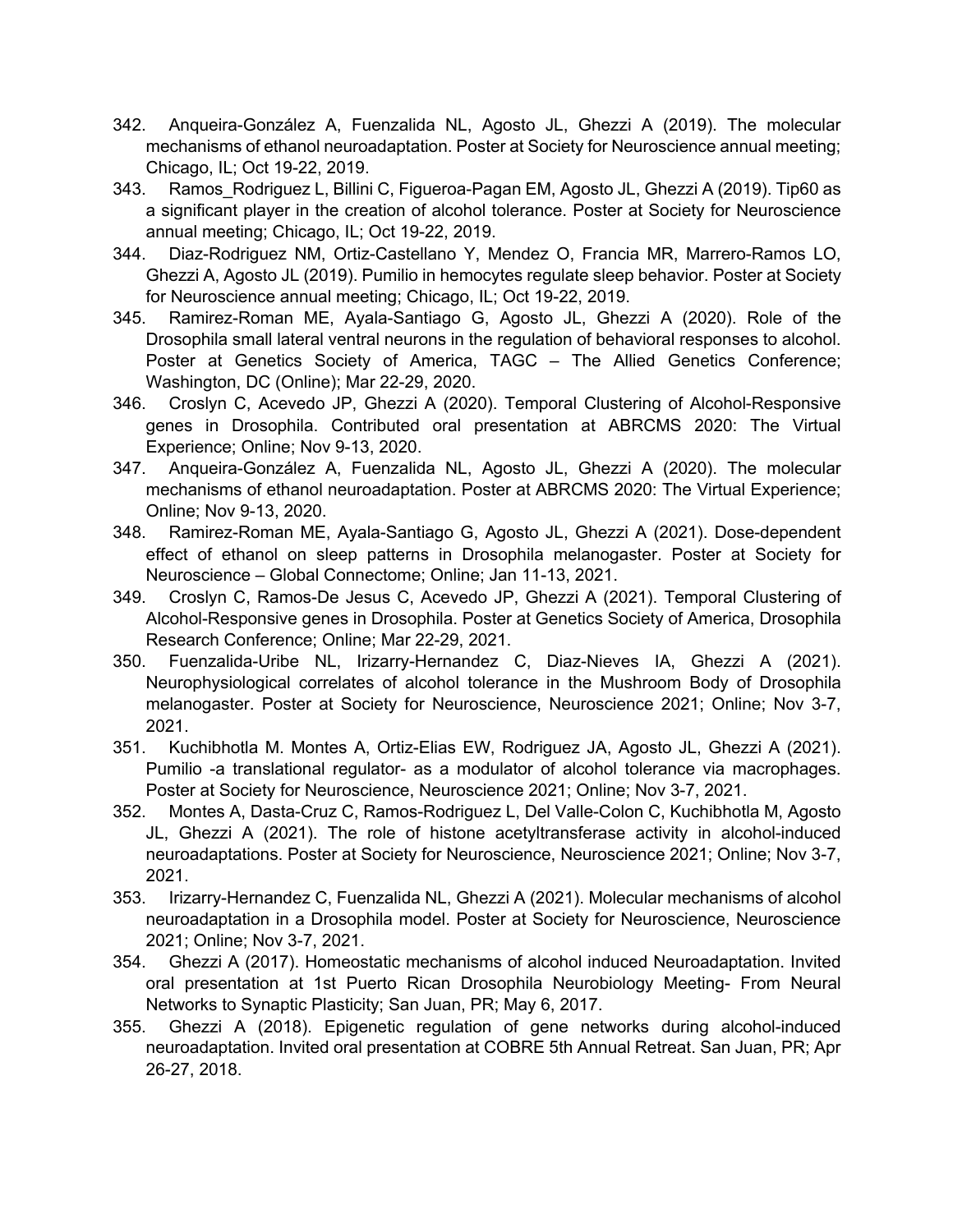- 342. Anqueira-González A, Fuenzalida NL, Agosto JL, Ghezzi A (2019). The molecular mechanisms of ethanol neuroadaptation. Poster at Society for Neuroscience annual meeting; Chicago, IL; Oct 19-22, 2019.
- 343. Ramos Rodriguez L, Billini C, Figueroa-Pagan EM, Agosto JL, Ghezzi A (2019). Tip60 as a significant player in the creation of alcohol tolerance. Poster at Society for Neuroscience annual meeting; Chicago, IL; Oct 19-22, 2019.
- 344. Diaz-Rodriguez NM, Ortiz-Castellano Y, Mendez O, Francia MR, Marrero-Ramos LO, Ghezzi A, Agosto JL (2019). Pumilio in hemocytes regulate sleep behavior. Poster at Society for Neuroscience annual meeting; Chicago, IL; Oct 19-22, 2019.
- 345. Ramirez-Roman ME, Ayala-Santiago G, Agosto JL, Ghezzi A (2020). Role of the Drosophila small lateral ventral neurons in the regulation of behavioral responses to alcohol. Poster at Genetics Society of America, TAGC – The Allied Genetics Conference; Washington, DC (Online); Mar 22-29, 2020.
- 346. Croslyn C, Acevedo JP, Ghezzi A (2020). Temporal Clustering of Alcohol-Responsive genes in Drosophila. Contributed oral presentation at ABRCMS 2020: The Virtual Experience; Online; Nov 9-13, 2020.
- 347. Anqueira-González A, Fuenzalida NL, Agosto JL, Ghezzi A (2020). The molecular mechanisms of ethanol neuroadaptation. Poster at ABRCMS 2020: The Virtual Experience; Online; Nov 9-13, 2020.
- 348. Ramirez-Roman ME, Ayala-Santiago G, Agosto JL, Ghezzi A (2021). Dose-dependent effect of ethanol on sleep patterns in Drosophila melanogaster. Poster at Society for Neuroscience – Global Connectome; Online; Jan 11-13, 2021.
- 349. Croslyn C, Ramos-De Jesus C, Acevedo JP, Ghezzi A (2021). Temporal Clustering of Alcohol-Responsive genes in Drosophila. Poster at Genetics Society of America, Drosophila Research Conference; Online; Mar 22-29, 2021.
- 350. Fuenzalida-Uribe NL, Irizarry-Hernandez C, Diaz-Nieves IA, Ghezzi A (2021). Neurophysiological correlates of alcohol tolerance in the Mushroom Body of Drosophila melanogaster. Poster at Society for Neuroscience, Neuroscience 2021; Online; Nov 3-7, 2021.
- 351. Kuchibhotla M. Montes A, Ortiz-Elias EW, Rodriguez JA, Agosto JL, Ghezzi A (2021). Pumilio -a translational regulator- as a modulator of alcohol tolerance via macrophages. Poster at Society for Neuroscience, Neuroscience 2021; Online; Nov 3-7, 2021.
- 352. Montes A, Dasta-Cruz C, Ramos-Rodriguez L, Del Valle-Colon C, Kuchibhotla M, Agosto JL, Ghezzi A (2021). The role of histone acetyltransferase activity in alcohol-induced neuroadaptations. Poster at Society for Neuroscience, Neuroscience 2021; Online; Nov 3-7, 2021.
- 353. Irizarry-Hernandez C, Fuenzalida NL, Ghezzi A (2021). Molecular mechanisms of alcohol neuroadaptation in a Drosophila model. Poster at Society for Neuroscience, Neuroscience 2021; Online; Nov 3-7, 2021.
- 354. Ghezzi A (2017). Homeostatic mechanisms of alcohol induced Neuroadaptation. Invited oral presentation at 1st Puerto Rican Drosophila Neurobiology Meeting- From Neural Networks to Synaptic Plasticity; San Juan, PR; May 6, 2017.
- 355. Ghezzi A (2018). Epigenetic regulation of gene networks during alcohol-induced neuroadaptation. Invited oral presentation at COBRE 5th Annual Retreat. San Juan, PR; Apr 26-27, 2018.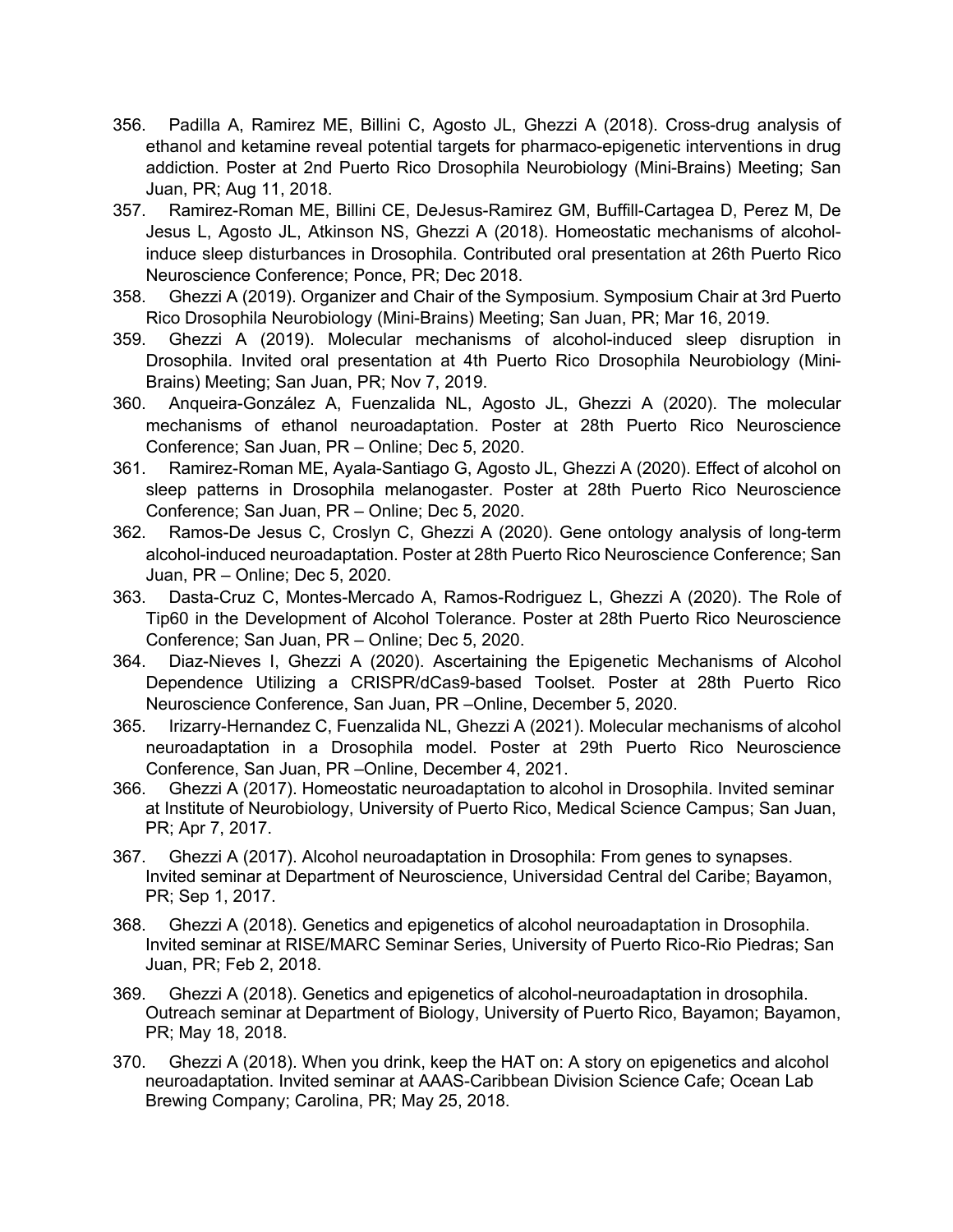- 356. Padilla A, Ramirez ME, Billini C, Agosto JL, Ghezzi A (2018). Cross-drug analysis of ethanol and ketamine reveal potential targets for pharmaco-epigenetic interventions in drug addiction. Poster at 2nd Puerto Rico Drosophila Neurobiology (Mini-Brains) Meeting; San Juan, PR; Aug 11, 2018.
- 357. Ramirez-Roman ME, Billini CE, DeJesus-Ramirez GM, Buffill-Cartagea D, Perez M, De Jesus L, Agosto JL, Atkinson NS, Ghezzi A (2018). Homeostatic mechanisms of alcoholinduce sleep disturbances in Drosophila. Contributed oral presentation at 26th Puerto Rico Neuroscience Conference; Ponce, PR; Dec 2018.
- 358. Ghezzi A (2019). Organizer and Chair of the Symposium. Symposium Chair at 3rd Puerto Rico Drosophila Neurobiology (Mini-Brains) Meeting; San Juan, PR; Mar 16, 2019.
- 359. Ghezzi A (2019). Molecular mechanisms of alcohol-induced sleep disruption in Drosophila. Invited oral presentation at 4th Puerto Rico Drosophila Neurobiology (Mini-Brains) Meeting; San Juan, PR; Nov 7, 2019.
- 360. Anqueira-González A, Fuenzalida NL, Agosto JL, Ghezzi A (2020). The molecular mechanisms of ethanol neuroadaptation. Poster at 28th Puerto Rico Neuroscience Conference; San Juan, PR – Online; Dec 5, 2020.
- 361. Ramirez-Roman ME, Ayala-Santiago G, Agosto JL, Ghezzi A (2020). Effect of alcohol on sleep patterns in Drosophila melanogaster. Poster at 28th Puerto Rico Neuroscience Conference; San Juan, PR – Online; Dec 5, 2020.
- 362. Ramos-De Jesus C, Croslyn C, Ghezzi A (2020). Gene ontology analysis of long-term alcohol-induced neuroadaptation. Poster at 28th Puerto Rico Neuroscience Conference; San Juan, PR – Online; Dec 5, 2020.
- 363. Dasta-Cruz C, Montes-Mercado A, Ramos-Rodriguez L, Ghezzi A (2020). The Role of Tip60 in the Development of Alcohol Tolerance. Poster at 28th Puerto Rico Neuroscience Conference; San Juan, PR – Online; Dec 5, 2020.
- 364. Diaz-Nieves I, Ghezzi A (2020). Ascertaining the Epigenetic Mechanisms of Alcohol Dependence Utilizing a CRISPR/dCas9-based Toolset. Poster at 28th Puerto Rico Neuroscience Conference, San Juan, PR –Online, December 5, 2020.
- 365. Irizarry-Hernandez C, Fuenzalida NL, Ghezzi A (2021). Molecular mechanisms of alcohol neuroadaptation in a Drosophila model. Poster at 29th Puerto Rico Neuroscience Conference, San Juan, PR –Online, December 4, 2021.
- 366. Ghezzi A (2017). Homeostatic neuroadaptation to alcohol in Drosophila. Invited seminar at Institute of Neurobiology, University of Puerto Rico, Medical Science Campus; San Juan, PR; Apr 7, 2017.
- 367. Ghezzi A (2017). Alcohol neuroadaptation in Drosophila: From genes to synapses. Invited seminar at Department of Neuroscience, Universidad Central del Caribe; Bayamon, PR; Sep 1, 2017.
- 368. Ghezzi A (2018). Genetics and epigenetics of alcohol neuroadaptation in Drosophila. Invited seminar at RISE/MARC Seminar Series, University of Puerto Rico-Rio Piedras; San Juan, PR; Feb 2, 2018.
- 369. Ghezzi A (2018). Genetics and epigenetics of alcohol-neuroadaptation in drosophila. Outreach seminar at Department of Biology, University of Puerto Rico, Bayamon; Bayamon, PR; May 18, 2018.
- 370. Ghezzi A (2018). When you drink, keep the HAT on: A story on epigenetics and alcohol neuroadaptation. Invited seminar at AAAS-Caribbean Division Science Cafe; Ocean Lab Brewing Company; Carolina, PR; May 25, 2018.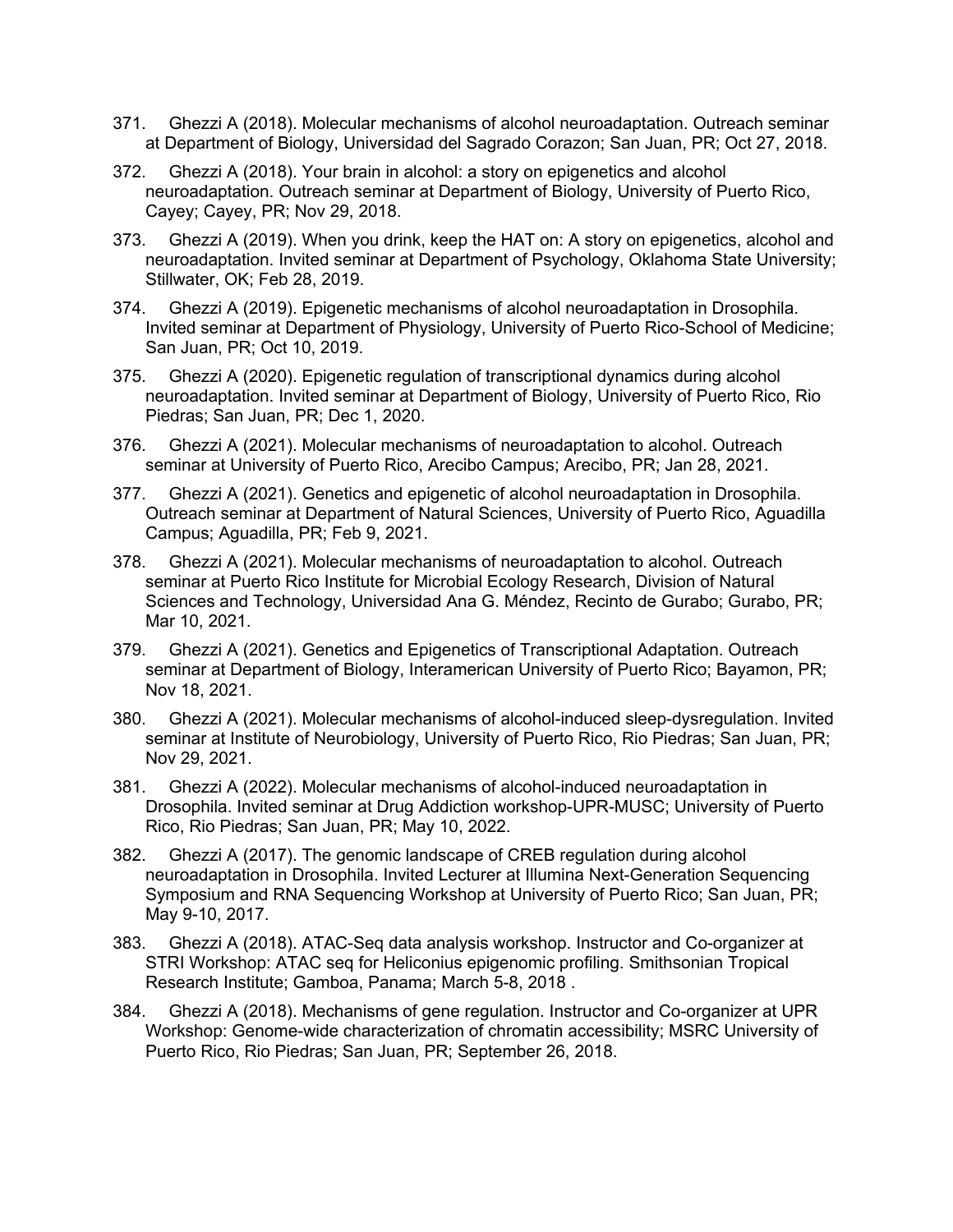- 371. Ghezzi A (2018). Molecular mechanisms of alcohol neuroadaptation. Outreach seminar at Department of Biology, Universidad del Sagrado Corazon; San Juan, PR; Oct 27, 2018.
- 372. Ghezzi A (2018). Your brain in alcohol: a story on epigenetics and alcohol neuroadaptation. Outreach seminar at Department of Biology, University of Puerto Rico, Cayey; Cayey, PR; Nov 29, 2018.
- 373. Ghezzi A (2019). When you drink, keep the HAT on: A story on epigenetics, alcohol and neuroadaptation. Invited seminar at Department of Psychology, Oklahoma State University; Stillwater, OK; Feb 28, 2019.
- 374. Ghezzi A (2019). Epigenetic mechanisms of alcohol neuroadaptation in Drosophila. Invited seminar at Department of Physiology, University of Puerto Rico-School of Medicine; San Juan, PR; Oct 10, 2019.
- 375. Ghezzi A (2020). Epigenetic regulation of transcriptional dynamics during alcohol neuroadaptation. Invited seminar at Department of Biology, University of Puerto Rico, Rio Piedras; San Juan, PR; Dec 1, 2020.
- 376. Ghezzi A (2021). Molecular mechanisms of neuroadaptation to alcohol. Outreach seminar at University of Puerto Rico, Arecibo Campus; Arecibo, PR; Jan 28, 2021.
- 377. Ghezzi A (2021). Genetics and epigenetic of alcohol neuroadaptation in Drosophila. Outreach seminar at Department of Natural Sciences, University of Puerto Rico, Aguadilla Campus; Aguadilla, PR; Feb 9, 2021.
- 378. Ghezzi A (2021). Molecular mechanisms of neuroadaptation to alcohol. Outreach seminar at Puerto Rico Institute for Microbial Ecology Research, Division of Natural Sciences and Technology, Universidad Ana G. Méndez, Recinto de Gurabo; Gurabo, PR; Mar 10, 2021.
- 379. Ghezzi A (2021). Genetics and Epigenetics of Transcriptional Adaptation. Outreach seminar at Department of Biology, Interamerican University of Puerto Rico; Bayamon, PR; Nov 18, 2021.
- 380. Ghezzi A (2021). Molecular mechanisms of alcohol-induced sleep-dysregulation. Invited seminar at Institute of Neurobiology, University of Puerto Rico, Rio Piedras; San Juan, PR; Nov 29, 2021.
- 381. Ghezzi A (2022). Molecular mechanisms of alcohol-induced neuroadaptation in Drosophila. Invited seminar at Drug Addiction workshop-UPR-MUSC; University of Puerto Rico, Rio Piedras; San Juan, PR; May 10, 2022.
- 382. Ghezzi A (2017). The genomic landscape of CREB regulation during alcohol neuroadaptation in Drosophila. Invited Lecturer at Illumina Next-Generation Sequencing Symposium and RNA Sequencing Workshop at University of Puerto Rico; San Juan, PR; May 9-10, 2017.
- 383. Ghezzi A (2018). ATAC-Seq data analysis workshop. Instructor and Co-organizer at STRI Workshop: ATAC seq for Heliconius epigenomic profiling. Smithsonian Tropical Research Institute; Gamboa, Panama; March 5-8, 2018 .
- 384. Ghezzi A (2018). Mechanisms of gene regulation. Instructor and Co-organizer at UPR Workshop: Genome-wide characterization of chromatin accessibility; MSRC University of Puerto Rico, Rio Piedras; San Juan, PR; September 26, 2018.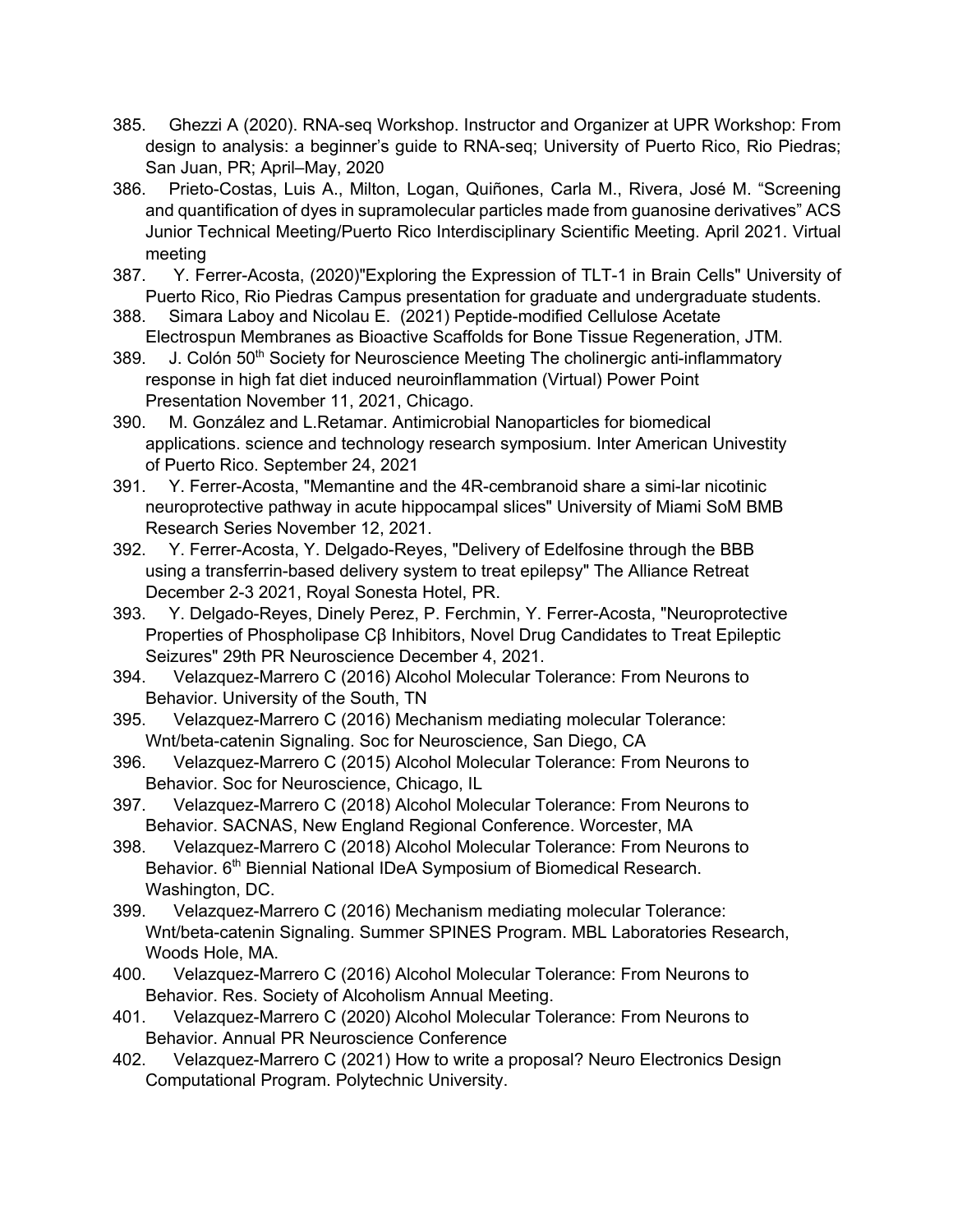- 385. Ghezzi A (2020). RNA-seq Workshop. Instructor and Organizer at UPR Workshop: From design to analysis: a beginner's guide to RNA-seq; University of Puerto Rico, Rio Piedras; San Juan, PR; April–May, 2020
- 386. Prieto-Costas, Luis A., Milton, Logan, Quiñones, Carla M., Rivera, José M. "Screening and quantification of dyes in supramolecular particles made from guanosine derivatives" ACS Junior Technical Meeting/Puerto Rico Interdisciplinary Scientific Meeting. April 2021. Virtual meeting
- 387. Y. Ferrer-Acosta, (2020)"Exploring the Expression of TLT-1 in Brain Cells" University of Puerto Rico, Rio Piedras Campus presentation for graduate and undergraduate students.
- 388. Simara Laboy and Nicolau E. (2021) Peptide-modified Cellulose Acetate Electrospun Membranes as Bioactive Scaffolds for Bone Tissue Regeneration, JTM.
- 389. J. Colón 50<sup>th</sup> Society for Neuroscience Meeting The cholinergic anti-inflammatory response in high fat diet induced neuroinflammation (Virtual) Power Point Presentation November 11, 2021, Chicago.
- 390. M. González and L.Retamar. Antimicrobial Nanoparticles for biomedical applications. science and technology research symposium. Inter American Univestity of Puerto Rico. September 24, 2021
- 391. Y. Ferrer-Acosta, "Memantine and the 4R-cembranoid share a simi-lar nicotinic neuroprotective pathway in acute hippocampal slices" University of Miami SoM BMB Research Series November 12, 2021.
- 392. Y. Ferrer-Acosta, Y. Delgado-Reyes, "Delivery of Edelfosine through the BBB using a transferrin-based delivery system to treat epilepsy" The Alliance Retreat December 2-3 2021, Royal Sonesta Hotel, PR.
- 393. Y. Delgado-Reyes, Dinely Perez, P. Ferchmin, Y. Ferrer-Acosta, "Neuroprotective Properties of Phospholipase Cβ Inhibitors, Novel Drug Candidates to Treat Epileptic Seizures" 29th PR Neuroscience December 4, 2021.
- 394. Velazquez-Marrero C (2016) Alcohol Molecular Tolerance: From Neurons to Behavior. University of the South, TN
- 395. Velazquez-Marrero C (2016) Mechanism mediating molecular Tolerance: Wnt/beta-catenin Signaling. Soc for Neuroscience, San Diego, CA
- 396. Velazquez-Marrero C (2015) Alcohol Molecular Tolerance: From Neurons to Behavior. Soc for Neuroscience, Chicago, IL
- 397. Velazquez-Marrero C (2018) Alcohol Molecular Tolerance: From Neurons to Behavior. SACNAS, New England Regional Conference. Worcester, MA
- 398. Velazquez-Marrero C (2018) Alcohol Molecular Tolerance: From Neurons to Behavior. 6<sup>th</sup> Biennial National IDeA Symposium of Biomedical Research. Washington, DC.
- 399. Velazquez-Marrero C (2016) Mechanism mediating molecular Tolerance: Wnt/beta-catenin Signaling. Summer SPINES Program. MBL Laboratories Research, Woods Hole, MA.
- 400. Velazquez-Marrero C (2016) Alcohol Molecular Tolerance: From Neurons to Behavior. Res. Society of Alcoholism Annual Meeting.
- 401. Velazquez-Marrero C (2020) Alcohol Molecular Tolerance: From Neurons to Behavior. Annual PR Neuroscience Conference
- 402. Velazquez-Marrero C (2021) How to write a proposal? Neuro Electronics Design Computational Program. Polytechnic University.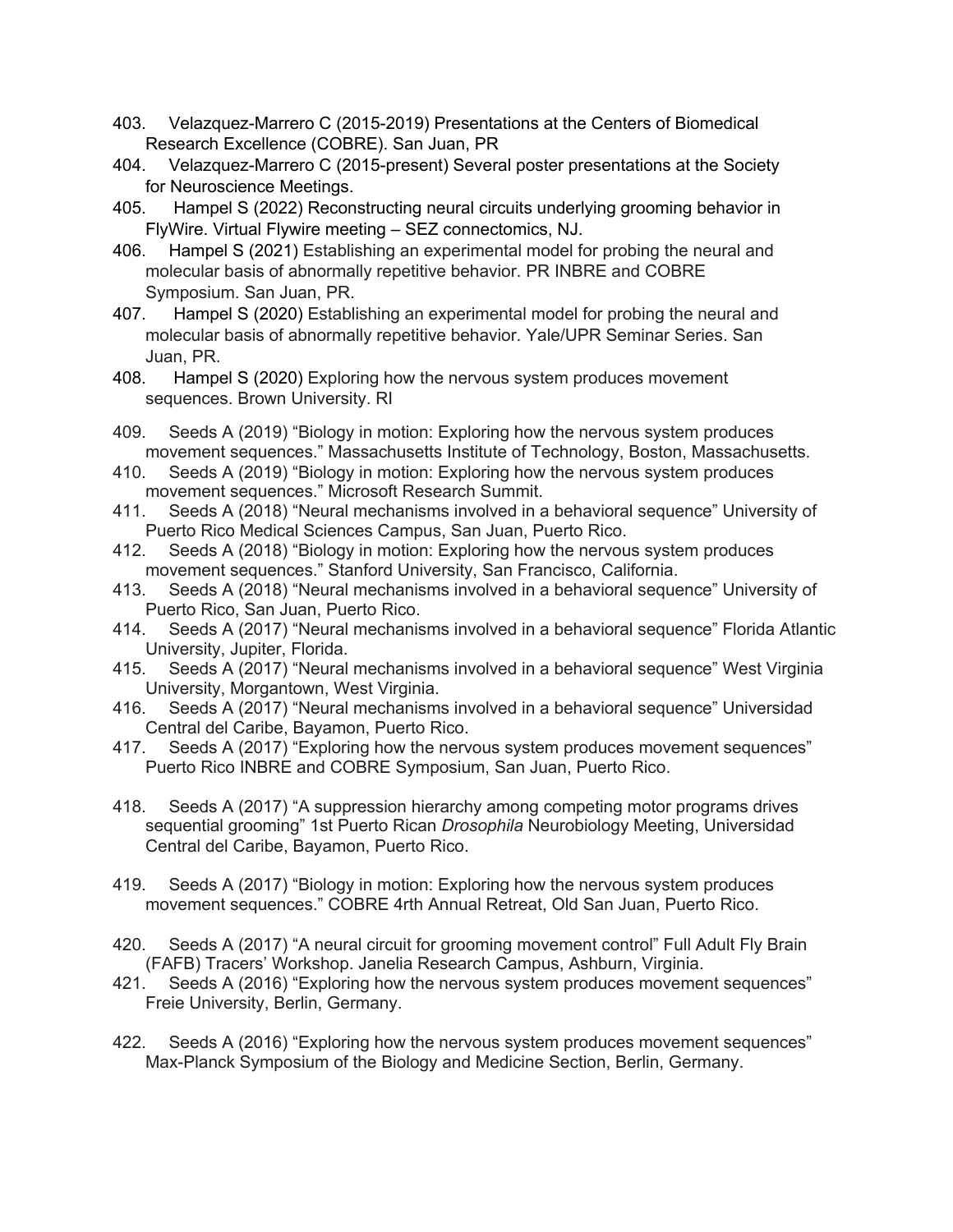- 403. Velazquez-Marrero C (2015-2019) Presentations at the Centers of Biomedical Research Excellence (COBRE). San Juan, PR
- 404. Velazquez-Marrero C (2015-present) Several poster presentations at the Society for Neuroscience Meetings.
- 405. Hampel S (2022) Reconstructing neural circuits underlying grooming behavior in FlyWire. Virtual Flywire meeting – SEZ connectomics, NJ.
- 406. Hampel S (2021) Establishing an experimental model for probing the neural and molecular basis of abnormally repetitive behavior. PR INBRE and COBRE Symposium. San Juan, PR.
- 407. Hampel S (2020) Establishing an experimental model for probing the neural and molecular basis of abnormally repetitive behavior. Yale/UPR Seminar Series. San Juan, PR.
- 408. Hampel S (2020) Exploring how the nervous system produces movement sequences. Brown University. RI
- 409. Seeds A (2019) "Biology in motion: Exploring how the nervous system produces movement sequences." Massachusetts Institute of Technology, Boston, Massachusetts.
- 410. Seeds A (2019) "Biology in motion: Exploring how the nervous system produces movement sequences." Microsoft Research Summit.
- 411. Seeds A (2018) "Neural mechanisms involved in a behavioral sequence" University of Puerto Rico Medical Sciences Campus, San Juan, Puerto Rico.
- 412. Seeds A (2018) "Biology in motion: Exploring how the nervous system produces movement sequences." Stanford University, San Francisco, California.
- 413. Seeds A (2018) "Neural mechanisms involved in a behavioral sequence" University of Puerto Rico, San Juan, Puerto Rico.
- 414. Seeds A (2017) "Neural mechanisms involved in a behavioral sequence" Florida Atlantic University, Jupiter, Florida.
- 415. Seeds A (2017) "Neural mechanisms involved in a behavioral sequence" West Virginia University, Morgantown, West Virginia.
- 416. Seeds A (2017) "Neural mechanisms involved in a behavioral sequence" Universidad Central del Caribe, Bayamon, Puerto Rico.
- 417. Seeds A (2017) "Exploring how the nervous system produces movement sequences" Puerto Rico INBRE and COBRE Symposium, San Juan, Puerto Rico.
- 418. Seeds A (2017) "A suppression hierarchy among competing motor programs drives sequential grooming" 1st Puerto Rican *Drosophila* Neurobiology Meeting, Universidad Central del Caribe, Bayamon, Puerto Rico.
- 419. Seeds A (2017) "Biology in motion: Exploring how the nervous system produces movement sequences." COBRE 4rth Annual Retreat, Old San Juan, Puerto Rico.
- 420. Seeds A (2017) "A neural circuit for grooming movement control" Full Adult Fly Brain (FAFB) Tracers' Workshop. Janelia Research Campus, Ashburn, Virginia.
- 421. Seeds A (2016) "Exploring how the nervous system produces movement sequences" Freie University, Berlin, Germany.
- 422. Seeds A (2016) "Exploring how the nervous system produces movement sequences" Max-Planck Symposium of the Biology and Medicine Section, Berlin, Germany.